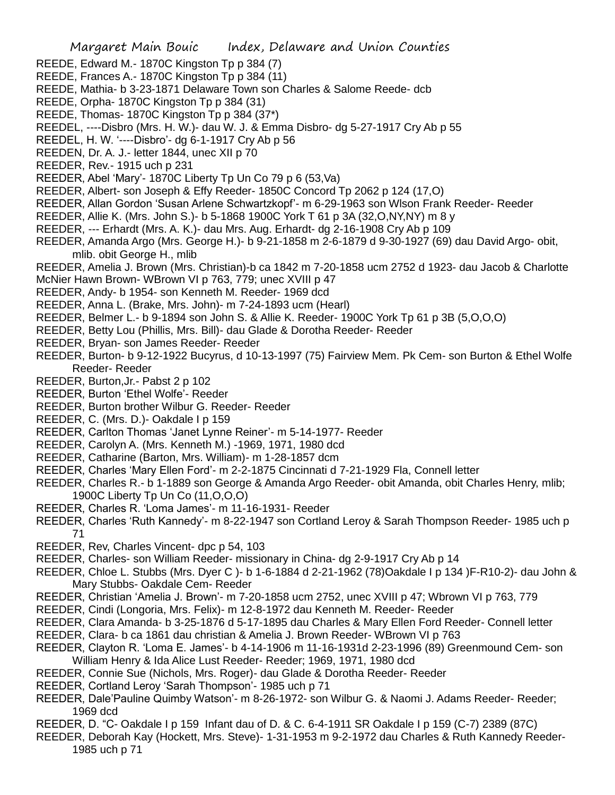- REEDE, Edward M.- 1870C Kingston Tp p 384 (7)
- REEDE, Frances A.- 1870C Kingston Tp p 384 (11)
- REEDE, Mathia- b 3-23-1871 Delaware Town son Charles & Salome Reede- dcb
- REEDE, Orpha- 1870C Kingston Tp p 384 (31)
- REEDE, Thomas- 1870C Kingston Tp p 384 (37\*)
- REEDEL, ----Disbro (Mrs. H. W.)- dau W. J. & Emma Disbro- dg 5-27-1917 Cry Ab p 55
- REEDEL, H. W. '----Disbro'- dg 6-1-1917 Cry Ab p 56
- REEDEN, Dr. A. J.- letter 1844, unec XII p 70
- REEDER, Rev.- 1915 uch p 231
- REEDER, Abel 'Mary'- 1870C Liberty Tp Un Co 79 p 6 (53,Va)
- REEDER, Albert- son Joseph & Effy Reeder- 1850C Concord Tp 2062 p 124 (17,O)
- REEDER, Allan Gordon 'Susan Arlene Schwartzkopf'- m 6-29-1963 son Wlson Frank Reeder- Reeder
- REEDER, Allie K. (Mrs. John S.)- b 5-1868 1900C York T 61 p 3A (32,O,NY,NY) m 8 y
- REEDER, --- Erhardt (Mrs. A. K.)- dau Mrs. Aug. Erhardt- dg 2-16-1908 Cry Ab p 109
- REEDER, Amanda Argo (Mrs. George H.)- b 9-21-1858 m 2-6-1879 d 9-30-1927 (69) dau David Argo- obit, mlib. obit George H., mlib
- REEDER, Amelia J. Brown (Mrs. Christian)-b ca 1842 m 7-20-1858 ucm 2752 d 1923- dau Jacob & Charlotte
- McNier Hawn Brown- WBrown VI p 763, 779; unec XVIII p 47
- REEDER, Andy- b 1954- son Kenneth M. Reeder- 1969 dcd
- REEDER, Anna L. (Brake, Mrs. John)- m 7-24-1893 ucm (Hearl)
- REEDER, Belmer L.- b 9-1894 son John S. & Allie K. Reeder- 1900C York Tp 61 p 3B (5,O,O,O)
- REEDER, Betty Lou (Phillis, Mrs. Bill)- dau Glade & Dorotha Reeder- Reeder
- REEDER, Bryan- son James Reeder- Reeder
- REEDER, Burton- b 9-12-1922 Bucyrus, d 10-13-1997 (75) Fairview Mem. Pk Cem- son Burton & Ethel Wolfe Reeder- Reeder
- REEDER, Burton,Jr.- Pabst 2 p 102
- REEDER, Burton 'Ethel Wolfe'- Reeder
- REEDER, Burton brother Wilbur G. Reeder- Reeder
- REEDER, C. (Mrs. D.)- Oakdale I p 159
- REEDER, Carlton Thomas 'Janet Lynne Reiner'- m 5-14-1977- Reeder
- REEDER, Carolyn A. (Mrs. Kenneth M.) -1969, 1971, 1980 dcd
- REEDER, Catharine (Barton, Mrs. William)- m 1-28-1857 dcm
- REEDER, Charles 'Mary Ellen Ford'- m 2-2-1875 Cincinnati d 7-21-1929 Fla, Connell letter
- REEDER, Charles R.- b 1-1889 son George & Amanda Argo Reeder- obit Amanda, obit Charles Henry, mlib; 1900C Liberty Tp Un Co (11,O,O,O)
- REEDER, Charles R. 'Loma James'- m 11-16-1931- Reeder
- REEDER, Charles 'Ruth Kannedy'- m 8-22-1947 son Cortland Leroy & Sarah Thompson Reeder- 1985 uch p 71
- REEDER, Rev, Charles Vincent- dpc p 54, 103
- REEDER, Charles- son William Reeder- missionary in China- dg 2-9-1917 Cry Ab p 14
- REEDER, Chloe L. Stubbs (Mrs. Dyer C )- b 1-6-1884 d 2-21-1962 (78)Oakdale I p 134 )F-R10-2)- dau John & Mary Stubbs- Oakdale Cem- Reeder
- REEDER, Christian 'Amelia J. Brown'- m 7-20-1858 ucm 2752, unec XVIII p 47; Wbrown VI p 763, 779
- REEDER, Cindi (Longoria, Mrs. Felix)- m 12-8-1972 dau Kenneth M. Reeder- Reeder
- REEDER, Clara Amanda- b 3-25-1876 d 5-17-1895 dau Charles & Mary Ellen Ford Reeder- Connell letter
- REEDER, Clara- b ca 1861 dau christian & Amelia J. Brown Reeder- WBrown VI p 763
- REEDER, Clayton R. 'Loma E. James'- b 4-14-1906 m 11-16-1931d 2-23-1996 (89) Greenmound Cem- son William Henry & Ida Alice Lust Reeder- Reeder; 1969, 1971, 1980 dcd
- REEDER, Connie Sue (Nichols, Mrs. Roger)- dau Glade & Dorotha Reeder- Reeder
- REEDER, Cortland Leroy 'Sarah Thompson'- 1985 uch p 71
- REEDER, Dale'Pauline Quimby Watson'- m 8-26-1972- son Wilbur G. & Naomi J. Adams Reeder- Reeder; 1969 dcd
- REEDER, D. "C- Oakdale I p 159 Infant dau of D. & C. 6-4-1911 SR Oakdale I p 159 (C-7) 2389 (87C)
- REEDER, Deborah Kay (Hockett, Mrs. Steve)- 1-31-1953 m 9-2-1972 dau Charles & Ruth Kannedy Reeder-1985 uch p 71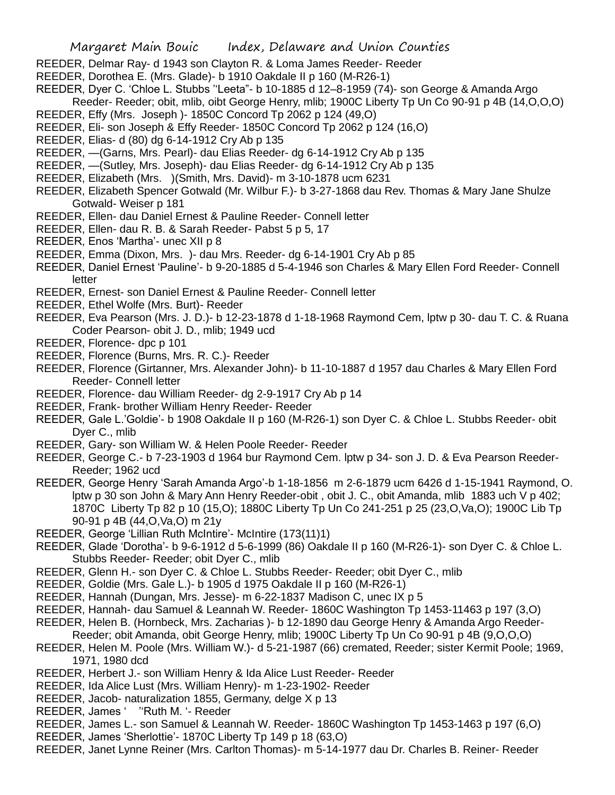- REEDER, Delmar Ray- d 1943 son Clayton R. & Loma James Reeder- Reeder
- REEDER, Dorothea E. (Mrs. Glade)- b 1910 Oakdale II p 160 (M-R26-1)
- REEDER, Dyer C. 'Chloe L. Stubbs ''Leeta"- b 10-1885 d 12–8-1959 (74)- son George & Amanda Argo
- Reeder- Reeder; obit, mlib, oibt George Henry, mlib; 1900C Liberty Tp Un Co 90-91 p 4B (14,O,O,O)
- REEDER, Effy (Mrs. Joseph )- 1850C Concord Tp 2062 p 124 (49,O)
- REEDER, Eli- son Joseph & Effy Reeder- 1850C Concord Tp 2062 p 124 (16,O)
- REEDER, Elias- d (80) dg 6-14-1912 Cry Ab p 135
- REEDER, —(Garns, Mrs. Pearl)- dau Elias Reeder- dg 6-14-1912 Cry Ab p 135
- REEDER, —(Sutley, Mrs. Joseph)- dau Elias Reeder- dg 6-14-1912 Cry Ab p 135
- REEDER, Elizabeth (Mrs. )(Smith, Mrs. David)- m 3-10-1878 ucm 6231
- REEDER, Elizabeth Spencer Gotwald (Mr. Wilbur F.)- b 3-27-1868 dau Rev. Thomas & Mary Jane Shulze Gotwald- Weiser p 181
- REEDER, Ellen- dau Daniel Ernest & Pauline Reeder- Connell letter
- REEDER, Ellen- dau R. B. & Sarah Reeder- Pabst 5 p 5, 17
- REEDER, Enos 'Martha'- unec XII p 8
- REEDER, Emma (Dixon, Mrs. )- dau Mrs. Reeder- dg 6-14-1901 Cry Ab p 85
- REEDER, Daniel Ernest 'Pauline'- b 9-20-1885 d 5-4-1946 son Charles & Mary Ellen Ford Reeder- Connell letter
- REEDER, Ernest- son Daniel Ernest & Pauline Reeder- Connell letter
- REEDER, Ethel Wolfe (Mrs. Burt)- Reeder
- REEDER, Eva Pearson (Mrs. J. D.)- b 12-23-1878 d 1-18-1968 Raymond Cem, lptw p 30- dau T. C. & Ruana Coder Pearson- obit J. D., mlib; 1949 ucd
- REEDER, Florence- dpc p 101
- REEDER, Florence (Burns, Mrs. R. C.)- Reeder
- REEDER, Florence (Girtanner, Mrs. Alexander John)- b 11-10-1887 d 1957 dau Charles & Mary Ellen Ford Reeder- Connell letter
- REEDER, Florence- dau William Reeder- dg 2-9-1917 Cry Ab p 14
- REEDER, Frank- brother William Henry Reeder- Reeder
- REEDER, Gale L.'Goldie'- b 1908 Oakdale II p 160 (M-R26-1) son Dyer C. & Chloe L. Stubbs Reeder- obit Dyer C., mlib
- REEDER, Gary- son William W. & Helen Poole Reeder- Reeder
- REEDER, George C.- b 7-23-1903 d 1964 bur Raymond Cem. lptw p 34- son J. D. & Eva Pearson Reeder-Reeder; 1962 ucd
- REEDER, George Henry 'Sarah Amanda Argo'-b 1-18-1856 m 2-6-1879 ucm 6426 d 1-15-1941 Raymond, O. lptw p 30 son John & Mary Ann Henry Reeder-obit , obit J. C., obit Amanda, mlib 1883 uch V p 402; 1870C Liberty Tp 82 p 10 (15,O); 1880C Liberty Tp Un Co 241-251 p 25 (23,O,Va,O); 1900C Lib Tp 90-91 p 4B (44,O,Va,O) m 21y
- REEDER, George 'Lillian Ruth McIntire'- McIntire (173(11)1)
- REEDER, Glade 'Dorotha'- b 9-6-1912 d 5-6-1999 (86) Oakdale II p 160 (M-R26-1)- son Dyer C. & Chloe L. Stubbs Reeder- Reeder; obit Dyer C., mlib
- REEDER, Glenn H.- son Dyer C. & Chloe L. Stubbs Reeder- Reeder; obit Dyer C., mlib
- REEDER, Goldie (Mrs. Gale L.)- b 1905 d 1975 Oakdale II p 160 (M-R26-1)
- REEDER, Hannah (Dungan, Mrs. Jesse)- m 6-22-1837 Madison C, unec IX p 5
- REEDER, Hannah- dau Samuel & Leannah W. Reeder- 1860C Washington Tp 1453-11463 p 197 (3,O)
- REEDER, Helen B. (Hornbeck, Mrs. Zacharias )- b 12-1890 dau George Henry & Amanda Argo Reeder-
- Reeder; obit Amanda, obit George Henry, mlib; 1900C Liberty Tp Un Co 90-91 p 4B (9,O,O,O)
- REEDER, Helen M. Poole (Mrs. William W.)- d 5-21-1987 (66) cremated, Reeder; sister Kermit Poole; 1969, 1971, 1980 dcd
- REEDER, Herbert J.- son William Henry & Ida Alice Lust Reeder- Reeder
- REEDER, Ida Alice Lust (Mrs. William Henry)- m 1-23-1902- Reeder
- REEDER, Jacob- naturalization 1855, Germany, delge X p 13
- REEDER, James ' ''Ruth M. '- Reeder
- REEDER, James L.- son Samuel & Leannah W. Reeder- 1860C Washington Tp 1453-1463 p 197 (6,O)
- REEDER, James 'Sherlottie'- 1870C Liberty Tp 149 p 18 (63,O)
- REEDER, Janet Lynne Reiner (Mrs. Carlton Thomas)- m 5-14-1977 dau Dr. Charles B. Reiner- Reeder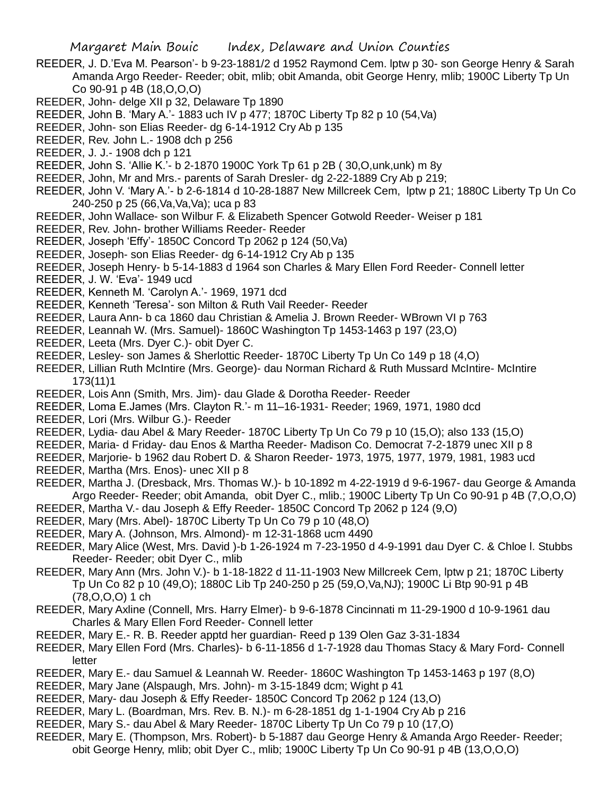- REEDER, J. D.'Eva M. Pearson'- b 9-23-1881/2 d 1952 Raymond Cem. lptw p 30- son George Henry & Sarah Amanda Argo Reeder- Reeder; obit, mlib; obit Amanda, obit George Henry, mlib; 1900C Liberty Tp Un Co 90-91 p 4B (18,O,O,O)
- REEDER, John- delge XII p 32, Delaware Tp 1890
- REEDER, John B. 'Mary A.'- 1883 uch IV p 477; 1870C Liberty Tp 82 p 10 (54,Va)
- REEDER, John- son Elias Reeder- dg 6-14-1912 Cry Ab p 135
- REEDER, Rev. John L.- 1908 dch p 256
- REEDER, J. J.- 1908 dch p 121
- REEDER, John S. 'Allie K.'- b 2-1870 1900C York Tp 61 p 2B ( 30,O,unk,unk) m 8y
- REEDER, John, Mr and Mrs.- parents of Sarah Dresler- dg 2-22-1889 Cry Ab p 219;
- REEDER, John V. 'Mary A.'- b 2-6-1814 d 10-28-1887 New Millcreek Cem, lptw p 21; 1880C Liberty Tp Un Co 240-250 p 25 (66,Va,Va,Va); uca p 83
- REEDER, John Wallace- son Wilbur F. & Elizabeth Spencer Gotwold Reeder- Weiser p 181
- REEDER, Rev. John- brother Williams Reeder- Reeder
- REEDER, Joseph 'Effy'- 1850C Concord Tp 2062 p 124 (50,Va)
- REEDER, Joseph- son Elias Reeder- dg 6-14-1912 Cry Ab p 135
- REEDER, Joseph Henry- b 5-14-1883 d 1964 son Charles & Mary Ellen Ford Reeder- Connell letter
- REEDER, J. W. 'Eva'- 1949 ucd
- REEDER, Kenneth M. 'Carolyn A.'- 1969, 1971 dcd
- REEDER, Kenneth 'Teresa'- son Milton & Ruth Vail Reeder- Reeder
- REEDER, Laura Ann- b ca 1860 dau Christian & Amelia J. Brown Reeder- WBrown VI p 763
- REEDER, Leannah W. (Mrs. Samuel)- 1860C Washington Tp 1453-1463 p 197 (23,O)
- REEDER, Leeta (Mrs. Dyer C.)- obit Dyer C.
- REEDER, Lesley- son James & Sherlottic Reeder- 1870C Liberty Tp Un Co 149 p 18 (4,O)
- REEDER, Lillian Ruth McIntire (Mrs. George)- dau Norman Richard & Ruth Mussard McIntire- McIntire 173(11)1
- REEDER, Lois Ann (Smith, Mrs. Jim)- dau Glade & Dorotha Reeder- Reeder
- REEDER, Loma E.James (Mrs. Clayton R.'- m 11–16-1931- Reeder; 1969, 1971, 1980 dcd
- REEDER, Lori (Mrs. Wilbur G.)- Reeder
- REEDER, Lydia- dau Abel & Mary Reeder- 1870C Liberty Tp Un Co 79 p 10 (15,O); also 133 (15,O)
- REEDER, Maria- d Friday- dau Enos & Martha Reeder- Madison Co. Democrat 7-2-1879 unec XII p 8
- REEDER, Marjorie- b 1962 dau Robert D. & Sharon Reeder- 1973, 1975, 1977, 1979, 1981, 1983 ucd
- REEDER, Martha (Mrs. Enos)- unec XII p 8
- REEDER, Martha J. (Dresback, Mrs. Thomas W.)- b 10-1892 m 4-22-1919 d 9-6-1967- dau George & Amanda Argo Reeder- Reeder; obit Amanda, obit Dyer C., mlib.; 1900C Liberty Tp Un Co 90-91 p 4B (7,O,O,O) REEDER, Martha V.- dau Joseph & Effy Reeder- 1850C Concord Tp 2062 p 124 (9,O)
- REEDER, Mary (Mrs. Abel)- 1870C Liberty Tp Un Co 79 p 10 (48,O)
- REEDER, Mary A. (Johnson, Mrs. Almond)- m 12-31-1868 ucm 4490
- REEDER, Mary Alice (West, Mrs. David )-b 1-26-1924 m 7-23-1950 d 4-9-1991 dau Dyer C. & Chloe l. Stubbs Reeder- Reeder; obit Dyer C., mlib
- REEDER, Mary Ann (Mrs. John V.)- b 1-18-1822 d 11-11-1903 New Millcreek Cem, lptw p 21; 1870C Liberty Tp Un Co 82 p 10 (49,O); 1880C Lib Tp 240-250 p 25 (59,O,Va,NJ); 1900C Li Btp 90-91 p 4B (78,O,O,O) 1 ch
- REEDER, Mary Axline (Connell, Mrs. Harry Elmer)- b 9-6-1878 Cincinnati m 11-29-1900 d 10-9-1961 dau Charles & Mary Ellen Ford Reeder- Connell letter
- REEDER, Mary E.- R. B. Reeder apptd her guardian- Reed p 139 Olen Gaz 3-31-1834
- REEDER, Mary Ellen Ford (Mrs. Charles)- b 6-11-1856 d 1-7-1928 dau Thomas Stacy & Mary Ford- Connell letter
- REEDER, Mary E.- dau Samuel & Leannah W. Reeder- 1860C Washington Tp 1453-1463 p 197 (8,O)
- REEDER, Mary Jane (Alspaugh, Mrs. John)- m 3-15-1849 dcm; Wight p 41
- REEDER, Mary- dau Joseph & Effy Reeder- 1850C Concord Tp 2062 p 124 (13,O)
- REEDER, Mary L. (Boardman, Mrs. Rev. B. N.)- m 6-28-1851 dg 1-1-1904 Cry Ab p 216
- REEDER, Mary S.- dau Abel & Mary Reeder- 1870C Liberty Tp Un Co 79 p 10 (17,O)
- REEDER, Mary E. (Thompson, Mrs. Robert)- b 5-1887 dau George Henry & Amanda Argo Reeder- Reeder; obit George Henry, mlib; obit Dyer C., mlib; 1900C Liberty Tp Un Co 90-91 p 4B (13,O,O,O)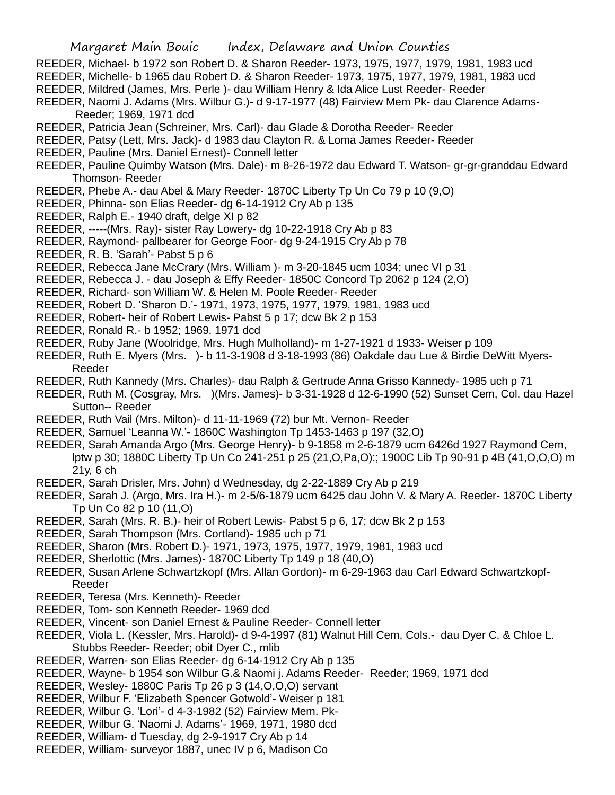- REEDER, Michael- b 1972 son Robert D. & Sharon Reeder- 1973, 1975, 1977, 1979, 1981, 1983 ucd
- REEDER, Michelle- b 1965 dau Robert D. & Sharon Reeder- 1973, 1975, 1977, 1979, 1981, 1983 ucd
- REEDER, Mildred (James, Mrs. Perle )- dau William Henry & Ida Alice Lust Reeder- Reeder
- REEDER, Naomi J. Adams (Mrs. Wilbur G.)- d 9-17-1977 (48) Fairview Mem Pk- dau Clarence Adams-Reeder; 1969, 1971 dcd
- REEDER, Patricia Jean (Schreiner, Mrs. Carl)- dau Glade & Dorotha Reeder- Reeder
- REEDER, Patsy (Lett, Mrs. Jack)- d 1983 dau Clayton R. & Loma James Reeder- Reeder
- REEDER, Pauline (Mrs. Daniel Ernest)- Connell letter
- REEDER, Pauline Quimby Watson (Mrs. Dale)- m 8-26-1972 dau Edward T. Watson- gr-gr-granddau Edward Thomson- Reeder
- REEDER, Phebe A.- dau Abel & Mary Reeder- 1870C Liberty Tp Un Co 79 p 10 (9,O)
- REEDER, Phinna- son Elias Reeder- dg 6-14-1912 Cry Ab p 135
- REEDER, Ralph E.- 1940 draft, delge XI p 82
- REEDER, -----(Mrs. Ray)- sister Ray Lowery- dg 10-22-1918 Cry Ab p 83
- REEDER, Raymond- pallbearer for George Foor- dg 9-24-1915 Cry Ab p 78
- REEDER, R. B. 'Sarah'- Pabst 5 p 6
- REEDER, Rebecca Jane McCrary (Mrs. William )- m 3-20-1845 ucm 1034; unec VI p 31
- REEDER, Rebecca J. dau Joseph & Effy Reeder- 1850C Concord Tp 2062 p 124 (2,O)
- REEDER, Richard- son William W. & Helen M. Poole Reeder- Reeder
- REEDER, Robert D. 'Sharon D.'- 1971, 1973, 1975, 1977, 1979, 1981, 1983 ucd
- REEDER, Robert- heir of Robert Lewis- Pabst 5 p 17; dcw Bk 2 p 153
- REEDER, Ronald R.- b 1952; 1969, 1971 dcd
- REEDER, Ruby Jane (Woolridge, Mrs. Hugh Mulholland)- m 1-27-1921 d 1933- Weiser p 109
- REEDER, Ruth E. Myers (Mrs. )- b 11-3-1908 d 3-18-1993 (86) Oakdale dau Lue & Birdie DeWitt Myers-Reeder
- REEDER, Ruth Kannedy (Mrs. Charles)- dau Ralph & Gertrude Anna Grisso Kannedy- 1985 uch p 71
- REEDER, Ruth M. (Cosgray, Mrs. )(Mrs. James)- b 3-31-1928 d 12-6-1990 (52) Sunset Cem, Col. dau Hazel Sutton-- Reeder
- REEDER, Ruth Vail (Mrs. Milton)- d 11-11-1969 (72) bur Mt. Vernon- Reeder
- REEDER, Samuel 'Leanna W.'- 1860C Washington Tp 1453-1463 p 197 (32,O)
- REEDER, Sarah Amanda Argo (Mrs. George Henry)- b 9-1858 m 2-6-1879 ucm 6426d 1927 Raymond Cem, lptw p 30; 1880C Liberty Tp Un Co 241-251 p 25 (21,O,Pa,O):; 1900C Lib Tp 90-91 p 4B (41,O,O,O) m 21y, 6 ch
- REEDER, Sarah Drisler, Mrs. John) d Wednesday, dg 2-22-1889 Cry Ab p 219
- REEDER, Sarah J. (Argo, Mrs. Ira H.)- m 2-5/6-1879 ucm 6425 dau John V. & Mary A. Reeder- 1870C Liberty Tp Un Co 82 p 10 (11,O)
- REEDER, Sarah (Mrs. R. B.)- heir of Robert Lewis- Pabst 5 p 6, 17; dcw Bk 2 p 153
- REEDER, Sarah Thompson (Mrs. Cortland)- 1985 uch p 71
- REEDER, Sharon (Mrs. Robert D.)- 1971, 1973, 1975, 1977, 1979, 1981, 1983 ucd
- REEDER, Sherlottic (Mrs. James)- 1870C Liberty Tp 149 p 18 (40,O)
- REEDER, Susan Arlene Schwartzkopf (Mrs. Allan Gordon)- m 6-29-1963 dau Carl Edward Schwartzkopf-Reeder
- REEDER, Teresa (Mrs. Kenneth)- Reeder
- REEDER, Tom- son Kenneth Reeder- 1969 dcd
- REEDER, Vincent- son Daniel Ernest & Pauline Reeder- Connell letter
- REEDER, Viola L. (Kessler, Mrs. Harold)- d 9-4-1997 (81) Walnut Hill Cem, Cols.- dau Dyer C. & Chloe L. Stubbs Reeder- Reeder; obit Dyer C., mlib
- REEDER, Warren- son Elias Reeder- dg 6-14-1912 Cry Ab p 135
- REEDER, Wayne- b 1954 son Wilbur G.& Naomi j. Adams Reeder- Reeder; 1969, 1971 dcd
- REEDER, Wesley- 1880C Paris Tp 26 p 3 (14,O,O,O) servant
- REEDER, Wilbur F. 'Elizabeth Spencer Gotwold'- Weiser p 181
- REEDER, Wilbur G. 'Lori'- d 4-3-1982 (52) Fairview Mem. Pk-
- REEDER, Wilbur G. 'Naomi J. Adams'- 1969, 1971, 1980 dcd
- REEDER, William- d Tuesday, dg 2-9-1917 Cry Ab p 14
- REEDER, William- surveyor 1887, unec IV p 6, Madison Co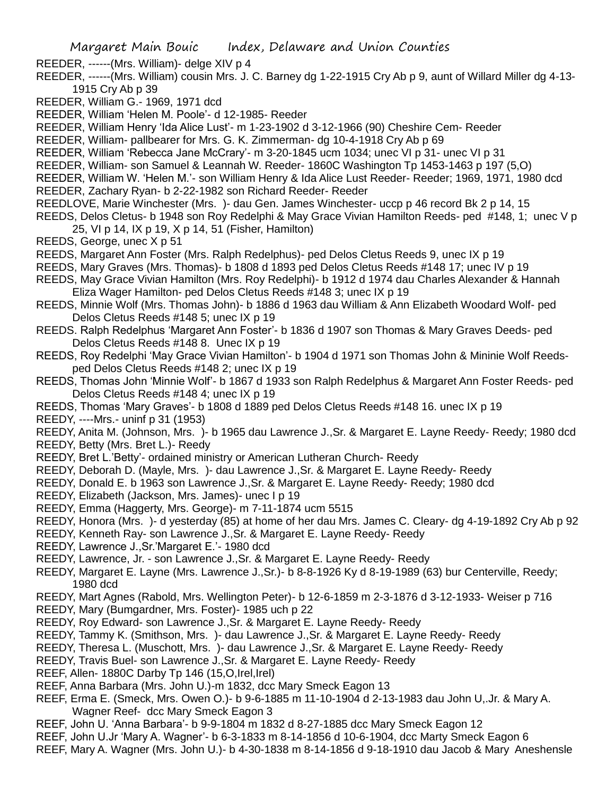- REEDER, ------(Mrs. William)- delge XIV p 4
- REEDER, ------(Mrs. William) cousin Mrs. J. C. Barney dg 1-22-1915 Cry Ab p 9, aunt of Willard Miller dg 4-13- 1915 Cry Ab p 39
- REEDER, William G.- 1969, 1971 dcd
- REEDER, William 'Helen M. Poole'- d 12-1985- Reeder
- REEDER, William Henry 'Ida Alice Lust'- m 1-23-1902 d 3-12-1966 (90) Cheshire Cem- Reeder
- REEDER, William- pallbearer for Mrs. G. K. Zimmerman- dg 10-4-1918 Cry Ab p 69
- REEDER, William 'Rebecca Jane McCrary'- m 3-20-1845 ucm 1034; unec VI p 31- unec VI p 31
- REEDER, William- son Samuel & Leannah W. Reeder- 1860C Washington Tp 1453-1463 p 197 (5,O)
- REEDER, William W. 'Helen M.'- son William Henry & Ida Alice Lust Reeder- Reeder; 1969, 1971, 1980 dcd
- REEDER, Zachary Ryan- b 2-22-1982 son Richard Reeder- Reeder
- REEDLOVE, Marie Winchester (Mrs. )- dau Gen. James Winchester- uccp p 46 record Bk 2 p 14, 15
- REEDS, Delos Cletus- b 1948 son Roy Redelphi & May Grace Vivian Hamilton Reeds- ped #148, 1; unec V p 25, VI p 14, IX p 19, X p 14, 51 (Fisher, Hamilton)
- REEDS, George, unec X p 51
- REEDS, Margaret Ann Foster (Mrs. Ralph Redelphus)- ped Delos Cletus Reeds 9, unec IX p 19
- REEDS, Mary Graves (Mrs. Thomas)- b 1808 d 1893 ped Delos Cletus Reeds #148 17; unec IV p 19
- REEDS, May Grace Vivian Hamilton (Mrs. Roy Redelphi)- b 1912 d 1974 dau Charles Alexander & Hannah Eliza Wager Hamilton- ped Delos Cletus Reeds #148 3; unec IX p 19
- REEDS, Minnie Wolf (Mrs. Thomas John)- b 1886 d 1963 dau William & Ann Elizabeth Woodard Wolf- ped Delos Cletus Reeds #148 5; unec IX p 19
- REEDS. Ralph Redelphus 'Margaret Ann Foster'- b 1836 d 1907 son Thomas & Mary Graves Deeds- ped Delos Cletus Reeds #148 8. Unec IX p 19
- REEDS, Roy Redelphi 'May Grace Vivian Hamilton'- b 1904 d 1971 son Thomas John & Mininie Wolf Reedsped Delos Cletus Reeds #148 2; unec IX p 19
- REEDS, Thomas John 'Minnie Wolf'- b 1867 d 1933 son Ralph Redelphus & Margaret Ann Foster Reeds- ped Delos Cletus Reeds #148 4; unec IX p 19
- REEDS, Thomas 'Mary Graves'- b 1808 d 1889 ped Delos Cletus Reeds #148 16. unec IX p 19
- REEDY, ----Mrs.- uninf p 31 (1953)
- REEDY, Anita M. (Johnson, Mrs. )- b 1965 dau Lawrence J.,Sr. & Margaret E. Layne Reedy- Reedy; 1980 dcd REEDY, Betty (Mrs. Bret L.)- Reedy
- REEDY, Bret L.'Betty'- ordained ministry or American Lutheran Church- Reedy
- REEDY, Deborah D. (Mayle, Mrs. )- dau Lawrence J.,Sr. & Margaret E. Layne Reedy- Reedy
- REEDY, Donald E. b 1963 son Lawrence J.,Sr. & Margaret E. Layne Reedy- Reedy; 1980 dcd
- REEDY, Elizabeth (Jackson, Mrs. James)- unec I p 19
- REEDY, Emma (Haggerty, Mrs. George)- m 7-11-1874 ucm 5515
- REEDY, Honora (Mrs. )- d yesterday (85) at home of her dau Mrs. James C. Cleary- dg 4-19-1892 Cry Ab p 92
- REEDY, Kenneth Ray- son Lawrence J.,Sr. & Margaret E. Layne Reedy- Reedy
- REEDY, Lawrence J.,Sr.'Margaret E.'- 1980 dcd
- REEDY, Lawrence, Jr. son Lawrence J.,Sr. & Margaret E. Layne Reedy- Reedy
- REEDY, Margaret E. Layne (Mrs. Lawrence J.,Sr.)- b 8-8-1926 Ky d 8-19-1989 (63) bur Centerville, Reedy; 1980 dcd
- REEDY, Mart Agnes (Rabold, Mrs. Wellington Peter)- b 12-6-1859 m 2-3-1876 d 3-12-1933- Weiser p 716
- REEDY, Mary (Bumgardner, Mrs. Foster)- 1985 uch p 22
- REEDY, Roy Edward- son Lawrence J.,Sr. & Margaret E. Layne Reedy- Reedy
- REEDY, Tammy K. (Smithson, Mrs. )- dau Lawrence J.,Sr. & Margaret E. Layne Reedy- Reedy
- REEDY, Theresa L. (Muschott, Mrs. )- dau Lawrence J.,Sr. & Margaret E. Layne Reedy- Reedy
- REEDY, Travis Buel- son Lawrence J.,Sr. & Margaret E. Layne Reedy- Reedy
- REEF, Allen- 1880C Darby Tp 146 (15, O, Irel, Irel)
- REEF, Anna Barbara (Mrs. John U.)-m 1832, dcc Mary Smeck Eagon 13
- REEF, Erma E. (Smeck, Mrs. Owen O.)- b 9-6-1885 m 11-10-1904 d 2-13-1983 dau John U,.Jr. & Mary A. Wagner Reef- dcc Mary Smeck Eagon 3
- REEF, John U. 'Anna Barbara'- b 9-9-1804 m 1832 d 8-27-1885 dcc Mary Smeck Eagon 12
- REEF, John U.Jr 'Mary A. Wagner'- b 6-3-1833 m 8-14-1856 d 10-6-1904, dcc Marty Smeck Eagon 6
- REEF, Mary A. Wagner (Mrs. John U.)- b 4-30-1838 m 8-14-1856 d 9-18-1910 dau Jacob & Mary Aneshensle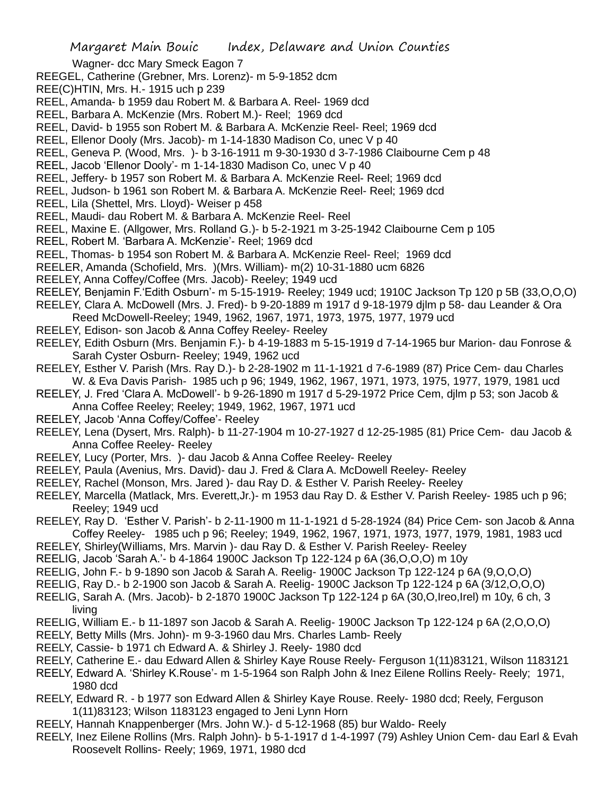Wagner- dcc Mary Smeck Eagon 7

- REEGEL, Catherine (Grebner, Mrs. Lorenz)- m 5-9-1852 dcm
- REE(C)HTIN, Mrs. H.- 1915 uch p 239
- REEL, Amanda- b 1959 dau Robert M. & Barbara A. Reel- 1969 dcd
- REEL, Barbara A. McKenzie (Mrs. Robert M.)- Reel; 1969 dcd
- REEL, David- b 1955 son Robert M. & Barbara A. McKenzie Reel- Reel; 1969 dcd
- REEL, Ellenor Dooly (Mrs. Jacob)- m 1-14-1830 Madison Co, unec V p 40
- REEL, Geneva P. (Wood, Mrs. )- b 3-16-1911 m 9-30-1930 d 3-7-1986 Claibourne Cem p 48
- REEL, Jacob 'Ellenor Dooly'- m 1-14-1830 Madison Co, unec V p 40
- REEL, Jeffery- b 1957 son Robert M. & Barbara A. McKenzie Reel- Reel; 1969 dcd
- REEL, Judson- b 1961 son Robert M. & Barbara A. McKenzie Reel- Reel; 1969 dcd
- REEL, Lila (Shettel, Mrs. Lloyd)- Weiser p 458
- REEL, Maudi- dau Robert M. & Barbara A. McKenzie Reel- Reel
- REEL, Maxine E. (Allgower, Mrs. Rolland G.)- b 5-2-1921 m 3-25-1942 Claibourne Cem p 105
- REEL, Robert M. 'Barbara A. McKenzie'- Reel; 1969 dcd
- REEL, Thomas- b 1954 son Robert M. & Barbara A. McKenzie Reel- Reel; 1969 dcd
- REELER, Amanda (Schofield, Mrs. )(Mrs. William)- m(2) 10-31-1880 ucm 6826
- REELEY, Anna Coffey/Coffee (Mrs. Jacob)- Reeley; 1949 ucd
- REELEY, Benjamin F.'Edith Osburn'- m 5-15-1919- Reeley; 1949 ucd; 1910C Jackson Tp 120 p 5B (33,O,O,O)
- REELEY, Clara A. McDowell (Mrs. J. Fred)- b 9-20-1889 m 1917 d 9-18-1979 djlm p 58- dau Leander & Ora Reed McDowell-Reeley; 1949, 1962, 1967, 1971, 1973, 1975, 1977, 1979 ucd
- REELEY, Edison- son Jacob & Anna Coffey Reeley- Reeley
- REELEY, Edith Osburn (Mrs. Benjamin F.)- b 4-19-1883 m 5-15-1919 d 7-14-1965 bur Marion- dau Fonrose & Sarah Cyster Osburn- Reeley; 1949, 1962 ucd
- REELEY, Esther V. Parish (Mrs. Ray D.)- b 2-28-1902 m 11-1-1921 d 7-6-1989 (87) Price Cem- dau Charles W. & Eva Davis Parish- 1985 uch p 96; 1949, 1962, 1967, 1971, 1973, 1975, 1977, 1979, 1981 ucd
- REELEY, J. Fred 'Clara A. McDowell'- b 9-26-1890 m 1917 d 5-29-1972 Price Cem, djlm p 53; son Jacob & Anna Coffee Reeley; Reeley; 1949, 1962, 1967, 1971 ucd
- 
- REELEY, Jacob 'Anna Coffey/Coffee'- Reeley
- REELEY, Lena (Dysert, Mrs. Ralph)- b 11-27-1904 m 10-27-1927 d 12-25-1985 (81) Price Cem- dau Jacob & Anna Coffee Reeley- Reeley
- REELEY, Lucy (Porter, Mrs. )- dau Jacob & Anna Coffee Reeley- Reeley
- REELEY, Paula (Avenius, Mrs. David)- dau J. Fred & Clara A. McDowell Reeley- Reeley
- REELEY, Rachel (Monson, Mrs. Jared )- dau Ray D. & Esther V. Parish Reeley- Reeley
- REELEY, Marcella (Matlack, Mrs. Everett,Jr.)- m 1953 dau Ray D. & Esther V. Parish Reeley- 1985 uch p 96; Reeley; 1949 ucd
- REELEY, Ray D. 'Esther V. Parish'- b 2-11-1900 m 11-1-1921 d 5-28-1924 (84) Price Cem- son Jacob & Anna Coffey Reeley- 1985 uch p 96; Reeley; 1949, 1962, 1967, 1971, 1973, 1977, 1979, 1981, 1983 ucd
- REELEY, Shirley(Williams, Mrs. Marvin )- dau Ray D. & Esther V. Parish Reeley- Reeley
- REELIG, Jacob 'Sarah A.'- b 4-1864 1900C Jackson Tp 122-124 p 6A (36,O,O,O) m 10y
- REELIG, John F.- b 9-1890 son Jacob & Sarah A. Reelig- 1900C Jackson Tp 122-124 p 6A (9,O,O,O)
- REELIG, Ray D.- b 2-1900 son Jacob & Sarah A. Reelig- 1900C Jackson Tp 122-124 p 6A (3/12,O,O,O)
- REELIG, Sarah A. (Mrs. Jacob)- b 2-1870 1900C Jackson Tp 122-124 p 6A (30,O,Ireo,Irel) m 10y, 6 ch, 3 living
- REELIG, William E.- b 11-1897 son Jacob & Sarah A. Reelig- 1900C Jackson Tp 122-124 p 6A (2,O,O,O)
- REELY, Betty Mills (Mrs. John)- m 9-3-1960 dau Mrs. Charles Lamb- Reely
- REELY, Cassie- b 1971 ch Edward A. & Shirley J. Reely- 1980 dcd
- REELY, Catherine E.- dau Edward Allen & Shirley Kaye Rouse Reely- Ferguson 1(11)83121, Wilson 1183121
- REELY, Edward A. 'Shirley K.Rouse'- m 1-5-1964 son Ralph John & Inez Eilene Rollins Reely- Reely; 1971, 1980 dcd
- REELY, Edward R. b 1977 son Edward Allen & Shirley Kaye Rouse. Reely- 1980 dcd; Reely, Ferguson 1(11)83123; Wilson 1183123 engaged to Jeni Lynn Horn
- REELY, Hannah Knappenberger (Mrs. John W.)- d 5-12-1968 (85) bur Waldo- Reely
- REELY, Inez Eilene Rollins (Mrs. Ralph John)- b 5-1-1917 d 1-4-1997 (79) Ashley Union Cem- dau Earl & Evah Roosevelt Rollins- Reely; 1969, 1971, 1980 dcd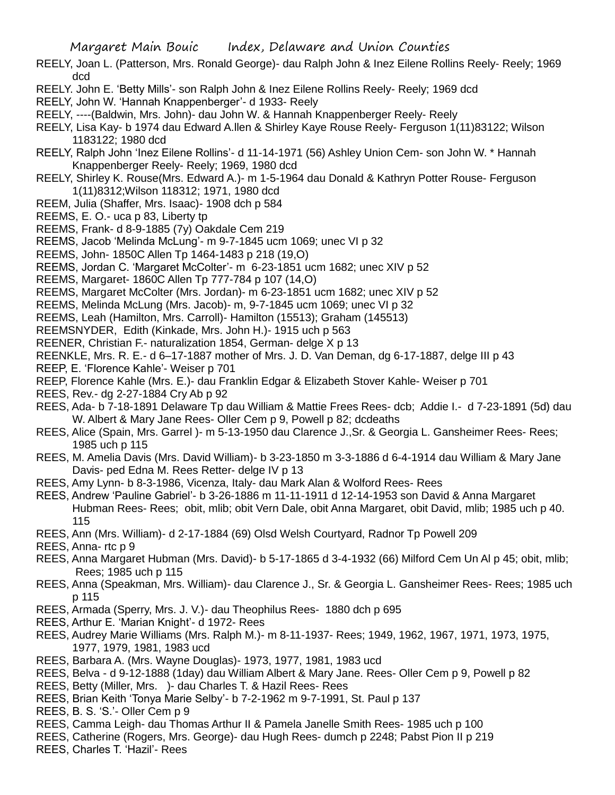- REELY, Joan L. (Patterson, Mrs. Ronald George)- dau Ralph John & Inez Eilene Rollins Reely- Reely; 1969 dcd
- REELY. John E. 'Betty Mills'- son Ralph John & Inez Eilene Rollins Reely- Reely; 1969 dcd
- REELY, John W. 'Hannah Knappenberger'- d 1933- Reely
- REELY, ----(Baldwin, Mrs. John)- dau John W. & Hannah Knappenberger Reely- Reely
- REELY, Lisa Kay- b 1974 dau Edward A.llen & Shirley Kaye Rouse Reely- Ferguson 1(11)83122; Wilson 1183122; 1980 dcd
- REELY, Ralph John 'Inez Eilene Rollins'- d 11-14-1971 (56) Ashley Union Cem- son John W. \* Hannah Knappenberger Reely- Reely; 1969, 1980 dcd
- REELY, Shirley K. Rouse(Mrs. Edward A.)- m 1-5-1964 dau Donald & Kathryn Potter Rouse- Ferguson 1(11)8312;Wilson 118312; 1971, 1980 dcd
- REEM, Julia (Shaffer, Mrs. Isaac)- 1908 dch p 584
- REEMS, E. O.- uca p 83, Liberty tp
- REEMS, Frank- d 8-9-1885 (7y) Oakdale Cem 219
- REEMS, Jacob 'Melinda McLung'- m 9-7-1845 ucm 1069; unec VI p 32
- REEMS, John- 1850C Allen Tp 1464-1483 p 218 (19,O)
- REEMS, Jordan C. 'Margaret McColter'- m 6-23-1851 ucm 1682; unec XIV p 52
- REEMS, Margaret- 1860C Allen Tp 777-784 p 107 (14,O)
- REEMS, Margaret McColter (Mrs. Jordan)- m 6-23-1851 ucm 1682; unec XIV p 52
- REEMS, Melinda McLung (Mrs. Jacob)- m, 9-7-1845 ucm 1069; unec VI p 32
- REEMS, Leah (Hamilton, Mrs. Carroll)- Hamilton (15513); Graham (145513)
- REEMSNYDER, Edith (Kinkade, Mrs. John H.)- 1915 uch p 563
- REENER, Christian F.- naturalization 1854, German- delge X p 13
- REENKLE, Mrs. R. E.- d 6–17-1887 mother of Mrs. J. D. Van Deman, dg 6-17-1887, delge III p 43
- REEP, E. 'Florence Kahle'- Weiser p 701
- REEP, Florence Kahle (Mrs. E.)- dau Franklin Edgar & Elizabeth Stover Kahle- Weiser p 701
- REES, Rev.- dg 2-27-1884 Cry Ab p 92
- REES, Ada- b 7-18-1891 Delaware Tp dau William & Mattie Frees Rees- dcb; Addie I.- d 7-23-1891 (5d) dau W. Albert & Mary Jane Rees- Oller Cem p 9, Powell p 82; dcdeaths
- REES, Alice (Spain, Mrs. Garrel )- m 5-13-1950 dau Clarence J.,Sr. & Georgia L. Gansheimer Rees- Rees; 1985 uch p 115
- REES, M. Amelia Davis (Mrs. David William)- b 3-23-1850 m 3-3-1886 d 6-4-1914 dau William & Mary Jane Davis- ped Edna M. Rees Retter- delge IV p 13
- REES, Amy Lynn- b 8-3-1986, Vicenza, Italy- dau Mark Alan & Wolford Rees- Rees
- REES, Andrew 'Pauline Gabriel'- b 3-26-1886 m 11-11-1911 d 12-14-1953 son David & Anna Margaret Hubman Rees- Rees; obit, mlib; obit Vern Dale, obit Anna Margaret, obit David, mlib; 1985 uch p 40. 115
- REES, Ann (Mrs. William)- d 2-17-1884 (69) Olsd Welsh Courtyard, Radnor Tp Powell 209
- REES, Anna- rtc p 9
- REES, Anna Margaret Hubman (Mrs. David)- b 5-17-1865 d 3-4-1932 (66) Milford Cem Un Al p 45; obit, mlib; Rees; 1985 uch p 115
- REES, Anna (Speakman, Mrs. William)- dau Clarence J., Sr. & Georgia L. Gansheimer Rees- Rees; 1985 uch p 115
- REES, Armada (Sperry, Mrs. J. V.)- dau Theophilus Rees- 1880 dch p 695
- REES, Arthur E. 'Marian Knight'- d 1972- Rees
- REES, Audrey Marie Williams (Mrs. Ralph M.)- m 8-11-1937- Rees; 1949, 1962, 1967, 1971, 1973, 1975, 1977, 1979, 1981, 1983 ucd
- REES, Barbara A. (Mrs. Wayne Douglas)- 1973, 1977, 1981, 1983 ucd
- REES, Belva d 9-12-1888 (1day) dau William Albert & Mary Jane. Rees- Oller Cem p 9, Powell p 82
- REES, Betty (Miller, Mrs. )- dau Charles T. & Hazil Rees- Rees
- REES, Brian Keith 'Tonya Marie Selby'- b 7-2-1962 m 9-7-1991, St. Paul p 137
- REES, B. S. 'S.'- Oller Cem p 9
- REES, Camma Leigh- dau Thomas Arthur II & Pamela Janelle Smith Rees- 1985 uch p 100
- REES, Catherine (Rogers, Mrs. George)- dau Hugh Rees- dumch p 2248; Pabst Pion II p 219
- REES, Charles T. 'Hazil'- Rees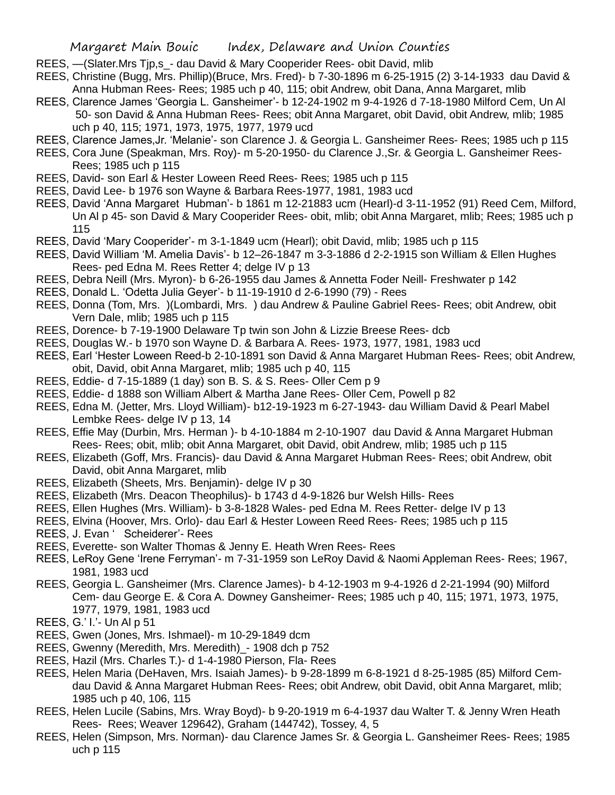- REES, —(Slater.Mrs Tjp,s\_- dau David & Mary Cooperider Rees- obit David, mlib
- REES, Christine (Bugg, Mrs. Phillip)(Bruce, Mrs. Fred)- b 7-30-1896 m 6-25-1915 (2) 3-14-1933 dau David & Anna Hubman Rees- Rees; 1985 uch p 40, 115; obit Andrew, obit Dana, Anna Margaret, mlib
- REES, Clarence James 'Georgia L. Gansheimer'- b 12-24-1902 m 9-4-1926 d 7-18-1980 Milford Cem, Un Al 50- son David & Anna Hubman Rees- Rees; obit Anna Margaret, obit David, obit Andrew, mlib; 1985 uch p 40, 115; 1971, 1973, 1975, 1977, 1979 ucd
- REES, Clarence James,Jr. 'Melanie'- son Clarence J. & Georgia L. Gansheimer Rees- Rees; 1985 uch p 115
- REES, Cora June (Speakman, Mrs. Roy)- m 5-20-1950- du Clarence J.,Sr. & Georgia L. Gansheimer Rees-Rees; 1985 uch p 115
- REES, David- son Earl & Hester Loween Reed Rees- Rees; 1985 uch p 115
- REES, David Lee- b 1976 son Wayne & Barbara Rees-1977, 1981, 1983 ucd
- REES, David 'Anna Margaret Hubman'- b 1861 m 12-21883 ucm (Hearl)-d 3-11-1952 (91) Reed Cem, Milford, Un Al p 45- son David & Mary Cooperider Rees- obit, mlib; obit Anna Margaret, mlib; Rees; 1985 uch p 115
- REES, David 'Mary Cooperider'- m 3-1-1849 ucm (Hearl); obit David, mlib; 1985 uch p 115
- REES, David William 'M. Amelia Davis'- b 12–26-1847 m 3-3-1886 d 2-2-1915 son William & Ellen Hughes Rees- ped Edna M. Rees Retter 4; delge IV p 13
- REES, Debra Neill (Mrs. Myron)- b 6-26-1955 dau James & Annetta Foder Neill- Freshwater p 142
- REES, Donald L. 'Odetta Julia Geyer'- b 11-19-1910 d 2-6-1990 (79) Rees
- REES, Donna (Tom, Mrs. )(Lombardi, Mrs. ) dau Andrew & Pauline Gabriel Rees- Rees; obit Andrew, obit Vern Dale, mlib; 1985 uch p 115
- REES, Dorence- b 7-19-1900 Delaware Tp twin son John & Lizzie Breese Rees- dcb
- REES, Douglas W.- b 1970 son Wayne D. & Barbara A. Rees- 1973, 1977, 1981, 1983 ucd
- REES, Earl 'Hester Loween Reed-b 2-10-1891 son David & Anna Margaret Hubman Rees- Rees; obit Andrew, obit, David, obit Anna Margaret, mlib; 1985 uch p 40, 115
- REES, Eddie- d 7-15-1889 (1 day) son B. S. & S. Rees- Oller Cem p 9
- REES, Eddie- d 1888 son William Albert & Martha Jane Rees- Oller Cem, Powell p 82
- REES, Edna M. (Jetter, Mrs. Lloyd William)- b12-19-1923 m 6-27-1943- dau William David & Pearl Mabel Lembke Rees- delge IV p 13, 14
- REES, Effie May (Durbin, Mrs. Herman )- b 4-10-1884 m 2-10-1907 dau David & Anna Margaret Hubman Rees- Rees; obit, mlib; obit Anna Margaret, obit David, obit Andrew, mlib; 1985 uch p 115
- REES, Elizabeth (Goff, Mrs. Francis)- dau David & Anna Margaret Hubman Rees- Rees; obit Andrew, obit David, obit Anna Margaret, mlib
- REES, Elizabeth (Sheets, Mrs. Benjamin)- delge IV p 30
- REES, Elizabeth (Mrs. Deacon Theophilus)- b 1743 d 4-9-1826 bur Welsh Hills- Rees
- REES, Ellen Hughes (Mrs. William)- b 3-8-1828 Wales- ped Edna M. Rees Retter- delge IV p 13
- REES, Elvina (Hoover, Mrs. Orlo)- dau Earl & Hester Loween Reed Rees- Rees; 1985 uch p 115
- REES, J. Evan ' Scheiderer'- Rees
- REES, Everette- son Walter Thomas & Jenny E. Heath Wren Rees- Rees
- REES, LeRoy Gene 'Irene Ferryman'- m 7-31-1959 son LeRoy David & Naomi Appleman Rees- Rees; 1967, 1981, 1983 ucd
- REES, Georgia L. Gansheimer (Mrs. Clarence James)- b 4-12-1903 m 9-4-1926 d 2-21-1994 (90) Milford Cem- dau George E. & Cora A. Downey Gansheimer- Rees; 1985 uch p 40, 115; 1971, 1973, 1975, 1977, 1979, 1981, 1983 ucd
- REES, G.' I.'- Un Al p 51
- REES, Gwen (Jones, Mrs. Ishmael)- m 10-29-1849 dcm
- REES, Gwenny (Meredith, Mrs. Meredith)\_- 1908 dch p 752
- REES, Hazil (Mrs. Charles T.)- d 1-4-1980 Pierson, Fla- Rees
- REES, Helen Maria (DeHaven, Mrs. Isaiah James)- b 9-28-1899 m 6-8-1921 d 8-25-1985 (85) Milford Cemdau David & Anna Margaret Hubman Rees- Rees; obit Andrew, obit David, obit Anna Margaret, mlib; 1985 uch p 40, 106, 115
- REES, Helen Lucile (Sabins, Mrs. Wray Boyd)- b 9-20-1919 m 6-4-1937 dau Walter T. & Jenny Wren Heath Rees- Rees; Weaver 129642), Graham (144742), Tossey, 4, 5
- REES, Helen (Simpson, Mrs. Norman)- dau Clarence James Sr. & Georgia L. Gansheimer Rees- Rees; 1985 uch p 115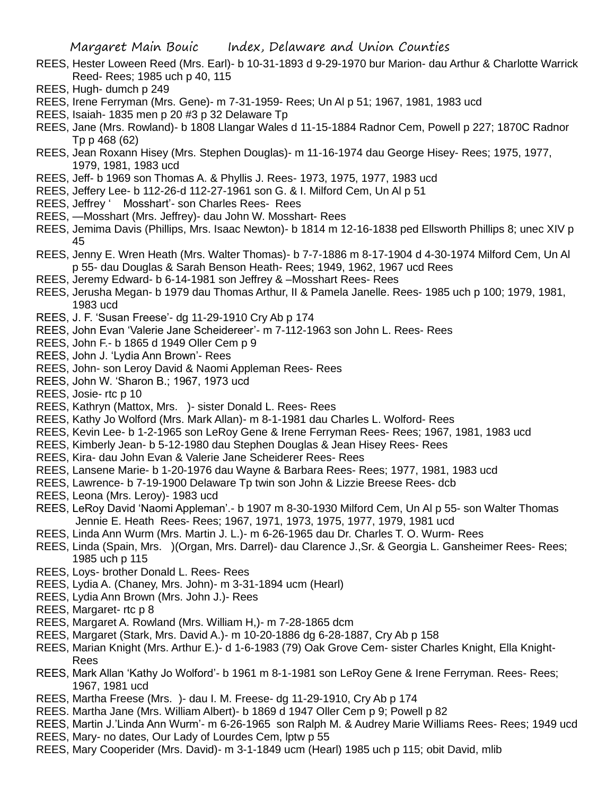- REES, Hester Loween Reed (Mrs. Earl)- b 10-31-1893 d 9-29-1970 bur Marion- dau Arthur & Charlotte Warrick Reed- Rees; 1985 uch p 40, 115
- REES, Hugh- dumch p 249
- REES, Irene Ferryman (Mrs. Gene)- m 7-31-1959- Rees; Un Al p 51; 1967, 1981, 1983 ucd
- REES, Isaiah- 1835 men p 20 #3 p 32 Delaware Tp
- REES, Jane (Mrs. Rowland)- b 1808 Llangar Wales d 11-15-1884 Radnor Cem, Powell p 227; 1870C Radnor Tp p 468 (62)
- REES, Jean Roxann Hisey (Mrs. Stephen Douglas)- m 11-16-1974 dau George Hisey- Rees; 1975, 1977, 1979, 1981, 1983 ucd
- REES, Jeff- b 1969 son Thomas A. & Phyllis J. Rees- 1973, 1975, 1977, 1983 ucd
- REES, Jeffery Lee- b 112-26-d 112-27-1961 son G. & I. Milford Cem, Un Al p 51
- REES, Jeffrey ' Mosshart'- son Charles Rees- Rees
- REES, —Mosshart (Mrs. Jeffrey)- dau John W. Mosshart- Rees
- REES, Jemima Davis (Phillips, Mrs. Isaac Newton)- b 1814 m 12-16-1838 ped Ellsworth Phillips 8; unec XIV p 45
- REES, Jenny E. Wren Heath (Mrs. Walter Thomas)- b 7-7-1886 m 8-17-1904 d 4-30-1974 Milford Cem, Un Al p 55- dau Douglas & Sarah Benson Heath- Rees; 1949, 1962, 1967 ucd Rees
- REES, Jeremy Edward- b 6-14-1981 son Jeffrey & –Mosshart Rees- Rees
- REES, Jerusha Megan- b 1979 dau Thomas Arthur, II & Pamela Janelle. Rees- 1985 uch p 100; 1979, 1981, 1983 ucd
- REES, J. F. 'Susan Freese'- dg 11-29-1910 Cry Ab p 174
- REES, John Evan 'Valerie Jane Scheidereer'- m 7-112-1963 son John L. Rees- Rees
- REES, John F.- b 1865 d 1949 Oller Cem p 9
- REES, John J. 'Lydia Ann Brown'- Rees
- REES, John- son Leroy David & Naomi Appleman Rees- Rees
- REES, John W. 'Sharon B.; 1967, 1973 ucd
- REES, Josie- rtc p 10
- REES, Kathryn (Mattox, Mrs. )- sister Donald L. Rees- Rees
- REES, Kathy Jo Wolford (Mrs. Mark Allan)- m 8-1-1981 dau Charles L. Wolford- Rees
- REES, Kevin Lee- b 1-2-1965 son LeRoy Gene & Irene Ferryman Rees- Rees; 1967, 1981, 1983 ucd
- REES, Kimberly Jean- b 5-12-1980 dau Stephen Douglas & Jean Hisey Rees- Rees
- REES, Kira- dau John Evan & Valerie Jane Scheiderer Rees- Rees
- REES, Lansene Marie- b 1-20-1976 dau Wayne & Barbara Rees- Rees; 1977, 1981, 1983 ucd
- REES, Lawrence- b 7-19-1900 Delaware Tp twin son John & Lizzie Breese Rees- dcb
- REES, Leona (Mrs. Leroy)- 1983 ucd
- REES, LeRoy David 'Naomi Appleman'.- b 1907 m 8-30-1930 Milford Cem, Un Al p 55- son Walter Thomas Jennie E. Heath Rees- Rees; 1967, 1971, 1973, 1975, 1977, 1979, 1981 ucd
- REES, Linda Ann Wurm (Mrs. Martin J. L.)- m 6-26-1965 dau Dr. Charles T. O. Wurm- Rees
- REES, Linda (Spain, Mrs. )(Organ, Mrs. Darrel)- dau Clarence J.,Sr. & Georgia L. Gansheimer Rees- Rees; 1985 uch p 115
- REES, Loys- brother Donald L. Rees- Rees
- REES, Lydia A. (Chaney, Mrs. John)- m 3-31-1894 ucm (Hearl)
- REES, Lydia Ann Brown (Mrs. John J.)- Rees
- REES, Margaret- rtc p 8
- REES, Margaret A. Rowland (Mrs. William H,)- m 7-28-1865 dcm
- REES, Margaret (Stark, Mrs. David A.)- m 10-20-1886 dg 6-28-1887, Cry Ab p 158
- REES, Marian Knight (Mrs. Arthur E.)- d 1-6-1983 (79) Oak Grove Cem- sister Charles Knight, Ella Knight-Rees
- REES, Mark Allan 'Kathy Jo Wolford'- b 1961 m 8-1-1981 son LeRoy Gene & Irene Ferryman. Rees- Rees; 1967, 1981 ucd
- REES, Martha Freese (Mrs. )- dau I. M. Freese- dg 11-29-1910, Cry Ab p 174
- REES. Martha Jane (Mrs. William Albert)- b 1869 d 1947 Oller Cem p 9; Powell p 82
- REES, Martin J.'Linda Ann Wurm'- m 6-26-1965 son Ralph M. & Audrey Marie Williams Rees- Rees; 1949 ucd REES, Mary- no dates, Our Lady of Lourdes Cem, lptw p 55
- 
- REES, Mary Cooperider (Mrs. David)- m 3-1-1849 ucm (Hearl) 1985 uch p 115; obit David, mlib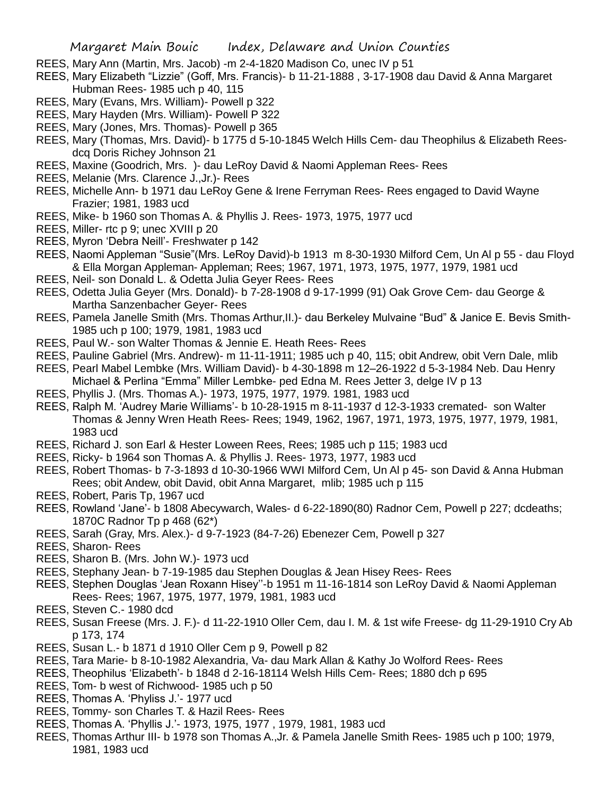- REES, Mary Ann (Martin, Mrs. Jacob) -m 2-4-1820 Madison Co, unec IV p 51
- REES, Mary Elizabeth "Lizzie" (Goff, Mrs. Francis)- b 11-21-1888 , 3-17-1908 dau David & Anna Margaret Hubman Rees- 1985 uch p 40, 115
- REES, Mary (Evans, Mrs. William)- Powell p 322
- REES, Mary Hayden (Mrs. William)- Powell P 322
- REES, Mary (Jones, Mrs. Thomas)- Powell p 365
- REES, Mary (Thomas, Mrs. David)- b 1775 d 5-10-1845 Welch Hills Cem- dau Theophilus & Elizabeth Reesdcq Doris Richey Johnson 21
- REES, Maxine (Goodrich, Mrs. )- dau LeRoy David & Naomi Appleman Rees- Rees
- REES, Melanie (Mrs. Clarence J.,Jr.)- Rees
- REES, Michelle Ann- b 1971 dau LeRoy Gene & Irene Ferryman Rees- Rees engaged to David Wayne Frazier; 1981, 1983 ucd
- REES, Mike- b 1960 son Thomas A. & Phyllis J. Rees- 1973, 1975, 1977 ucd
- REES, Miller- rtc p 9; unec XVIII p 20
- REES, Myron 'Debra Neill'- Freshwater p 142
- REES, Naomi Appleman "Susie"(Mrs. LeRoy David)-b 1913 m 8-30-1930 Milford Cem, Un Al p 55 dau Floyd & Ella Morgan Appleman- Appleman; Rees; 1967, 1971, 1973, 1975, 1977, 1979, 1981 ucd
- REES, Neil- son Donald L. & Odetta Julia Geyer Rees- Rees
- REES, Odetta Julia Geyer (Mrs. Donald)- b 7-28-1908 d 9-17-1999 (91) Oak Grove Cem- dau George & Martha Sanzenbacher Geyer- Rees
- REES, Pamela Janelle Smith (Mrs. Thomas Arthur,II.)- dau Berkeley Mulvaine "Bud" & Janice E. Bevis Smith-1985 uch p 100; 1979, 1981, 1983 ucd
- REES, Paul W.- son Walter Thomas & Jennie E. Heath Rees- Rees
- REES, Pauline Gabriel (Mrs. Andrew)- m 11-11-1911; 1985 uch p 40, 115; obit Andrew, obit Vern Dale, mlib
- REES, Pearl Mabel Lembke (Mrs. William David)- b 4-30-1898 m 12–26-1922 d 5-3-1984 Neb. Dau Henry Michael & Perlina "Emma" Miller Lembke- ped Edna M. Rees Jetter 3, delge IV p 13
- REES, Phyllis J. (Mrs. Thomas A.)- 1973, 1975, 1977, 1979. 1981, 1983 ucd
- REES, Ralph M. 'Audrey Marie Williams'- b 10-28-1915 m 8-11-1937 d 12-3-1933 cremated- son Walter Thomas & Jenny Wren Heath Rees- Rees; 1949, 1962, 1967, 1971, 1973, 1975, 1977, 1979, 1981, 1983 ucd
- REES, Richard J. son Earl & Hester Loween Rees, Rees; 1985 uch p 115; 1983 ucd
- REES, Ricky- b 1964 son Thomas A. & Phyllis J. Rees- 1973, 1977, 1983 ucd
- REES, Robert Thomas- b 7-3-1893 d 10-30-1966 WWI Milford Cem, Un Al p 45- son David & Anna Hubman Rees; obit Andew, obit David, obit Anna Margaret, mlib; 1985 uch p 115
- REES, Robert, Paris Tp, 1967 ucd
- REES, Rowland 'Jane'- b 1808 Abecywarch, Wales- d 6-22-1890(80) Radnor Cem, Powell p 227; dcdeaths; 1870C Radnor Tp p 468 (62\*)
- REES, Sarah (Gray, Mrs. Alex.)- d 9-7-1923 (84-7-26) Ebenezer Cem, Powell p 327
- REES, Sharon- Rees
- REES, Sharon B. (Mrs. John W.)- 1973 ucd
- REES, Stephany Jean- b 7-19-1985 dau Stephen Douglas & Jean Hisey Rees- Rees
- REES, Stephen Douglas 'Jean Roxann Hisey''-b 1951 m 11-16-1814 son LeRoy David & Naomi Appleman Rees- Rees; 1967, 1975, 1977, 1979, 1981, 1983 ucd
- REES, Steven C.- 1980 dcd
- REES, Susan Freese (Mrs. J. F.)- d 11-22-1910 Oller Cem, dau I. M. & 1st wife Freese- dg 11-29-1910 Cry Ab p 173, 174
- REES, Susan L.- b 1871 d 1910 Oller Cem p 9, Powell p 82
- REES, Tara Marie- b 8-10-1982 Alexandria, Va- dau Mark Allan & Kathy Jo Wolford Rees- Rees
- REES, Theophilus 'Elizabeth'- b 1848 d 2-16-18114 Welsh Hills Cem- Rees; 1880 dch p 695
- REES, Tom- b west of Richwood- 1985 uch p 50
- REES, Thomas A. 'Phyliss J.'- 1977 ucd
- REES, Tommy- son Charles T. & Hazil Rees- Rees
- REES, Thomas A. 'Phyllis J.'- 1973, 1975, 1977 , 1979, 1981, 1983 ucd
- REES, Thomas Arthur III- b 1978 son Thomas A.,Jr. & Pamela Janelle Smith Rees- 1985 uch p 100; 1979, 1981, 1983 ucd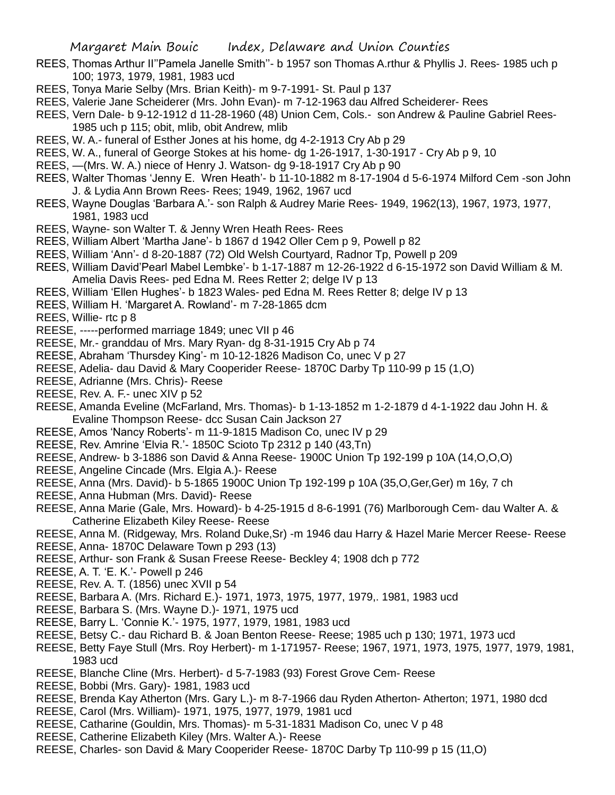- REES, Thomas Arthur II''Pamela Janelle Smith''- b 1957 son Thomas A.rthur & Phyllis J. Rees- 1985 uch p 100; 1973, 1979, 1981, 1983 ucd
- REES, Tonya Marie Selby (Mrs. Brian Keith)- m 9-7-1991- St. Paul p 137
- REES, Valerie Jane Scheiderer (Mrs. John Evan)- m 7-12-1963 dau Alfred Scheiderer- Rees
- REES, Vern Dale- b 9-12-1912 d 11-28-1960 (48) Union Cem, Cols.- son Andrew & Pauline Gabriel Rees-1985 uch p 115; obit, mlib, obit Andrew, mlib
- REES, W. A.- funeral of Esther Jones at his home, dg 4-2-1913 Cry Ab p 29
- REES, W. A., funeral of George Stokes at his home- dg 1-26-1917, 1-30-1917 Cry Ab p 9, 10
- REES, —(Mrs. W. A.) niece of Henry J. Watson- dg 9-18-1917 Cry Ab p 90
- REES, Walter Thomas 'Jenny E. Wren Heath'- b 11-10-1882 m 8-17-1904 d 5-6-1974 Milford Cem -son John J. & Lydia Ann Brown Rees- Rees; 1949, 1962, 1967 ucd
- REES, Wayne Douglas 'Barbara A.'- son Ralph & Audrey Marie Rees- 1949, 1962(13), 1967, 1973, 1977, 1981, 1983 ucd
- REES, Wayne- son Walter T. & Jenny Wren Heath Rees- Rees
- REES, William Albert 'Martha Jane'- b 1867 d 1942 Oller Cem p 9, Powell p 82
- REES, William 'Ann'- d 8-20-1887 (72) Old Welsh Courtyard, Radnor Tp, Powell p 209
- REES, William David'Pearl Mabel Lembke'- b 1-17-1887 m 12-26-1922 d 6-15-1972 son David William & M. Amelia Davis Rees- ped Edna M. Rees Retter 2; delge IV p 13
- REES, William 'Ellen Hughes'- b 1823 Wales- ped Edna M. Rees Retter 8; delge IV p 13
- REES, William H. 'Margaret A. Rowland'- m 7-28-1865 dcm
- REES, Willie- rtc p 8
- REESE, -----performed marriage 1849; unec VII p 46
- REESE, Mr.- granddau of Mrs. Mary Ryan- dg 8-31-1915 Cry Ab p 74
- REESE, Abraham 'Thursdey King'- m 10-12-1826 Madison Co, unec V p 27
- REESE, Adelia- dau David & Mary Cooperider Reese- 1870C Darby Tp 110-99 p 15 (1,O)
- REESE, Adrianne (Mrs. Chris)- Reese
- REESE, Rev. A. F.- unec XIV p 52
- REESE, Amanda Eveline (McFarland, Mrs. Thomas)- b 1-13-1852 m 1-2-1879 d 4-1-1922 dau John H. & Evaline Thompson Reese- dcc Susan Cain Jackson 27
- REESE, Amos 'Nancy Roberts'- m 11-9-1815 Madison Co, unec IV p 29
- REESE, Rev. Amrine 'Elvia R.'- 1850C Scioto Tp 2312 p 140 (43,Tn)
- REESE, Andrew- b 3-1886 son David & Anna Reese- 1900C Union Tp 192-199 p 10A (14,O,O,O)
- REESE, Angeline Cincade (Mrs. Elgia A.)- Reese
- REESE, Anna (Mrs. David)- b 5-1865 1900C Union Tp 192-199 p 10A (35,O,Ger,Ger) m 16y, 7 ch
- REESE, Anna Hubman (Mrs. David)- Reese
- REESE, Anna Marie (Gale, Mrs. Howard)- b 4-25-1915 d 8-6-1991 (76) Marlborough Cem- dau Walter A. & Catherine Elizabeth Kiley Reese- Reese
- REESE, Anna M. (Ridgeway, Mrs. Roland Duke,Sr) -m 1946 dau Harry & Hazel Marie Mercer Reese- Reese
- REESE, Anna- 1870C Delaware Town p 293 (13)
- REESE, Arthur- son Frank & Susan Freese Reese- Beckley 4; 1908 dch p 772
- REESE, A. T. 'E. K.'- Powell p 246
- REESE, Rev. A. T. (1856) unec XVII p 54
- REESE, Barbara A. (Mrs. Richard E.)- 1971, 1973, 1975, 1977, 1979,. 1981, 1983 ucd
- REESE, Barbara S. (Mrs. Wayne D.)- 1971, 1975 ucd
- REESE, Barry L. 'Connie K.'- 1975, 1977, 1979, 1981, 1983 ucd
- REESE, Betsy C.- dau Richard B. & Joan Benton Reese- Reese; 1985 uch p 130; 1971, 1973 ucd
- REESE, Betty Faye Stull (Mrs. Roy Herbert)- m 1-171957- Reese; 1967, 1971, 1973, 1975, 1977, 1979, 1981, 1983 ucd
- REESE, Blanche Cline (Mrs. Herbert)- d 5-7-1983 (93) Forest Grove Cem- Reese
- REESE, Bobbi (Mrs. Gary)- 1981, 1983 ucd
- REESE, Brenda Kay Atherton (Mrs. Gary L.)- m 8-7-1966 dau Ryden Atherton- Atherton; 1971, 1980 dcd
- REESE, Carol (Mrs. William)- 1971, 1975, 1977, 1979, 1981 ucd
- REESE, Catharine (Gouldin, Mrs. Thomas)- m 5-31-1831 Madison Co, unec V p 48
- REESE, Catherine Elizabeth Kiley (Mrs. Walter A.)- Reese
- REESE, Charles- son David & Mary Cooperider Reese- 1870C Darby Tp 110-99 p 15 (11,O)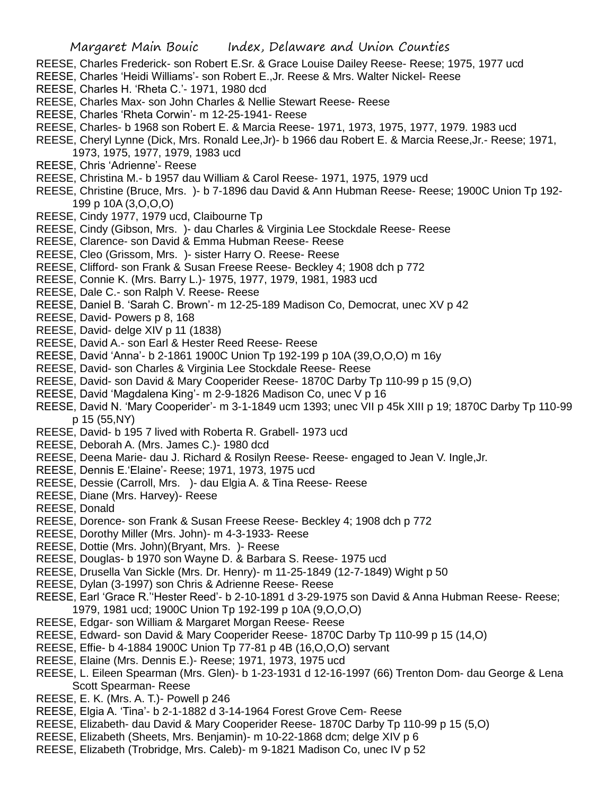- REESE, Charles Frederick- son Robert E.Sr. & Grace Louise Dailey Reese- Reese; 1975, 1977 ucd
- REESE, Charles 'Heidi Williams'- son Robert E.,Jr. Reese & Mrs. Walter Nickel- Reese
- REESE, Charles H. 'Rheta C.'- 1971, 1980 dcd
- REESE, Charles Max- son John Charles & Nellie Stewart Reese- Reese
- REESE, Charles 'Rheta Corwin'- m 12-25-1941- Reese
- REESE, Charles- b 1968 son Robert E. & Marcia Reese- 1971, 1973, 1975, 1977, 1979. 1983 ucd
- REESE, Cheryl Lynne (Dick, Mrs. Ronald Lee,Jr)- b 1966 dau Robert E. & Marcia Reese,Jr.- Reese; 1971, 1973, 1975, 1977, 1979, 1983 ucd
- REESE, Chris 'Adrienne'- Reese
- REESE, Christina M.- b 1957 dau William & Carol Reese- 1971, 1975, 1979 ucd
- REESE, Christine (Bruce, Mrs. )- b 7-1896 dau David & Ann Hubman Reese- Reese; 1900C Union Tp 192- 199 p 10A (3,O,O,O)
- REESE, Cindy 1977, 1979 ucd, Claibourne Tp
- REESE, Cindy (Gibson, Mrs. )- dau Charles & Virginia Lee Stockdale Reese- Reese
- REESE, Clarence- son David & Emma Hubman Reese- Reese
- REESE, Cleo (Grissom, Mrs. )- sister Harry O. Reese- Reese
- REESE, Clifford- son Frank & Susan Freese Reese- Beckley 4; 1908 dch p 772
- REESE, Connie K. (Mrs. Barry L.)- 1975, 1977, 1979, 1981, 1983 ucd
- REESE, Dale C.- son Ralph V. Reese- Reese
- REESE, Daniel B. 'Sarah C. Brown'- m 12-25-189 Madison Co, Democrat, unec XV p 42
- REESE, David- Powers p 8, 168
- REESE, David- delge XIV p 11 (1838)
- REESE, David A.- son Earl & Hester Reed Reese- Reese
- REESE, David 'Anna'- b 2-1861 1900C Union Tp 192-199 p 10A (39,O,O,O) m 16y
- REESE, David- son Charles & Virginia Lee Stockdale Reese- Reese
- REESE, David- son David & Mary Cooperider Reese- 1870C Darby Tp 110-99 p 15 (9,O)
- REESE, David 'Magdalena King'- m 2-9-1826 Madison Co, unec V p 16
- REESE, David N. 'Mary Cooperider'- m 3-1-1849 ucm 1393; unec VII p 45k XIII p 19; 1870C Darby Tp 110-99 p 15 (55,NY)
- REESE, David- b 195 7 lived with Roberta R. Grabell- 1973 ucd
- REESE, Deborah A. (Mrs. James C.)- 1980 dcd
- REESE, Deena Marie- dau J. Richard & Rosilyn Reese- Reese- engaged to Jean V. Ingle,Jr.
- REESE, Dennis E.'Elaine'- Reese; 1971, 1973, 1975 ucd
- REESE, Dessie (Carroll, Mrs. )- dau Elgia A. & Tina Reese- Reese
- REESE, Diane (Mrs. Harvey)- Reese
- REESE, Donald
- REESE, Dorence- son Frank & Susan Freese Reese- Beckley 4; 1908 dch p 772
- REESE, Dorothy Miller (Mrs. John)- m 4-3-1933- Reese
- REESE, Dottie (Mrs. John)(Bryant, Mrs. )- Reese
- REESE, Douglas- b 1970 son Wayne D. & Barbara S. Reese- 1975 ucd
- REESE, Drusella Van Sickle (Mrs. Dr. Henry)- m 11-25-1849 (12-7-1849) Wight p 50
- REESE, Dylan (3-1997) son Chris & Adrienne Reese- Reese
- REESE, Earl 'Grace R.''Hester Reed'- b 2-10-1891 d 3-29-1975 son David & Anna Hubman Reese- Reese; 1979, 1981 ucd; 1900C Union Tp 192-199 p 10A (9,O,O,O)
- REESE, Edgar- son William & Margaret Morgan Reese- Reese
- REESE, Edward- son David & Mary Cooperider Reese- 1870C Darby Tp 110-99 p 15 (14,O)
- REESE, Effie- b 4-1884 1900C Union Tp 77-81 p 4B (16,O,O,O) servant
- REESE, Elaine (Mrs. Dennis E.)- Reese; 1971, 1973, 1975 ucd
- REESE, L. Eileen Spearman (Mrs. Glen)- b 1-23-1931 d 12-16-1997 (66) Trenton Dom- dau George & Lena Scott Spearman- Reese
- REESE, E. K. (Mrs. A. T.)- Powell p 246
- REESE, Elgia A. 'Tina'- b 2-1-1882 d 3-14-1964 Forest Grove Cem- Reese
- REESE, Elizabeth- dau David & Mary Cooperider Reese- 1870C Darby Tp 110-99 p 15 (5,O)
- REESE, Elizabeth (Sheets, Mrs. Benjamin)- m 10-22-1868 dcm; delge XIV p 6
- REESE, Elizabeth (Trobridge, Mrs. Caleb)- m 9-1821 Madison Co, unec IV p 52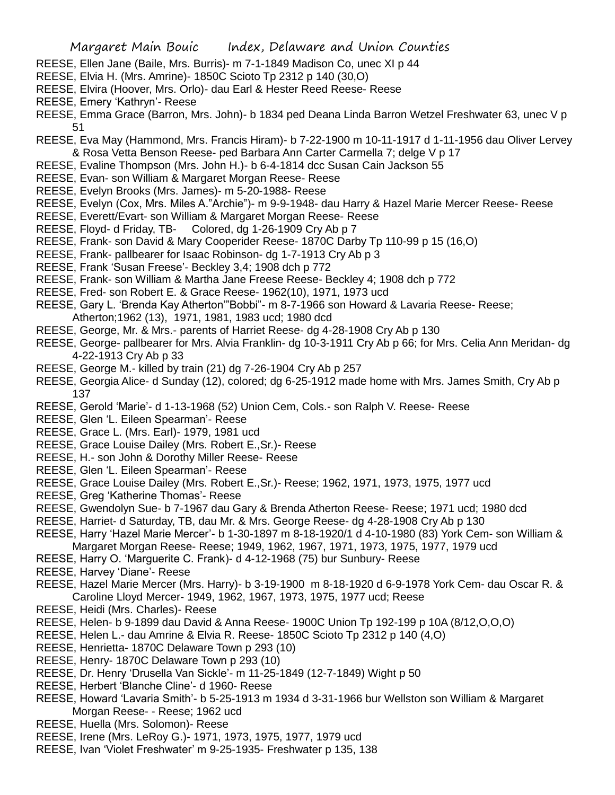- REESE, Ellen Jane (Baile, Mrs. Burris)- m 7-1-1849 Madison Co, unec XI p 44
- REESE, Elvia H. (Mrs. Amrine)- 1850C Scioto Tp 2312 p 140 (30,O)
- REESE, Elvira (Hoover, Mrs. Orlo)- dau Earl & Hester Reed Reese- Reese
- REESE, Emery 'Kathryn'- Reese
- REESE, Emma Grace (Barron, Mrs. John)- b 1834 ped Deana Linda Barron Wetzel Freshwater 63, unec V p 51
- REESE, Eva May (Hammond, Mrs. Francis Hiram)- b 7-22-1900 m 10-11-1917 d 1-11-1956 dau Oliver Lervey & Rosa Vetta Benson Reese- ped Barbara Ann Carter Carmella 7; delge V p 17
- REESE, Evaline Thompson (Mrs. John H.)- b 6-4-1814 dcc Susan Cain Jackson 55
- REESE, Evan- son William & Margaret Morgan Reese- Reese
- REESE, Evelyn Brooks (Mrs. James)- m 5-20-1988- Reese
- REESE, Evelyn (Cox, Mrs. Miles A."Archie")- m 9-9-1948- dau Harry & Hazel Marie Mercer Reese- Reese
- REESE, Everett/Evart- son William & Margaret Morgan Reese- Reese
- REESE, Floyd- d Friday, TB- Colored, dg 1-26-1909 Cry Ab p 7
- REESE, Frank- son David & Mary Cooperider Reese- 1870C Darby Tp 110-99 p 15 (16,O)
- REESE, Frank- pallbearer for Isaac Robinson- dg 1-7-1913 Cry Ab p 3
- REESE, Frank 'Susan Freese'- Beckley 3,4; 1908 dch p 772
- REESE, Frank- son William & Martha Jane Freese Reese- Beckley 4; 1908 dch p 772
- REESE, Fred- son Robert E. & Grace Reese- 1962(10), 1971, 1973 ucd
- REESE, Gary L. 'Brenda Kay Atherton'"Bobbi"- m 8-7-1966 son Howard & Lavaria Reese- Reese; Atherton;1962 (13), 1971, 1981, 1983 ucd; 1980 dcd
- REESE, George, Mr. & Mrs.- parents of Harriet Reese- dg 4-28-1908 Cry Ab p 130
- REESE, George- pallbearer for Mrs. Alvia Franklin- dg 10-3-1911 Cry Ab p 66; for Mrs. Celia Ann Meridan- dg 4-22-1913 Cry Ab p 33
- REESE, George M.- killed by train (21) dg 7-26-1904 Cry Ab p 257
- REESE, Georgia Alice- d Sunday (12), colored; dg 6-25-1912 made home with Mrs. James Smith, Cry Ab p 137
- REESE, Gerold 'Marie'- d 1-13-1968 (52) Union Cem, Cols.- son Ralph V. Reese- Reese
- REESE, Glen 'L. Eileen Spearman'- Reese
- REESE, Grace L. (Mrs. Earl)- 1979, 1981 ucd
- REESE, Grace Louise Dailey (Mrs. Robert E.,Sr.)- Reese
- REESE, H.- son John & Dorothy Miller Reese- Reese
- REESE, Glen 'L. Eileen Spearman'- Reese
- REESE, Grace Louise Dailey (Mrs. Robert E.,Sr.)- Reese; 1962, 1971, 1973, 1975, 1977 ucd
- REESE, Greg 'Katherine Thomas'- Reese
- REESE, Gwendolyn Sue- b 7-1967 dau Gary & Brenda Atherton Reese- Reese; 1971 ucd; 1980 dcd
- REESE, Harriet- d Saturday, TB, dau Mr. & Mrs. George Reese- dg 4-28-1908 Cry Ab p 130
- REESE, Harry 'Hazel Marie Mercer'- b 1-30-1897 m 8-18-1920/1 d 4-10-1980 (83) York Cem- son William & Margaret Morgan Reese- Reese; 1949, 1962, 1967, 1971, 1973, 1975, 1977, 1979 ucd
- REESE, Harry O. 'Marguerite C. Frank)- d 4-12-1968 (75) bur Sunbury- Reese
- REESE, Harvey 'Diane'- Reese
- REESE, Hazel Marie Mercer (Mrs. Harry)- b 3-19-1900 m 8-18-1920 d 6-9-1978 York Cem- dau Oscar R. & Caroline Lloyd Mercer- 1949, 1962, 1967, 1973, 1975, 1977 ucd; Reese
- REESE, Heidi (Mrs. Charles)- Reese
- REESE, Helen- b 9-1899 dau David & Anna Reese- 1900C Union Tp 192-199 p 10A (8/12,O,O,O)
- REESE, Helen L.- dau Amrine & Elvia R. Reese- 1850C Scioto Tp 2312 p 140 (4,O)
- REESE, Henrietta- 1870C Delaware Town p 293 (10)
- REESE, Henry- 1870C Delaware Town p 293 (10)
- REESE, Dr. Henry 'Drusella Van Sickle'- m 11-25-1849 (12-7-1849) Wight p 50
- REESE, Herbert 'Blanche Cline'- d 1960- Reese
- REESE, Howard 'Lavaria Smith'- b 5-25-1913 m 1934 d 3-31-1966 bur Wellston son William & Margaret Morgan Reese- - Reese; 1962 ucd
- REESE, Huella (Mrs. Solomon)- Reese
- REESE, Irene (Mrs. LeRoy G.)- 1971, 1973, 1975, 1977, 1979 ucd
- REESE, Ivan 'Violet Freshwater' m 9-25-1935- Freshwater p 135, 138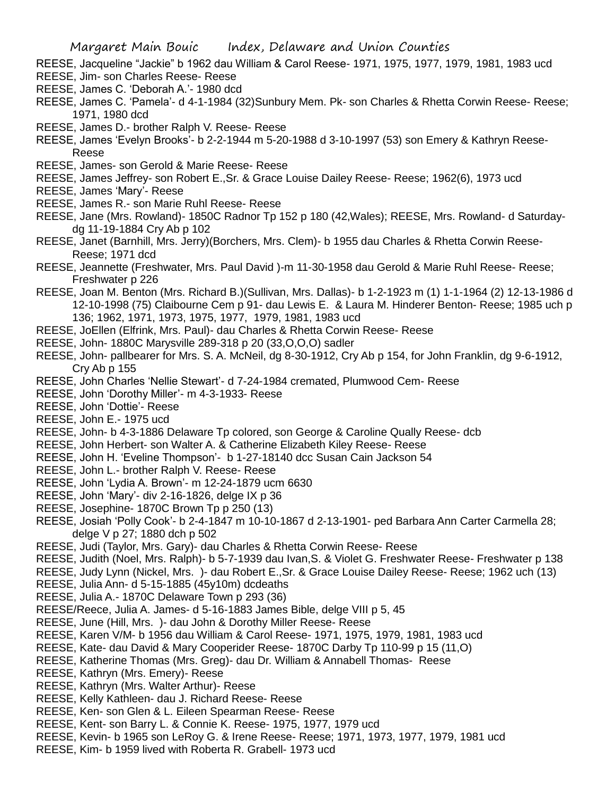- REESE, Jacqueline "Jackie" b 1962 dau William & Carol Reese- 1971, 1975, 1977, 1979, 1981, 1983 ucd
- REESE, Jim- son Charles Reese- Reese REESE, James C. 'Deborah A.'- 1980 dcd
- REESE, James C. 'Pamela'- d 4-1-1984 (32)Sunbury Mem. Pk- son Charles & Rhetta Corwin Reese- Reese; 1971, 1980 dcd
- REESE, James D.- brother Ralph V. Reese- Reese
- REESE, James 'Evelyn Brooks'- b 2-2-1944 m 5-20-1988 d 3-10-1997 (53) son Emery & Kathryn Reese-Reese
- REESE, James- son Gerold & Marie Reese- Reese
- REESE, James Jeffrey- son Robert E.,Sr. & Grace Louise Dailey Reese- Reese; 1962(6), 1973 ucd
- REESE, James 'Mary'- Reese
- REESE, James R.- son Marie Ruhl Reese- Reese
- REESE, Jane (Mrs. Rowland)- 1850C Radnor Tp 152 p 180 (42,Wales); REESE, Mrs. Rowland- d Saturdaydg 11-19-1884 Cry Ab p 102
- REESE, Janet (Barnhill, Mrs. Jerry)(Borchers, Mrs. Clem)- b 1955 dau Charles & Rhetta Corwin Reese-Reese; 1971 dcd
- REESE, Jeannette (Freshwater, Mrs. Paul David )-m 11-30-1958 dau Gerold & Marie Ruhl Reese- Reese; Freshwater p 226
- REESE, Joan M. Benton (Mrs. Richard B.)(Sullivan, Mrs. Dallas)- b 1-2-1923 m (1) 1-1-1964 (2) 12-13-1986 d 12-10-1998 (75) Claibourne Cem p 91- dau Lewis E. & Laura M. Hinderer Benton- Reese; 1985 uch p 136; 1962, 1971, 1973, 1975, 1977, 1979, 1981, 1983 ucd
- REESE, JoEllen (Elfrink, Mrs. Paul)- dau Charles & Rhetta Corwin Reese- Reese
- REESE, John- 1880C Marysville 289-318 p 20 (33,O,O,O) sadler
- REESE, John- pallbearer for Mrs. S. A. McNeil, dg 8-30-1912, Cry Ab p 154, for John Franklin, dg 9-6-1912, Cry Ab p 155
- REESE, John Charles 'Nellie Stewart'- d 7-24-1984 cremated, Plumwood Cem- Reese
- REESE, John 'Dorothy Miller'- m 4-3-1933- Reese
- REESE, John 'Dottie'- Reese
- REESE, John E.- 1975 ucd
- REESE, John- b 4-3-1886 Delaware Tp colored, son George & Caroline Qually Reese- dcb
- REESE, John Herbert- son Walter A. & Catherine Elizabeth Kiley Reese- Reese
- REESE, John H. 'Eveline Thompson'- b 1-27-18140 dcc Susan Cain Jackson 54
- REESE, John L.- brother Ralph V. Reese- Reese
- REESE, John 'Lydia A. Brown'- m 12-24-1879 ucm 6630
- REESE, John 'Mary'- div 2-16-1826, delge IX p 36
- REESE, Josephine- 1870C Brown Tp p 250 (13)
- REESE, Josiah 'Polly Cook'- b 2-4-1847 m 10-10-1867 d 2-13-1901- ped Barbara Ann Carter Carmella 28; delge V p 27; 1880 dch p 502
- REESE, Judi (Taylor, Mrs. Gary)- dau Charles & Rhetta Corwin Reese- Reese
- REESE, Judith (Noel, Mrs. Ralph)- b 5-7-1939 dau Ivan,S. & Violet G. Freshwater Reese- Freshwater p 138
- REESE, Judy Lynn (Nickel, Mrs. )- dau Robert E.,Sr. & Grace Louise Dailey Reese- Reese; 1962 uch (13)
- REESE, Julia Ann- d 5-15-1885 (45y10m) dcdeaths
- REESE, Julia A.- 1870C Delaware Town p 293 (36)
- REESE/Reece, Julia A. James- d 5-16-1883 James Bible, delge VIII p 5, 45
- REESE, June (Hill, Mrs. )- dau John & Dorothy Miller Reese- Reese
- REESE, Karen V/M- b 1956 dau William & Carol Reese- 1971, 1975, 1979, 1981, 1983 ucd
- REESE, Kate- dau David & Mary Cooperider Reese- 1870C Darby Tp 110-99 p 15 (11,O)
- REESE, Katherine Thomas (Mrs. Greg)- dau Dr. William & Annabell Thomas- Reese
- REESE, Kathryn (Mrs. Emery)- Reese
- REESE, Kathryn (Mrs. Walter Arthur)- Reese
- REESE, Kelly Kathleen- dau J. Richard Reese- Reese
- REESE, Ken- son Glen & L. Eileen Spearman Reese- Reese
- REESE, Kent- son Barry L. & Connie K. Reese- 1975, 1977, 1979 ucd
- REESE, Kevin- b 1965 son LeRoy G. & Irene Reese- Reese; 1971, 1973, 1977, 1979, 1981 ucd
- REESE, Kim- b 1959 lived with Roberta R. Grabell- 1973 ucd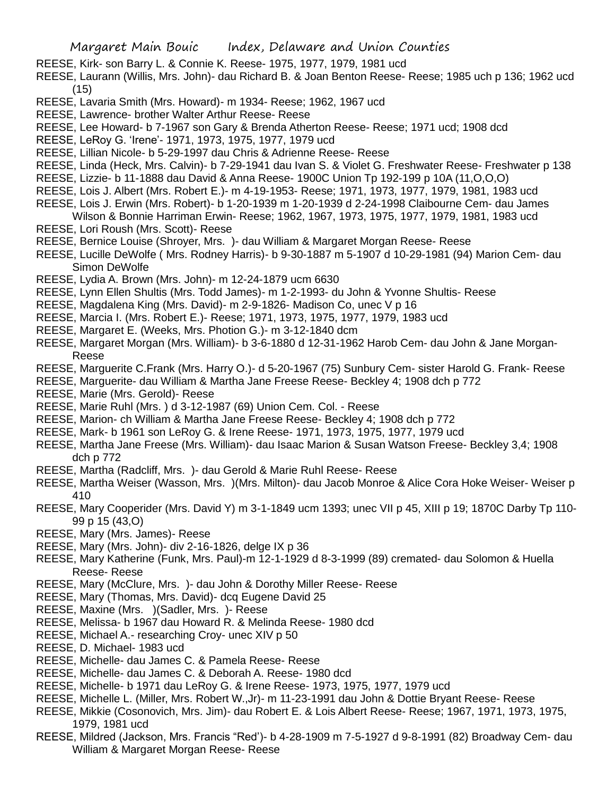- REESE, Kirk- son Barry L. & Connie K. Reese- 1975, 1977, 1979, 1981 ucd
- REESE, Laurann (Willis, Mrs. John)- dau Richard B. & Joan Benton Reese- Reese; 1985 uch p 136; 1962 ucd (15)
- REESE, Lavaria Smith (Mrs. Howard)- m 1934- Reese; 1962, 1967 ucd
- REESE, Lawrence- brother Walter Arthur Reese- Reese
- REESE, Lee Howard- b 7-1967 son Gary & Brenda Atherton Reese- Reese; 1971 ucd; 1908 dcd
- REESE, LeRoy G. 'Irene'- 1971, 1973, 1975, 1977, 1979 ucd
- REESE, Lillian Nicole- b 5-29-1997 dau Chris & Adrienne Reese- Reese
- REESE, Linda (Heck, Mrs. Calvin)- b 7-29-1941 dau Ivan S. & Violet G. Freshwater Reese- Freshwater p 138
- REESE, Lizzie- b 11-1888 dau David & Anna Reese- 1900C Union Tp 192-199 p 10A (11,O,O,O)
- REESE, Lois J. Albert (Mrs. Robert E.)- m 4-19-1953- Reese; 1971, 1973, 1977, 1979, 1981, 1983 ucd
- REESE, Lois J. Erwin (Mrs. Robert)- b 1-20-1939 m 1-20-1939 d 2-24-1998 Claibourne Cem- dau James Wilson & Bonnie Harriman Erwin- Reese; 1962, 1967, 1973, 1975, 1977, 1979, 1981, 1983 ucd
- REESE, Lori Roush (Mrs. Scott)- Reese
- REESE, Bernice Louise (Shroyer, Mrs. )- dau William & Margaret Morgan Reese- Reese
- REESE, Lucille DeWolfe ( Mrs. Rodney Harris)- b 9-30-1887 m 5-1907 d 10-29-1981 (94) Marion Cem- dau Simon DeWolfe
- REESE, Lydia A. Brown (Mrs. John)- m 12-24-1879 ucm 6630
- REESE, Lynn Ellen Shultis (Mrs. Todd James)- m 1-2-1993- du John & Yvonne Shultis- Reese
- REESE, Magdalena King (Mrs. David)- m 2-9-1826- Madison Co, unec V p 16
- REESE, Marcia I. (Mrs. Robert E.)- Reese; 1971, 1973, 1975, 1977, 1979, 1983 ucd
- REESE, Margaret E. (Weeks, Mrs. Photion G.)- m 3-12-1840 dcm
- REESE, Margaret Morgan (Mrs. William)- b 3-6-1880 d 12-31-1962 Harob Cem- dau John & Jane Morgan-Reese
- REESE, Marguerite C.Frank (Mrs. Harry O.)- d 5-20-1967 (75) Sunbury Cem- sister Harold G. Frank- Reese
- REESE, Marguerite- dau William & Martha Jane Freese Reese- Beckley 4; 1908 dch p 772
- REESE, Marie (Mrs. Gerold)- Reese
- REESE, Marie Ruhl (Mrs. ) d 3-12-1987 (69) Union Cem. Col. Reese
- REESE, Marion- ch William & Martha Jane Freese Reese- Beckley 4; 1908 dch p 772
- REESE, Mark- b 1961 son LeRoy G. & Irene Reese- 1971, 1973, 1975, 1977, 1979 ucd
- REESE, Martha Jane Freese (Mrs. William)- dau Isaac Marion & Susan Watson Freese- Beckley 3,4; 1908 dch p 772
- REESE, Martha (Radcliff, Mrs. )- dau Gerold & Marie Ruhl Reese- Reese
- REESE, Martha Weiser (Wasson, Mrs. )(Mrs. Milton)- dau Jacob Monroe & Alice Cora Hoke Weiser- Weiser p 410
- REESE, Mary Cooperider (Mrs. David Y) m 3-1-1849 ucm 1393; unec VII p 45, XIII p 19; 1870C Darby Tp 110- 99 p 15 (43,O)
- REESE, Mary (Mrs. James)- Reese
- REESE, Mary (Mrs. John)- div 2-16-1826, delge IX p 36
- REESE, Mary Katherine (Funk, Mrs. Paul)-m 12-1-1929 d 8-3-1999 (89) cremated- dau Solomon & Huella Reese- Reese
- REESE, Mary (McClure, Mrs. )- dau John & Dorothy Miller Reese- Reese
- REESE, Mary (Thomas, Mrs. David)- dcq Eugene David 25
- REESE, Maxine (Mrs. )(Sadler, Mrs. )- Reese
- REESE, Melissa- b 1967 dau Howard R. & Melinda Reese- 1980 dcd
- REESE, Michael A.- researching Croy- unec XIV p 50
- REESE, D. Michael- 1983 ucd
- REESE, Michelle- dau James C. & Pamela Reese- Reese
- REESE, Michelle- dau James C. & Deborah A. Reese- 1980 dcd
- REESE, Michelle- b 1971 dau LeRoy G. & Irene Reese- 1973, 1975, 1977, 1979 ucd
- REESE, Michelle L. (Miller, Mrs. Robert W.,Jr)- m 11-23-1991 dau John & Dottie Bryant Reese- Reese
- REESE, Mikkie (Cosonovich, Mrs. Jim)- dau Robert E. & Lois Albert Reese- Reese; 1967, 1971, 1973, 1975, 1979, 1981 ucd
- REESE, Mildred (Jackson, Mrs. Francis "Red')- b 4-28-1909 m 7-5-1927 d 9-8-1991 (82) Broadway Cem- dau William & Margaret Morgan Reese- Reese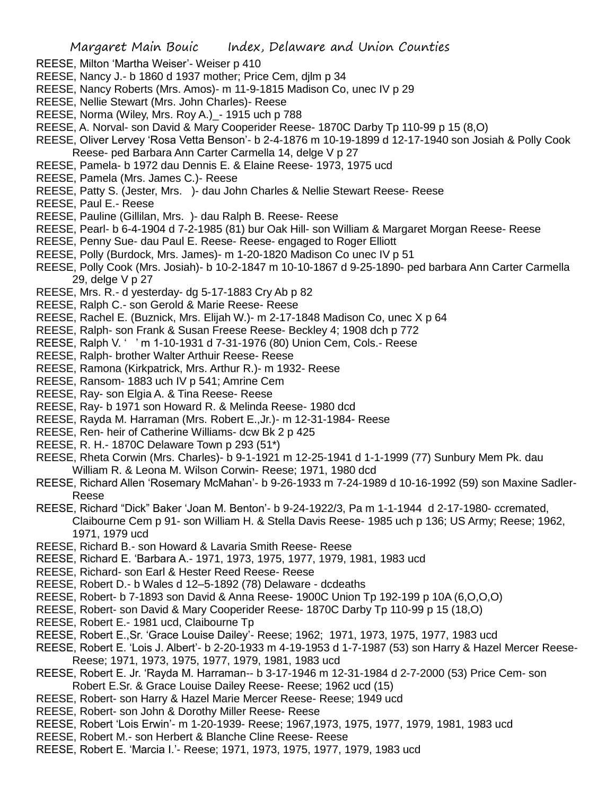- REESE, Milton 'Martha Weiser'- Weiser p 410
- REESE, Nancy J.- b 1860 d 1937 mother; Price Cem, djlm p 34
- REESE, Nancy Roberts (Mrs. Amos)- m 11-9-1815 Madison Co, unec IV p 29
- REESE, Nellie Stewart (Mrs. John Charles)- Reese
- REESE, Norma (Wiley, Mrs. Roy A.)\_- 1915 uch p 788
- REESE, A. Norval- son David & Mary Cooperider Reese- 1870C Darby Tp 110-99 p 15 (8,O)
- REESE, Oliver Lervey 'Rosa Vetta Benson'- b 2-4-1876 m 10-19-1899 d 12-17-1940 son Josiah & Polly Cook Reese- ped Barbara Ann Carter Carmella 14, delge V p 27
- REESE, Pamela- b 1972 dau Dennis E. & Elaine Reese- 1973, 1975 ucd
- REESE, Pamela (Mrs. James C.)- Reese
- REESE, Patty S. (Jester, Mrs. )- dau John Charles & Nellie Stewart Reese- Reese
- REESE, Paul E.- Reese
- REESE, Pauline (Gillilan, Mrs. )- dau Ralph B. Reese- Reese
- REESE, Pearl- b 6-4-1904 d 7-2-1985 (81) bur Oak Hill- son William & Margaret Morgan Reese- Reese
- REESE, Penny Sue- dau Paul E. Reese- Reese- engaged to Roger Elliott
- REESE, Polly (Burdock, Mrs. James)- m 1-20-1820 Madison Co unec IV p 51
- REESE, Polly Cook (Mrs. Josiah)- b 10-2-1847 m 10-10-1867 d 9-25-1890- ped barbara Ann Carter Carmella 29, delge V p 27
- REESE, Mrs. R.- d yesterday- dg 5-17-1883 Cry Ab p 82
- REESE, Ralph C.- son Gerold & Marie Reese- Reese
- REESE, Rachel E. (Buznick, Mrs. Elijah W.)- m 2-17-1848 Madison Co, unec X p 64
- REESE, Ralph- son Frank & Susan Freese Reese- Beckley 4; 1908 dch p 772
- REESE, Ralph V. ' ' m 1-10-1931 d 7-31-1976 (80) Union Cem, Cols.- Reese
- REESE, Ralph- brother Walter Arthuir Reese- Reese
- REESE, Ramona (Kirkpatrick, Mrs. Arthur R.)- m 1932- Reese
- REESE, Ransom- 1883 uch IV p 541; Amrine Cem
- REESE, Ray- son Elgia A. & Tina Reese- Reese
- REESE, Ray- b 1971 son Howard R. & Melinda Reese- 1980 dcd
- REESE, Rayda M. Harraman (Mrs. Robert E.,Jr.)- m 12-31-1984- Reese
- REESE, Ren- heir of Catherine Williams- dcw Bk 2 p 425
- REESE, R. H.- 1870C Delaware Town p 293 (51\*)
- REESE, Rheta Corwin (Mrs. Charles)- b 9-1-1921 m 12-25-1941 d 1-1-1999 (77) Sunbury Mem Pk. dau William R. & Leona M. Wilson Corwin- Reese; 1971, 1980 dcd
- REESE, Richard Allen 'Rosemary McMahan'- b 9-26-1933 m 7-24-1989 d 10-16-1992 (59) son Maxine Sadler-Reese
- REESE, Richard "Dick" Baker 'Joan M. Benton'- b 9-24-1922/3, Pa m 1-1-1944 d 2-17-1980- ccremated, Claibourne Cem p 91- son William H. & Stella Davis Reese- 1985 uch p 136; US Army; Reese; 1962, 1971, 1979 ucd
- REESE, Richard B.- son Howard & Lavaria Smith Reese- Reese
- REESE, Richard E. 'Barbara A.- 1971, 1973, 1975, 1977, 1979, 1981, 1983 ucd
- REESE, Richard- son Earl & Hester Reed Reese- Reese
- REESE, Robert D.- b Wales d 12–5-1892 (78) Delaware dcdeaths
- REESE, Robert- b 7-1893 son David & Anna Reese- 1900C Union Tp 192-199 p 10A (6,O,O,O)
- REESE, Robert- son David & Mary Cooperider Reese- 1870C Darby Tp 110-99 p 15 (18,O)
- REESE, Robert E.- 1981 ucd, Claibourne Tp
- REESE, Robert E.,Sr. 'Grace Louise Dailey'- Reese; 1962; 1971, 1973, 1975, 1977, 1983 ucd
- REESE, Robert E. 'Lois J. Albert'- b 2-20-1933 m 4-19-1953 d 1-7-1987 (53) son Harry & Hazel Mercer Reese-Reese; 1971, 1973, 1975, 1977, 1979, 1981, 1983 ucd
- REESE, Robert E. Jr. 'Rayda M. Harraman-- b 3-17-1946 m 12-31-1984 d 2-7-2000 (53) Price Cem- son Robert E.Sr. & Grace Louise Dailey Reese- Reese; 1962 ucd (15)
- REESE, Robert- son Harry & Hazel Marie Mercer Reese- Reese; 1949 ucd
- REESE, Robert- son John & Dorothy Miller Reese- Reese
- REESE, Robert 'Lois Erwin'- m 1-20-1939- Reese; 1967,1973, 1975, 1977, 1979, 1981, 1983 ucd
- REESE, Robert M.- son Herbert & Blanche Cline Reese- Reese
- REESE, Robert E. 'Marcia I.'- Reese; 1971, 1973, 1975, 1977, 1979, 1983 ucd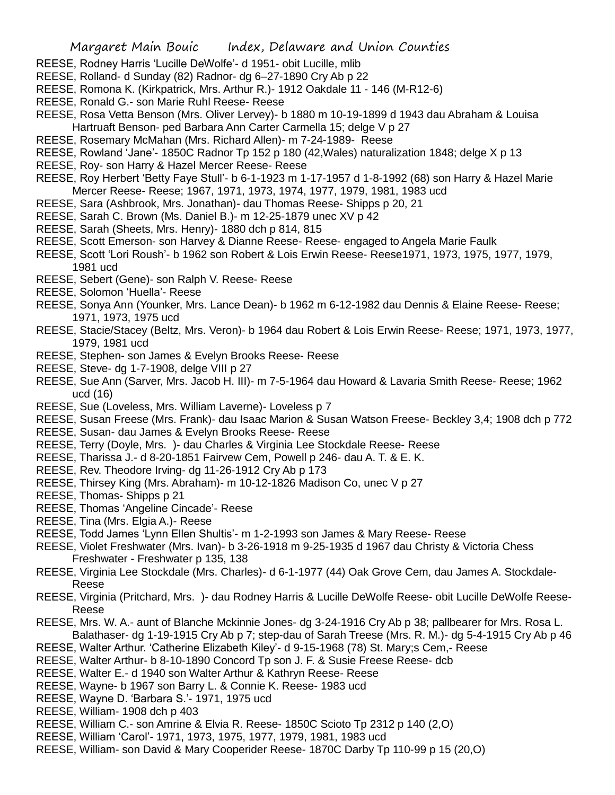- REESE, Rodney Harris 'Lucille DeWolfe'- d 1951- obit Lucille, mlib
- REESE, Rolland- d Sunday (82) Radnor- dg 6–27-1890 Cry Ab p 22
- REESE, Romona K. (Kirkpatrick, Mrs. Arthur R.)- 1912 Oakdale 11 146 (M-R12-6)
- REESE, Ronald G.- son Marie Ruhl Reese- Reese
- REESE, Rosa Vetta Benson (Mrs. Oliver Lervey)- b 1880 m 10-19-1899 d 1943 dau Abraham & Louisa Hartruaft Benson- ped Barbara Ann Carter Carmella 15; delge V p 27
- REESE, Rosemary McMahan (Mrs. Richard Allen)- m 7-24-1989- Reese
- REESE, Rowland 'Jane'- 1850C Radnor Tp 152 p 180 (42,Wales) naturalization 1848; delge X p 13
- REESE, Roy- son Harry & Hazel Mercer Reese- Reese
- REESE, Roy Herbert 'Betty Faye Stull'- b 6-1-1923 m 1-17-1957 d 1-8-1992 (68) son Harry & Hazel Marie Mercer Reese- Reese; 1967, 1971, 1973, 1974, 1977, 1979, 1981, 1983 ucd
- REESE, Sara (Ashbrook, Mrs. Jonathan)- dau Thomas Reese- Shipps p 20, 21
- REESE, Sarah C. Brown (Ms. Daniel B.)- m 12-25-1879 unec XV p 42
- REESE, Sarah (Sheets, Mrs. Henry)- 1880 dch p 814, 815
- REESE, Scott Emerson- son Harvey & Dianne Reese- Reese- engaged to Angela Marie Faulk
- REESE, Scott 'Lori Roush'- b 1962 son Robert & Lois Erwin Reese- Reese1971, 1973, 1975, 1977, 1979, 1981 ucd
- REESE, Sebert (Gene)- son Ralph V. Reese- Reese
- REESE, Solomon 'Huella'- Reese
- REESE, Sonya Ann (Younker, Mrs. Lance Dean)- b 1962 m 6-12-1982 dau Dennis & Elaine Reese- Reese; 1971, 1973, 1975 ucd
- REESE, Stacie/Stacey (Beltz, Mrs. Veron)- b 1964 dau Robert & Lois Erwin Reese- Reese; 1971, 1973, 1977, 1979, 1981 ucd
- REESE, Stephen- son James & Evelyn Brooks Reese- Reese
- REESE, Steve- dg 1-7-1908, delge VIII p 27
- REESE, Sue Ann (Sarver, Mrs. Jacob H. III)- m 7-5-1964 dau Howard & Lavaria Smith Reese- Reese; 1962 ucd (16)
- REESE, Sue (Loveless, Mrs. William Laverne)- Loveless p 7
- REESE, Susan Freese (Mrs. Frank)- dau Isaac Marion & Susan Watson Freese- Beckley 3,4; 1908 dch p 772
- REESE, Susan- dau James & Evelyn Brooks Reese- Reese
- REESE, Terry (Doyle, Mrs. )- dau Charles & Virginia Lee Stockdale Reese- Reese
- REESE, Tharissa J.- d 8-20-1851 Fairvew Cem, Powell p 246- dau A. T. & E. K.
- REESE, Rev. Theodore Irving- dg 11-26-1912 Cry Ab p 173
- REESE, Thirsey King (Mrs. Abraham)- m 10-12-1826 Madison Co, unec V p 27
- REESE, Thomas- Shipps p 21
- REESE, Thomas 'Angeline Cincade'- Reese
- REESE, Tina (Mrs. Elgia A.)- Reese
- REESE, Todd James 'Lynn Ellen Shultis'- m 1-2-1993 son James & Mary Reese- Reese
- REESE, Violet Freshwater (Mrs. Ivan)- b 3-26-1918 m 9-25-1935 d 1967 dau Christy & Victoria Chess Freshwater - Freshwater p 135, 138
- REESE, Virginia Lee Stockdale (Mrs. Charles)- d 6-1-1977 (44) Oak Grove Cem, dau James A. Stockdale-Reese
- REESE, Virginia (Pritchard, Mrs. )- dau Rodney Harris & Lucille DeWolfe Reese- obit Lucille DeWolfe Reese-Reese
- REESE, Mrs. W. A.- aunt of Blanche Mckinnie Jones- dg 3-24-1916 Cry Ab p 38; pallbearer for Mrs. Rosa L.
- Balathaser- dg 1-19-1915 Cry Ab p 7; step-dau of Sarah Treese (Mrs. R. M.)- dg 5-4-1915 Cry Ab p 46
- REESE, Walter Arthur. 'Catherine Elizabeth Kiley'- d 9-15-1968 (78) St. Mary;s Cem,- Reese
- REESE, Walter Arthur- b 8-10-1890 Concord Tp son J. F. & Susie Freese Reese- dcb
- REESE, Walter E.- d 1940 son Walter Arthur & Kathryn Reese- Reese
- REESE, Wayne- b 1967 son Barry L. & Connie K. Reese- 1983 ucd
- REESE, Wayne D. 'Barbara S.'- 1971, 1975 ucd
- REESE, William- 1908 dch p 403
- REESE, William C.- son Amrine & Elvia R. Reese- 1850C Scioto Tp 2312 p 140 (2,O)
- REESE, William 'Carol'- 1971, 1973, 1975, 1977, 1979, 1981, 1983 ucd
- REESE, William- son David & Mary Cooperider Reese- 1870C Darby Tp 110-99 p 15 (20,O)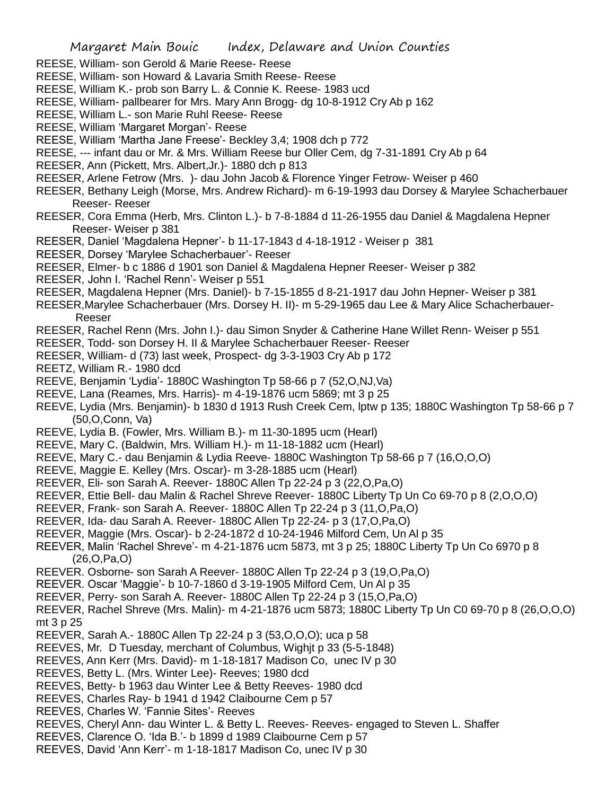- REESE, William- son Gerold & Marie Reese- Reese
- REESE, William- son Howard & Lavaria Smith Reese- Reese
- REESE, William K.- prob son Barry L. & Connie K. Reese- 1983 ucd
- REESE, William- pallbearer for Mrs. Mary Ann Brogg- dg 10-8-1912 Cry Ab p 162
- REESE, William L.- son Marie Ruhl Reese- Reese
- REESE, William 'Margaret Morgan'- Reese
- REESE, William 'Martha Jane Freese'- Beckley 3,4; 1908 dch p 772
- REESE, --- infant dau or Mr. & Mrs. William Reese bur Oller Cem, dg 7-31-1891 Cry Ab p 64
- REESER, Ann (Pickett, Mrs. Albert,Jr.)- 1880 dch p 813
- REESER, Arlene Fetrow (Mrs. )- dau John Jacob & Florence Yinger Fetrow- Weiser p 460
- REESER, Bethany Leigh (Morse, Mrs. Andrew Richard)- m 6-19-1993 dau Dorsey & Marylee Schacherbauer Reeser- Reeser
- REESER, Cora Emma (Herb, Mrs. Clinton L.)- b 7-8-1884 d 11-26-1955 dau Daniel & Magdalena Hepner Reeser- Weiser p 381
- REESER, Daniel 'Magdalena Hepner'- b 11-17-1843 d 4-18-1912 Weiser p 381
- REESER, Dorsey 'Marylee Schacherbauer'- Reeser
- REESER, Elmer- b c 1886 d 1901 son Daniel & Magdalena Hepner Reeser- Weiser p 382
- REESER, John I. 'Rachel Renn'- Weiser p 551
- REESER, Magdalena Hepner (Mrs. Daniel)- b 7-15-1855 d 8-21-1917 dau John Hepner- Weiser p 381
- REESER,Marylee Schacherbauer (Mrs. Dorsey H. II)- m 5-29-1965 dau Lee & Mary Alice Schacherbauer-Reeser
- REESER, Rachel Renn (Mrs. John I.)- dau Simon Snyder & Catherine Hane Willet Renn- Weiser p 551
- REESER, Todd- son Dorsey H. II & Marylee Schacherbauer Reeser- Reeser
- REESER, William- d (73) last week, Prospect- dg 3-3-1903 Cry Ab p 172
- REETZ, William R.- 1980 dcd
- REEVE, Benjamin 'Lydia'- 1880C Washington Tp 58-66 p 7 (52,O,NJ,Va)
- REEVE, Lana (Reames, Mrs. Harris)- m 4-19-1876 ucm 5869; mt 3 p 25
- REEVE, Lydia (Mrs. Benjamin)- b 1830 d 1913 Rush Creek Cem, lptw p 135; 1880C Washington Tp 58-66 p 7 (50,O,Conn, Va)
- REEVE, Lydia B. (Fowler, Mrs. William B.)- m 11-30-1895 ucm (Hearl)
- REEVE, Mary C. (Baldwin, Mrs. William H.)- m 11-18-1882 ucm (Hearl)
- REEVE, Mary C.- dau Benjamin & Lydia Reeve- 1880C Washington Tp 58-66 p 7 (16,O,O,O)
- REEVE, Maggie E. Kelley (Mrs. Oscar)- m 3-28-1885 ucm (Hearl)
- REEVER, Eli- son Sarah A. Reever- 1880C Allen Tp 22-24 p 3 (22,O,Pa,O)
- REEVER, Ettie Bell- dau Malin & Rachel Shreve Reever- 1880C Liberty Tp Un Co 69-70 p 8 (2,O,O,O)
- REEVER, Frank- son Sarah A. Reever- 1880C Allen Tp 22-24 p 3 (11,O,Pa,O)
- REEVER, Ida- dau Sarah A. Reever- 1880C Allen Tp 22-24- p 3 (17,O,Pa,O)
- REEVER, Maggie (Mrs. Oscar)- b 2-24-1872 d 10-24-1946 Milford Cem, Un Al p 35
- REEVER, Malin 'Rachel Shreve'- m 4-21-1876 ucm 5873, mt 3 p 25; 1880C Liberty Tp Un Co 6970 p 8 (26,O,Pa,O)
- REEVER. Osborne- son Sarah A Reever- 1880C Allen Tp 22-24 p 3 (19,O,Pa,O)
- REEVER. Oscar 'Maggie'- b 10-7-1860 d 3-19-1905 Milford Cem, Un Al p 35
- REEVER, Perry- son Sarah A. Reever- 1880C Allen Tp 22-24 p 3 (15,O,Pa,O)
- REEVER, Rachel Shreve (Mrs. Malin)- m 4-21-1876 ucm 5873; 1880C Liberty Tp Un C0 69-70 p 8 (26,O,O,O) mt 3 p 25
- REEVER, Sarah A.- 1880C Allen Tp 22-24 p 3 (53,O,O,O); uca p 58
- REEVES, Mr. D Tuesday, merchant of Columbus, Wighjt p 33 (5-5-1848)
- REEVES, Ann Kerr (Mrs. David)- m 1-18-1817 Madison Co, unec IV p 30
- REEVES, Betty L. (Mrs. Winter Lee)- Reeves; 1980 dcd
- REEVES, Betty- b 1963 dau Winter Lee & Betty Reeves- 1980 dcd
- REEVES, Charles Ray- b 1941 d 1942 Claibourne Cem p 57
- REEVES, Charles W. 'Fannie Sites'- Reeves
- REEVES, Cheryl Ann- dau Winter L. & Betty L. Reeves- Reeves- engaged to Steven L. Shaffer
- REEVES, Clarence O. 'Ida B.'- b 1899 d 1989 Claibourne Cem p 57
- REEVES, David 'Ann Kerr'- m 1-18-1817 Madison Co, unec IV p 30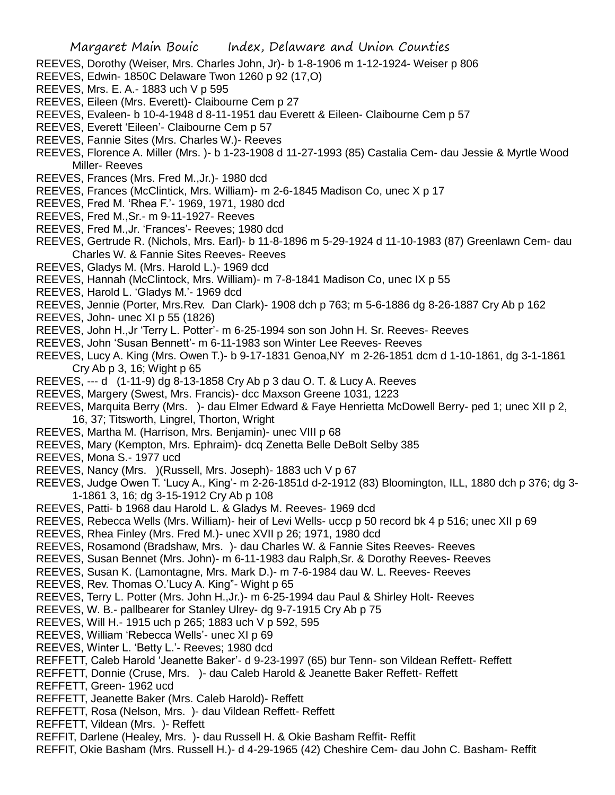- REEVES, Dorothy (Weiser, Mrs. Charles John, Jr)- b 1-8-1906 m 1-12-1924- Weiser p 806
- REEVES, Edwin- 1850C Delaware Twon 1260 p 92 (17,O)
- REEVES, Mrs. E. A.- 1883 uch V p 595
- REEVES, Eileen (Mrs. Everett)- Claibourne Cem p 27
- REEVES, Evaleen- b 10-4-1948 d 8-11-1951 dau Everett & Eileen- Claibourne Cem p 57
- REEVES, Everett 'Eileen'- Claibourne Cem p 57
- REEVES, Fannie Sites (Mrs. Charles W.)- Reeves
- REEVES, Florence A. Miller (Mrs. )- b 1-23-1908 d 11-27-1993 (85) Castalia Cem- dau Jessie & Myrtle Wood Miller- Reeves
- REEVES, Frances (Mrs. Fred M.,Jr.)- 1980 dcd
- REEVES, Frances (McClintick, Mrs. William)- m 2-6-1845 Madison Co, unec X p 17
- REEVES, Fred M. 'Rhea F.'- 1969, 1971, 1980 dcd
- REEVES, Fred M.,Sr.- m 9-11-1927- Reeves
- REEVES, Fred M.,Jr. 'Frances'- Reeves; 1980 dcd
- REEVES, Gertrude R. (Nichols, Mrs. Earl)- b 11-8-1896 m 5-29-1924 d 11-10-1983 (87) Greenlawn Cem- dau Charles W. & Fannie Sites Reeves- Reeves
- REEVES, Gladys M. (Mrs. Harold L.)- 1969 dcd
- REEVES, Hannah (McClintock, Mrs. William)- m 7-8-1841 Madison Co, unec IX p 55
- REEVES, Harold L. 'Gladys M.'- 1969 dcd
- REEVES, Jennie (Porter, Mrs.Rev. Dan Clark)- 1908 dch p 763; m 5-6-1886 dg 8-26-1887 Cry Ab p 162
- REEVES, John- unec XI p 55 (1826)
- REEVES, John H.,Jr 'Terry L. Potter'- m 6-25-1994 son son John H. Sr. Reeves- Reeves
- REEVES, John 'Susan Bennett'- m 6-11-1983 son Winter Lee Reeves- Reeves
- REEVES, Lucy A. King (Mrs. Owen T.)- b 9-17-1831 Genoa,NY m 2-26-1851 dcm d 1-10-1861, dg 3-1-1861 Cry Ab p 3, 16; Wight p 65
- REEVES, --- d (1-11-9) dg 8-13-1858 Cry Ab p 3 dau O. T. & Lucy A. Reeves
- REEVES, Margery (Swest, Mrs. Francis)- dcc Maxson Greene 1031, 1223
- REEVES, Marquita Berry (Mrs. )- dau Elmer Edward & Faye Henrietta McDowell Berry- ped 1; unec XII p 2, 16, 37; Titsworth, Lingrel, Thorton, Wright
- REEVES, Martha M. (Harrison, Mrs. Benjamin)- unec VIII p 68
- REEVES, Mary (Kempton, Mrs. Ephraim)- dcq Zenetta Belle DeBolt Selby 385
- REEVES, Mona S.- 1977 ucd
- REEVES, Nancy (Mrs. )(Russell, Mrs. Joseph)- 1883 uch V p 67
- REEVES, Judge Owen T. 'Lucy A., King'- m 2-26-1851d d-2-1912 (83) Bloomington, ILL, 1880 dch p 376; dg 3- 1-1861 3, 16; dg 3-15-1912 Cry Ab p 108
- REEVES, Patti- b 1968 dau Harold L. & Gladys M. Reeves- 1969 dcd
- REEVES, Rebecca Wells (Mrs. William)- heir of Levi Wells- uccp p 50 record bk 4 p 516; unec XII p 69
- REEVES, Rhea Finley (Mrs. Fred M.)- unec XVII p 26; 1971, 1980 dcd
- REEVES, Rosamond (Bradshaw, Mrs. )- dau Charles W. & Fannie Sites Reeves- Reeves
- REEVES, Susan Bennet (Mrs. John)- m 6-11-1983 dau Ralph,Sr. & Dorothy Reeves- Reeves
- REEVES, Susan K. (Lamontagne, Mrs. Mark D.)- m 7-6-1984 dau W. L. Reeves- Reeves
- REEVES, Rev. Thomas O.'Lucy A. King"- Wight p 65
- REEVES, Terry L. Potter (Mrs. John H.,Jr.)- m 6-25-1994 dau Paul & Shirley Holt- Reeves
- REEVES, W. B.- pallbearer for Stanley Ulrey- dg 9-7-1915 Cry Ab p 75
- REEVES, Will H.- 1915 uch p 265; 1883 uch V p 592, 595
- REEVES, William 'Rebecca Wells'- unec XI p 69
- REEVES, Winter L. 'Betty L.'- Reeves; 1980 dcd
- REFFETT, Caleb Harold 'Jeanette Baker'- d 9-23-1997 (65) bur Tenn- son Vildean Reffett- Reffett
- REFFETT, Donnie (Cruse, Mrs. )- dau Caleb Harold & Jeanette Baker Reffett- Reffett
- REFFETT, Green- 1962 ucd
- REFFETT, Jeanette Baker (Mrs. Caleb Harold)- Reffett
- REFFETT, Rosa (Nelson, Mrs. )- dau Vildean Reffett- Reffett
- REFFETT, Vildean (Mrs. )- Reffett
- REFFIT, Darlene (Healey, Mrs. )- dau Russell H. & Okie Basham Reffit- Reffit
- REFFIT, Okie Basham (Mrs. Russell H.)- d 4-29-1965 (42) Cheshire Cem- dau John C. Basham- Reffit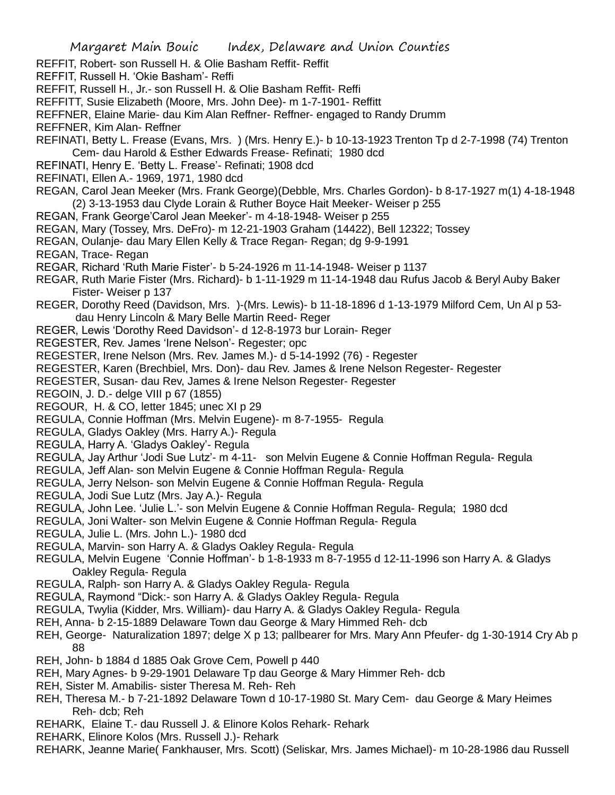- REFFIT, Robert- son Russell H. & Olie Basham Reffit- Reffit
- REFFIT, Russell H. 'Okie Basham'- Reffi
- REFFIT, Russell H., Jr.- son Russell H. & Olie Basham Reffit- Reffi
- REFFITT, Susie Elizabeth (Moore, Mrs. John Dee)- m 1-7-1901- Reffitt
- REFFNER, Elaine Marie- dau Kim Alan Reffner- Reffner- engaged to Randy Drumm
- REFFNER, Kim Alan- Reffner
- REFINATI, Betty L. Frease (Evans, Mrs. ) (Mrs. Henry E.)- b 10-13-1923 Trenton Tp d 2-7-1998 (74) Trenton Cem- dau Harold & Esther Edwards Frease- Refinati; 1980 dcd
- REFINATI, Henry E. 'Betty L. Frease'- Refinati; 1908 dcd
- REFINATI, Ellen A.- 1969, 1971, 1980 dcd
- REGAN, Carol Jean Meeker (Mrs. Frank George)(Debble, Mrs. Charles Gordon)- b 8-17-1927 m(1) 4-18-1948 (2) 3-13-1953 dau Clyde Lorain & Ruther Boyce Hait Meeker- Weiser p 255
- REGAN, Frank George'Carol Jean Meeker'- m 4-18-1948- Weiser p 255
- REGAN, Mary (Tossey, Mrs. DeFro)- m 12-21-1903 Graham (14422), Bell 12322; Tossey
- REGAN, Oulanje- dau Mary Ellen Kelly & Trace Regan- Regan; dg 9-9-1991
- REGAN, Trace- Regan
- REGAR, Richard 'Ruth Marie Fister'- b 5-24-1926 m 11-14-1948- Weiser p 1137
- REGAR, Ruth Marie Fister (Mrs. Richard)- b 1-11-1929 m 11-14-1948 dau Rufus Jacob & Beryl Auby Baker Fister- Weiser p 137
- REGER, Dorothy Reed (Davidson, Mrs. )-(Mrs. Lewis)- b 11-18-1896 d 1-13-1979 Milford Cem, Un Al p 53 dau Henry Lincoln & Mary Belle Martin Reed- Reger
- REGER, Lewis 'Dorothy Reed Davidson'- d 12-8-1973 bur Lorain- Reger
- REGESTER, Rev. James 'Irene Nelson'- Regester; opc
- REGESTER, Irene Nelson (Mrs. Rev. James M.)- d 5-14-1992 (76) Regester
- REGESTER, Karen (Brechbiel, Mrs. Don)- dau Rev. James & Irene Nelson Regester- Regester
- REGESTER, Susan- dau Rev, James & Irene Nelson Regester- Regester
- REGOIN, J. D.- delge VIII p 67 (1855)
- REGOUR, H. & CO, letter 1845; unec XI p 29
- REGULA, Connie Hoffman (Mrs. Melvin Eugene)- m 8-7-1955- Regula
- REGULA, Gladys Oakley (Mrs. Harry A.)- Regula
- REGULA, Harry A. 'Gladys Oakley'- Regula
- REGULA, Jay Arthur 'Jodi Sue Lutz'- m 4-11- son Melvin Eugene & Connie Hoffman Regula- Regula
- REGULA, Jeff Alan- son Melvin Eugene & Connie Hoffman Regula- Regula
- REGULA, Jerry Nelson- son Melvin Eugene & Connie Hoffman Regula- Regula
- REGULA, Jodi Sue Lutz (Mrs. Jay A.)- Regula
- REGULA, John Lee. 'Julie L.'- son Melvin Eugene & Connie Hoffman Regula- Regula; 1980 dcd
- REGULA, Joni Walter- son Melvin Eugene & Connie Hoffman Regula- Regula
- REGULA, Julie L. (Mrs. John L.)- 1980 dcd
- REGULA, Marvin- son Harry A. & Gladys Oakley Regula- Regula
- REGULA, Melvin Eugene 'Connie Hoffman'- b 1-8-1933 m 8-7-1955 d 12-11-1996 son Harry A. & Gladys Oakley Regula- Regula
- REGULA, Ralph- son Harry A. & Gladys Oakley Regula- Regula
- REGULA, Raymond "Dick:- son Harry A. & Gladys Oakley Regula- Regula
- REGULA, Twylia (Kidder, Mrs. William)- dau Harry A. & Gladys Oakley Regula- Regula
- REH, Anna- b 2-15-1889 Delaware Town dau George & Mary Himmed Reh- dcb
- REH, George- Naturalization 1897; delge X p 13; pallbearer for Mrs. Mary Ann Pfeufer- dg 1-30-1914 Cry Ab p 88
- REH, John- b 1884 d 1885 Oak Grove Cem, Powell p 440
- REH, Mary Agnes- b 9-29-1901 Delaware Tp dau George & Mary Himmer Reh- dcb
- REH, Sister M. Amabilis- sister Theresa M. Reh- Reh
- REH, Theresa M.- b 7-21-1892 Delaware Town d 10-17-1980 St. Mary Cem- dau George & Mary Heimes Reh- dcb; Reh
- REHARK, Elaine T.- dau Russell J. & Elinore Kolos Rehark- Rehark
- REHARK, Elinore Kolos (Mrs. Russell J.)- Rehark
- REHARK, Jeanne Marie( Fankhauser, Mrs. Scott) (Seliskar, Mrs. James Michael)- m 10-28-1986 dau Russell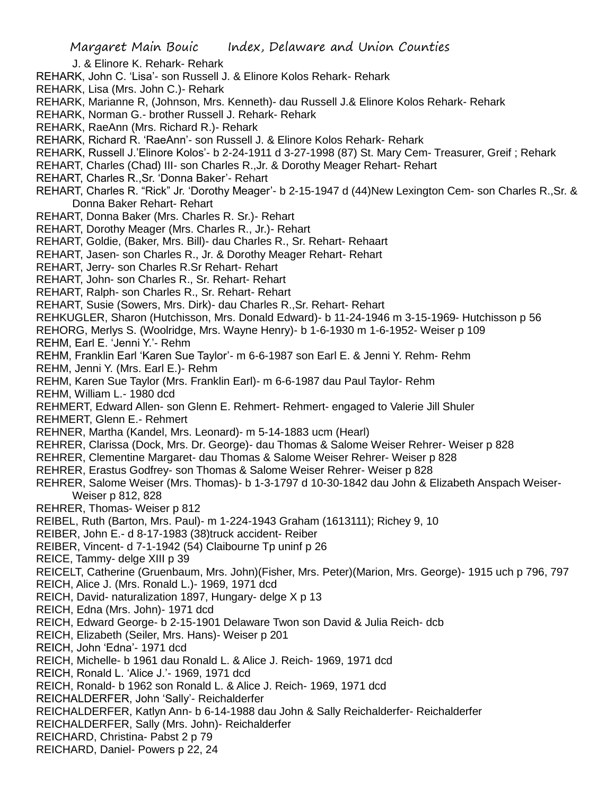J. & Elinore K. Rehark- Rehark

- REHARK, John C. 'Lisa'- son Russell J. & Elinore Kolos Rehark- Rehark
- REHARK, Lisa (Mrs. John C.)- Rehark
- REHARK, Marianne R, (Johnson, Mrs. Kenneth)- dau Russell J.& Elinore Kolos Rehark- Rehark
- REHARK, Norman G.- brother Russell J. Rehark- Rehark
- REHARK, RaeAnn (Mrs. Richard R.)- Rehark
- REHARK, Richard R. 'RaeAnn'- son Russell J. & Elinore Kolos Rehark- Rehark
- REHARK, Russell J.'Elinore Kolos'- b 2-24-1911 d 3-27-1998 (87) St. Mary Cem- Treasurer, Greif ; Rehark
- REHART, Charles (Chad) III- son Charles R.,Jr. & Dorothy Meager Rehart- Rehart
- REHART, Charles R.,Sr. 'Donna Baker'- Rehart
- REHART, Charles R. "Rick" Jr. 'Dorothy Meager'- b 2-15-1947 d (44)New Lexington Cem- son Charles R.,Sr. & Donna Baker Rehart- Rehart
- REHART, Donna Baker (Mrs. Charles R. Sr.)- Rehart
- REHART, Dorothy Meager (Mrs. Charles R., Jr.)- Rehart
- REHART, Goldie, (Baker, Mrs. Bill)- dau Charles R., Sr. Rehart- Rehaart
- REHART, Jasen- son Charles R., Jr. & Dorothy Meager Rehart- Rehart
- REHART, Jerry- son Charles R.Sr Rehart- Rehart
- REHART, John- son Charles R., Sr. Rehart- Rehart
- REHART, Ralph- son Charles R., Sr. Rehart- Rehart
- REHART, Susie (Sowers, Mrs. Dirk)- dau Charles R.,Sr. Rehart- Rehart
- REHKUGLER, Sharon (Hutchisson, Mrs. Donald Edward)- b 11-24-1946 m 3-15-1969- Hutchisson p 56
- REHORG, Merlys S. (Woolridge, Mrs. Wayne Henry)- b 1-6-1930 m 1-6-1952- Weiser p 109

REHM, Earl E. 'Jenni Y.'- Rehm

- REHM, Franklin Earl 'Karen Sue Taylor'- m 6-6-1987 son Earl E. & Jenni Y. Rehm- Rehm
- REHM, Jenni Y. (Mrs. Earl E.)- Rehm
- REHM, Karen Sue Taylor (Mrs. Franklin Earl)- m 6-6-1987 dau Paul Taylor- Rehm
- REHM, William L.- 1980 dcd
- REHMERT, Edward Allen- son Glenn E. Rehmert- Rehmert- engaged to Valerie Jill Shuler
- REHMERT, Glenn E.- Rehmert
- REHNER, Martha (Kandel, Mrs. Leonard)- m 5-14-1883 ucm (Hearl)
- REHRER, Clarissa (Dock, Mrs. Dr. George)- dau Thomas & Salome Weiser Rehrer- Weiser p 828
- REHRER, Clementine Margaret- dau Thomas & Salome Weiser Rehrer- Weiser p 828
- REHRER, Erastus Godfrey- son Thomas & Salome Weiser Rehrer- Weiser p 828
- REHRER, Salome Weiser (Mrs. Thomas)- b 1-3-1797 d 10-30-1842 dau John & Elizabeth Anspach Weiser-Weiser p 812, 828
- REHRER, Thomas- Weiser p 812
- REIBEL, Ruth (Barton, Mrs. Paul)- m 1-224-1943 Graham (1613111); Richey 9, 10
- REIBER, John E.- d 8-17-1983 (38)truck accident- Reiber
- REIBER, Vincent- d 7-1-1942 (54) Claibourne Tp uninf p 26
- REICE, Tammy- delge XIII p 39
- REICELT, Catherine (Gruenbaum, Mrs. John)(Fisher, Mrs. Peter)(Marion, Mrs. George)- 1915 uch p 796, 797
- REICH, Alice J. (Mrs. Ronald L.)- 1969, 1971 dcd
- REICH, David- naturalization 1897, Hungary- delge X p 13
- REICH, Edna (Mrs. John)- 1971 dcd
- REICH, Edward George- b 2-15-1901 Delaware Twon son David & Julia Reich- dcb
- REICH, Elizabeth (Seiler, Mrs. Hans)- Weiser p 201
- REICH, John 'Edna'- 1971 dcd
- REICH, Michelle- b 1961 dau Ronald L. & Alice J. Reich- 1969, 1971 dcd
- REICH, Ronald L. 'Alice J.'- 1969, 1971 dcd
- REICH, Ronald- b 1962 son Ronald L. & Alice J. Reich- 1969, 1971 dcd
- REICHALDERFER, John 'Sally'- Reichalderfer
- REICHALDERFER, Katlyn Ann- b 6-14-1988 dau John & Sally Reichalderfer- Reichalderfer
- REICHALDERFER, Sally (Mrs. John)- Reichalderfer
- REICHARD, Christina- Pabst 2 p 79
- REICHARD, Daniel- Powers p 22, 24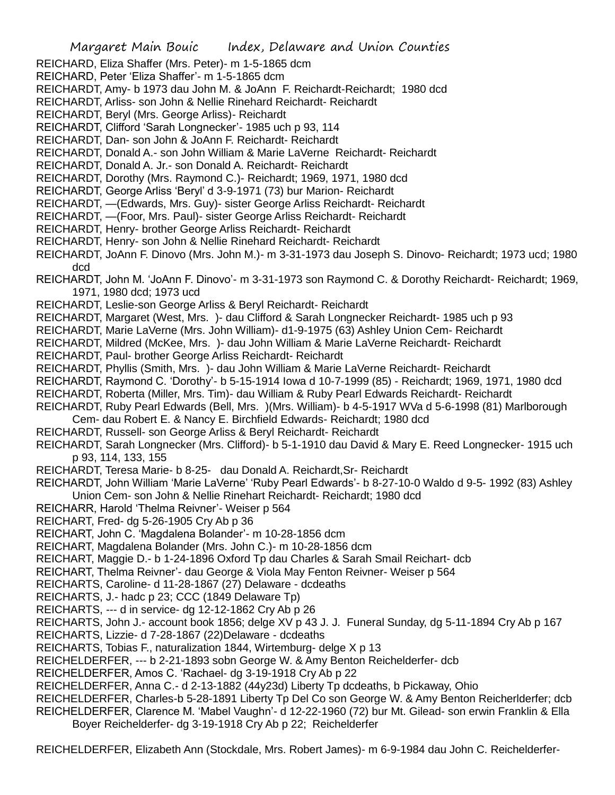REICHARD, Eliza Shaffer (Mrs. Peter)- m 1-5-1865 dcm

REICHARD, Peter 'Eliza Shaffer'- m 1-5-1865 dcm

REICHARDT, Amy- b 1973 dau John M. & JoAnn F. Reichardt-Reichardt; 1980 dcd

REICHARDT, Arliss- son John & Nellie Rinehard Reichardt- Reichardt

REICHARDT, Beryl (Mrs. George Arliss)- Reichardt

REICHARDT, Clifford 'Sarah Longnecker'- 1985 uch p 93, 114

REICHARDT, Dan- son John & JoAnn F. Reichardt- Reichardt

REICHARDT, Donald A.- son John William & Marie LaVerne Reichardt- Reichardt

REICHARDT, Donald A. Jr.- son Donald A. Reichardt- Reichardt

REICHARDT, Dorothy (Mrs. Raymond C.)- Reichardt; 1969, 1971, 1980 dcd

REICHARDT, George Arliss 'Beryl' d 3-9-1971 (73) bur Marion- Reichardt

REICHARDT, —(Edwards, Mrs. Guy)- sister George Arliss Reichardt- Reichardt

REICHARDT, —(Foor, Mrs. Paul)- sister George Arliss Reichardt- Reichardt

REICHARDT, Henry- brother George Arliss Reichardt- Reichardt

REICHARDT, Henry- son John & Nellie Rinehard Reichardt- Reichardt

REICHARDT, JoAnn F. Dinovo (Mrs. John M.)- m 3-31-1973 dau Joseph S. Dinovo- Reichardt; 1973 ucd; 1980 dcd

REICHARDT, John M. 'JoAnn F. Dinovo'- m 3-31-1973 son Raymond C. & Dorothy Reichardt- Reichardt; 1969, 1971, 1980 dcd; 1973 ucd

REICHARDT, Leslie-son George Arliss & Beryl Reichardt- Reichardt

REICHARDT, Margaret (West, Mrs. )- dau Clifford & Sarah Longnecker Reichardt- 1985 uch p 93

REICHARDT, Marie LaVerne (Mrs. John William)- d1-9-1975 (63) Ashley Union Cem- Reichardt

REICHARDT, Mildred (McKee, Mrs. )- dau John William & Marie LaVerne Reichardt- Reichardt

REICHARDT, Paul- brother George Arliss Reichardt- Reichardt

REICHARDT, Phyllis (Smith, Mrs. )- dau John William & Marie LaVerne Reichardt- Reichardt

REICHARDT, Raymond C. 'Dorothy'- b 5-15-1914 Iowa d 10-7-1999 (85) - Reichardt; 1969, 1971, 1980 dcd

REICHARDT, Roberta (Miller, Mrs. Tim)- dau William & Ruby Pearl Edwards Reichardt- Reichardt

REICHARDT, Ruby Pearl Edwards (Bell, Mrs. )(Mrs. William)- b 4-5-1917 WVa d 5-6-1998 (81) Marlborough Cem- dau Robert E. & Nancy E. Birchfield Edwards- Reichardt; 1980 dcd

REICHARDT, Russell- son George Arliss & Beryl Reichardt- Reichardt

REICHARDT, Sarah Longnecker (Mrs. Clifford)- b 5-1-1910 dau David & Mary E. Reed Longnecker- 1915 uch p 93, 114, 133, 155

REICHARDT, Teresa Marie- b 8-25- dau Donald A. Reichardt,Sr- Reichardt

REICHARDT, John William 'Marie LaVerne' 'Ruby Pearl Edwards'- b 8-27-10-0 Waldo d 9-5- 1992 (83) Ashley Union Cem- son John & Nellie Rinehart Reichardt- Reichardt; 1980 dcd

REICHARR, Harold 'Thelma Reivner'- Weiser p 564

REICHART, Fred- dg 5-26-1905 Cry Ab p 36

REICHART, John C. 'Magdalena Bolander'- m 10-28-1856 dcm

REICHART, Magdalena Bolander (Mrs. John C.)- m 10-28-1856 dcm

REICHART, Maggie D.- b 1-24-1896 Oxford Tp dau Charles & Sarah Smail Reichart- dcb

REICHART, Thelma Reivner'- dau George & Viola May Fenton Reivner- Weiser p 564

REICHARTS, Caroline- d 11-28-1867 (27) Delaware - dcdeaths

REICHARTS, J.- hadc p 23; CCC (1849 Delaware Tp)

REICHARTS, --- d in service- dg 12-12-1862 Cry Ab p 26

REICHARTS, John J.- account book 1856; delge XV p 43 J. J. Funeral Sunday, dg 5-11-1894 Cry Ab p 167

REICHARTS, Lizzie- d 7-28-1867 (22)Delaware - dcdeaths

REICHARTS, Tobias F., naturalization 1844, Wirtemburg- delge X p 13

REICHELDERFER, --- b 2-21-1893 sobn George W. & Amy Benton Reichelderfer- dcb

REICHELDERFER, Amos C. 'Rachael- dg 3-19-1918 Cry Ab p 22

REICHELDERFER, Anna C.- d 2-13-1882 (44y23d) Liberty Tp dcdeaths, b Pickaway, Ohio

REICHELDERFER, Charles-b 5-28-1891 Liberty Tp Del Co son George W. & Amy Benton Reicherlderfer; dcb REICHELDERFER, Clarence M. 'Mabel Vaughn'- d 12-22-1960 (72) bur Mt. Gilead- son erwin Franklin & Ella Boyer Reichelderfer- dg 3-19-1918 Cry Ab p 22; Reichelderfer

REICHELDERFER, Elizabeth Ann (Stockdale, Mrs. Robert James)- m 6-9-1984 dau John C. Reichelderfer-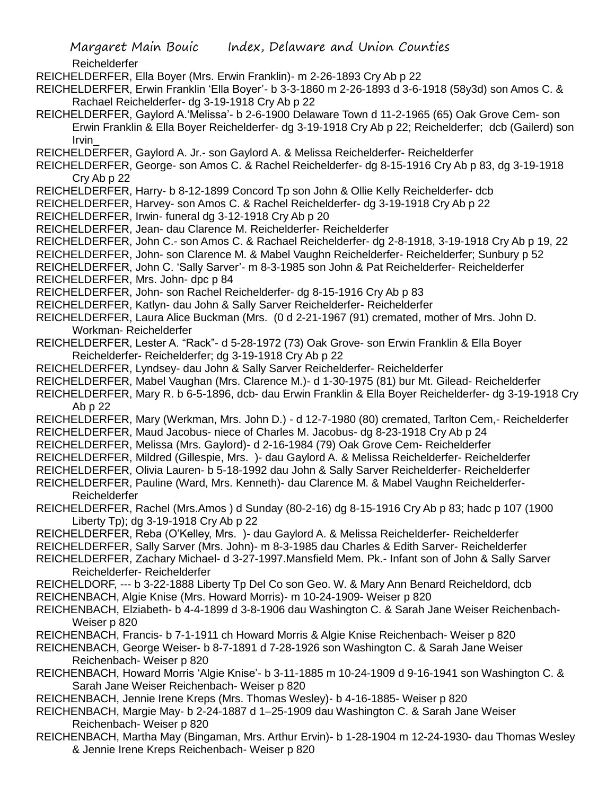Reichelderfer

- REICHELDERFER, Ella Boyer (Mrs. Erwin Franklin)- m 2-26-1893 Cry Ab p 22
- REICHELDERFER, Erwin Franklin 'Ella Boyer'- b 3-3-1860 m 2-26-1893 d 3-6-1918 (58y3d) son Amos C. & Rachael Reichelderfer- dg 3-19-1918 Cry Ab p 22
- REICHELDERFER, Gaylord A.'Melissa'- b 2-6-1900 Delaware Town d 11-2-1965 (65) Oak Grove Cem- son Erwin Franklin & Ella Boyer Reichelderfer- dg 3-19-1918 Cry Ab p 22; Reichelderfer; dcb (Gailerd) son Irvin\_
- REICHELDERFER, Gaylord A. Jr.- son Gaylord A. & Melissa Reichelderfer- Reichelderfer
- REICHELDERFER, George- son Amos C. & Rachel Reichelderfer- dg 8-15-1916 Cry Ab p 83, dg 3-19-1918 Cry Ab p 22
- REICHELDERFER, Harry- b 8-12-1899 Concord Tp son John & Ollie Kelly Reichelderfer- dcb
- REICHELDERFER, Harvey- son Amos C. & Rachel Reichelderfer- dg 3-19-1918 Cry Ab p 22
- REICHELDERFER, Irwin- funeral dg 3-12-1918 Cry Ab p 20
- REICHELDERFER, Jean- dau Clarence M. Reichelderfer- Reichelderfer
- REICHELDERFER, John C.- son Amos C. & Rachael Reichelderfer- dg 2-8-1918, 3-19-1918 Cry Ab p 19, 22
- REICHELDERFER, John- son Clarence M. & Mabel Vaughn Reichelderfer- Reichelderfer; Sunbury p 52

REICHELDERFER, John C. 'Sally Sarver'- m 8-3-1985 son John & Pat Reichelderfer- Reichelderfer REICHELDERFER, Mrs. John- dpc p 84

- REICHELDERFER, John- son Rachel Reichelderfer- dg 8-15-1916 Cry Ab p 83
- REICHELDERFER, Katlyn- dau John & Sally Sarver Reichelderfer- Reichelderfer
- REICHELDERFER, Laura Alice Buckman (Mrs. (0 d 2-21-1967 (91) cremated, mother of Mrs. John D. Workman- Reichelderfer
- REICHELDERFER, Lester A. "Rack"- d 5-28-1972 (73) Oak Grove- son Erwin Franklin & Ella Boyer Reichelderfer- Reichelderfer; dg 3-19-1918 Cry Ab p 22
- REICHELDERFER, Lyndsey- dau John & Sally Sarver Reichelderfer- Reichelderfer
- REICHELDERFER, Mabel Vaughan (Mrs. Clarence M.)- d 1-30-1975 (81) bur Mt. Gilead- Reichelderfer
- REICHELDERFER, Mary R. b 6-5-1896, dcb- dau Erwin Franklin & Ella Boyer Reichelderfer- dg 3-19-1918 Cry Ab p 22
- REICHELDERFER, Mary (Werkman, Mrs. John D.) d 12-7-1980 (80) cremated, Tarlton Cem,- Reichelderfer REICHELDERFER, Maud Jacobus- niece of Charles M. Jacobus- dg 8-23-1918 Cry Ab p 24
- REICHELDERFER, Melissa (Mrs. Gaylord)- d 2-16-1984 (79) Oak Grove Cem- Reichelderfer
- REICHELDERFER, Mildred (Gillespie, Mrs. )- dau Gaylord A. & Melissa Reichelderfer- Reichelderfer
- REICHELDERFER, Olivia Lauren- b 5-18-1992 dau John & Sally Sarver Reichelderfer- Reichelderfer
- REICHELDERFER, Pauline (Ward, Mrs. Kenneth)- dau Clarence M. & Mabel Vaughn Reichelderfer-Reichelderfer
- REICHELDERFER, Rachel (Mrs.Amos ) d Sunday (80-2-16) dg 8-15-1916 Cry Ab p 83; hadc p 107 (1900 Liberty Tp); dg 3-19-1918 Cry Ab p 22
- REICHELDERFER, Reba (O'Kelley, Mrs. )- dau Gaylord A. & Melissa Reichelderfer- Reichelderfer
- REICHELDERFER, Sally Sarver (Mrs. John)- m 8-3-1985 dau Charles & Edith Sarver- Reichelderfer
- REICHELDERFER, Zachary Michael- d 3-27-1997.Mansfield Mem. Pk.- Infant son of John & Sally Sarver Reichelderfer- Reichelderfer
- REICHELDORF, --- b 3-22-1888 Liberty Tp Del Co son Geo. W. & Mary Ann Benard Reicheldord, dcb
- REICHENBACH, Algie Knise (Mrs. Howard Morris)- m 10-24-1909- Weiser p 820
- REICHENBACH, Elziabeth- b 4-4-1899 d 3-8-1906 dau Washington C. & Sarah Jane Weiser Reichenbach-Weiser p 820
- REICHENBACH, Francis- b 7-1-1911 ch Howard Morris & Algie Knise Reichenbach- Weiser p 820
- REICHENBACH, George Weiser- b 8-7-1891 d 7-28-1926 son Washington C. & Sarah Jane Weiser Reichenbach- Weiser p 820
- REICHENBACH, Howard Morris 'Algie Knise'- b 3-11-1885 m 10-24-1909 d 9-16-1941 son Washington C. & Sarah Jane Weiser Reichenbach- Weiser p 820
- REICHENBACH, Jennie Irene Kreps (Mrs. Thomas Wesley)- b 4-16-1885- Weiser p 820
- REICHENBACH, Margie May- b 2-24-1887 d 1–25-1909 dau Washington C. & Sarah Jane Weiser Reichenbach- Weiser p 820
- REICHENBACH, Martha May (Bingaman, Mrs. Arthur Ervin)- b 1-28-1904 m 12-24-1930- dau Thomas Wesley & Jennie Irene Kreps Reichenbach- Weiser p 820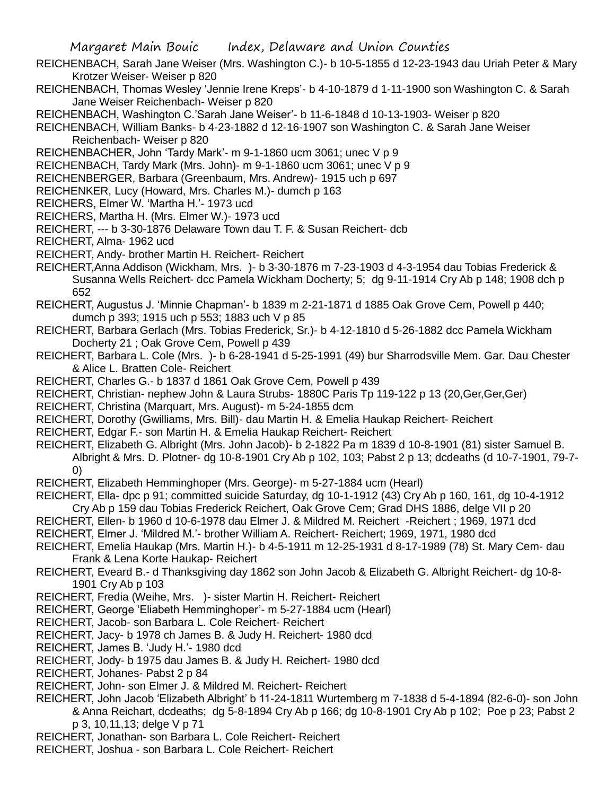- REICHENBACH, Sarah Jane Weiser (Mrs. Washington C.)- b 10-5-1855 d 12-23-1943 dau Uriah Peter & Mary Krotzer Weiser- Weiser p 820
- REICHENBACH, Thomas Wesley 'Jennie Irene Kreps'- b 4-10-1879 d 1-11-1900 son Washington C. & Sarah Jane Weiser Reichenbach- Weiser p 820

REICHENBACH, Washington C.'Sarah Jane Weiser'- b 11-6-1848 d 10-13-1903- Weiser p 820

REICHENBACH, William Banks- b 4-23-1882 d 12-16-1907 son Washington C. & Sarah Jane Weiser Reichenbach- Weiser p 820

REICHENBACHER, John 'Tardy Mark'- m 9-1-1860 ucm 3061; unec V p 9

REICHENBACH, Tardy Mark (Mrs. John)- m 9-1-1860 ucm 3061; unec V p 9

REICHENBERGER, Barbara (Greenbaum, Mrs. Andrew)- 1915 uch p 697

REICHENKER, Lucy (Howard, Mrs. Charles M.)- dumch p 163

REICHERS, Elmer W. 'Martha H.'- 1973 ucd

REICHERS, Martha H. (Mrs. Elmer W.)- 1973 ucd

REICHERT, --- b 3-30-1876 Delaware Town dau T. F. & Susan Reichert- dcb

REICHERT, Alma- 1962 ucd

REICHERT, Andy- brother Martin H. Reichert- Reichert

REICHERT,Anna Addison (Wickham, Mrs. )- b 3-30-1876 m 7-23-1903 d 4-3-1954 dau Tobias Frederick & Susanna Wells Reichert- dcc Pamela Wickham Docherty; 5; dg 9-11-1914 Cry Ab p 148; 1908 dch p 652

REICHERT, Augustus J. 'Minnie Chapman'- b 1839 m 2-21-1871 d 1885 Oak Grove Cem, Powell p 440; dumch p 393; 1915 uch p 553; 1883 uch V p 85

REICHERT, Barbara Gerlach (Mrs. Tobias Frederick, Sr.)- b 4-12-1810 d 5-26-1882 dcc Pamela Wickham Docherty 21 ; Oak Grove Cem, Powell p 439

REICHERT, Barbara L. Cole (Mrs. )- b 6-28-1941 d 5-25-1991 (49) bur Sharrodsville Mem. Gar. Dau Chester & Alice L. Bratten Cole- Reichert

REICHERT, Charles G.- b 1837 d 1861 Oak Grove Cem, Powell p 439

REICHERT, Christian- nephew John & Laura Strubs- 1880C Paris Tp 119-122 p 13 (20,Ger,Ger,Ger)

REICHERT, Christina (Marquart, Mrs. August)- m 5-24-1855 dcm

REICHERT, Dorothy (Gwilliams, Mrs. Bill)- dau Martin H. & Emelia Haukap Reichert- Reichert

REICHERT, Edgar F.- son Martin H. & Emelia Haukap Reichert- Reichert

REICHERT, Elizabeth G. Albright (Mrs. John Jacob)- b 2-1822 Pa m 1839 d 10-8-1901 (81) sister Samuel B. Albright & Mrs. D. Plotner- dg 10-8-1901 Cry Ab p 102, 103; Pabst 2 p 13; dcdeaths (d 10-7-1901, 79-7- 0)

REICHERT, Elizabeth Hemminghoper (Mrs. George)- m 5-27-1884 ucm (Hearl)

REICHERT, Ella- dpc p 91; committed suicide Saturday, dg 10-1-1912 (43) Cry Ab p 160, 161, dg 10-4-1912

Cry Ab p 159 dau Tobias Frederick Reichert, Oak Grove Cem; Grad DHS 1886, delge VII p 20

- REICHERT, Ellen- b 1960 d 10-6-1978 dau Elmer J. & Mildred M. Reichert -Reichert ; 1969, 1971 dcd REICHERT, Elmer J. 'Mildred M.'- brother William A. Reichert- Reichert; 1969, 1971, 1980 dcd
- 

REICHERT, Emelia Haukap (Mrs. Martin H.)- b 4-5-1911 m 12-25-1931 d 8-17-1989 (78) St. Mary Cem- dau Frank & Lena Korte Haukap- Reichert

REICHERT, Eveard B.- d Thanksgiving day 1862 son John Jacob & Elizabeth G. Albright Reichert- dg 10-8- 1901 Cry Ab p 103

REICHERT, Fredia (Weihe, Mrs. )- sister Martin H. Reichert- Reichert

REICHERT, George 'Eliabeth Hemminghoper'- m 5-27-1884 ucm (Hearl)

REICHERT, Jacob- son Barbara L. Cole Reichert- Reichert

REICHERT, Jacy- b 1978 ch James B. & Judy H. Reichert- 1980 dcd

REICHERT, James B. 'Judy H.'- 1980 dcd

REICHERT, Jody- b 1975 dau James B. & Judy H. Reichert- 1980 dcd

REICHERT, Johanes- Pabst 2 p 84

REICHERT, John- son Elmer J. & Mildred M. Reichert- Reichert

REICHERT, John Jacob 'Elizabeth Albright' b 11-24-1811 Wurtemberg m 7-1838 d 5-4-1894 (82-6-0)- son John & Anna Reichart, dcdeaths; dg 5-8-1894 Cry Ab p 166; dg 10-8-1901 Cry Ab p 102; Poe p 23; Pabst 2 p 3, 10,11,13; delge V p 71

REICHERT, Jonathan- son Barbara L. Cole Reichert- Reichert

REICHERT, Joshua - son Barbara L. Cole Reichert- Reichert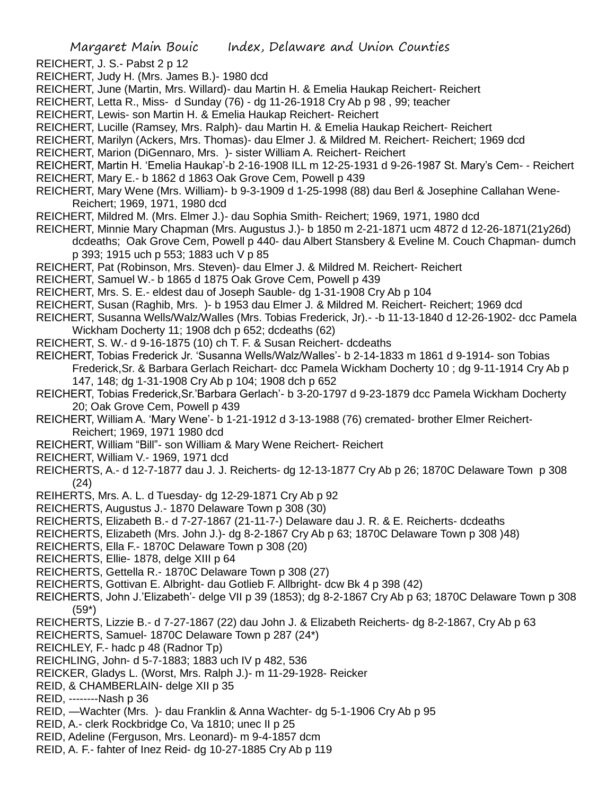- REICHERT, J. S.- Pabst 2 p 12
- REICHERT, Judy H. (Mrs. James B.)- 1980 dcd
- REICHERT, June (Martin, Mrs. Willard)- dau Martin H. & Emelia Haukap Reichert- Reichert
- REICHERT, Letta R., Miss- d Sunday (76) dg 11-26-1918 Cry Ab p 98 , 99; teacher
- REICHERT, Lewis- son Martin H. & Emelia Haukap Reichert- Reichert
- REICHERT, Lucille (Ramsey, Mrs. Ralph)- dau Martin H. & Emelia Haukap Reichert- Reichert
- REICHERT, Marilyn (Ackers, Mrs. Thomas)- dau Elmer J. & Mildred M. Reichert- Reichert; 1969 dcd
- REICHERT, Marion (DiGennaro, Mrs. )- sister William A. Reichert- Reichert
- REICHERT, Martin H. 'Emelia Haukap'-b 2-16-1908 ILL m 12-25-1931 d 9-26-1987 St. Mary's Cem- Reichert
- REICHERT, Mary E.- b 1862 d 1863 Oak Grove Cem, Powell p 439
- REICHERT, Mary Wene (Mrs. William)- b 9-3-1909 d 1-25-1998 (88) dau Berl & Josephine Callahan Wene-Reichert; 1969, 1971, 1980 dcd
- REICHERT, Mildred M. (Mrs. Elmer J.)- dau Sophia Smith- Reichert; 1969, 1971, 1980 dcd
- REICHERT, Minnie Mary Chapman (Mrs. Augustus J.)- b 1850 m 2-21-1871 ucm 4872 d 12-26-1871(21y26d) dcdeaths; Oak Grove Cem, Powell p 440- dau Albert Stansbery & Eveline M. Couch Chapman- dumch p 393; 1915 uch p 553; 1883 uch V p 85
- REICHERT, Pat (Robinson, Mrs. Steven)- dau Elmer J. & Mildred M. Reichert- Reichert
- REICHERT, Samuel W.- b 1865 d 1875 Oak Grove Cem, Powell p 439
- REICHERT, Mrs. S. E.- eldest dau of Joseph Sauble- dg 1-31-1908 Cry Ab p 104
- REICHERT, Susan (Raghib, Mrs. )- b 1953 dau Elmer J. & Mildred M. Reichert- Reichert; 1969 dcd
- REICHERT, Susanna Wells/Walz/Walles (Mrs. Tobias Frederick, Jr).- -b 11-13-1840 d 12-26-1902- dcc Pamela Wickham Docherty 11; 1908 dch p 652; dcdeaths (62)
- REICHERT, S. W.- d 9-16-1875 (10) ch T. F. & Susan Reichert- dcdeaths

REICHERT, Tobias Frederick Jr. 'Susanna Wells/Walz/Walles'- b 2-14-1833 m 1861 d 9-1914- son Tobias Frederick,Sr. & Barbara Gerlach Reichart- dcc Pamela Wickham Docherty 10 ; dg 9-11-1914 Cry Ab p 147, 148; dg 1-31-1908 Cry Ab p 104; 1908 dch p 652

- REICHERT, Tobias Frederick,Sr.'Barbara Gerlach'- b 3-20-1797 d 9-23-1879 dcc Pamela Wickham Docherty 20; Oak Grove Cem, Powell p 439
- REICHERT, William A. 'Mary Wene'- b 1-21-1912 d 3-13-1988 (76) cremated- brother Elmer Reichert-Reichert; 1969, 1971 1980 dcd
- REICHERT, William "Bill"- son William & Mary Wene Reichert- Reichert
- REICHERT, William V.- 1969, 1971 dcd
- REICHERTS, A.- d 12-7-1877 dau J. J. Reicherts- dg 12-13-1877 Cry Ab p 26; 1870C Delaware Town p 308 (24)
- REIHERTS, Mrs. A. L. d Tuesday- dg 12-29-1871 Cry Ab p 92
- REICHERTS, Augustus J.- 1870 Delaware Town p 308 (30)
- REICHERTS, Elizabeth B.- d 7-27-1867 (21-11-7-) Delaware dau J. R. & E. Reicherts- dcdeaths
- REICHERTS, Elizabeth (Mrs. John J.)- dg 8-2-1867 Cry Ab p 63; 1870C Delaware Town p 308 )48)
- REICHERTS, Ella F.- 1870C Delaware Town p 308 (20)
- REICHERTS, Ellie- 1878, delge XIII p 64
- REICHERTS, Gettella R.- 1870C Delaware Town p 308 (27)
- REICHERTS, Gottivan E. Albright- dau Gotlieb F. Allbright- dcw Bk 4 p 398 (42)
- REICHERTS, John J.'Elizabeth'- delge VII p 39 (1853); dg 8-2-1867 Cry Ab p 63; 1870C Delaware Town p 308 (59\*)
- REICHERTS, Lizzie B.- d 7-27-1867 (22) dau John J. & Elizabeth Reicherts- dg 8-2-1867, Cry Ab p 63
- REICHERTS, Samuel- 1870C Delaware Town p 287 (24\*)
- REICHLEY, F.- hadc p 48 (Radnor Tp)
- REICHLING, John- d 5-7-1883; 1883 uch IV p 482, 536
- REICKER, Gladys L. (Worst, Mrs. Ralph J.)- m 11-29-1928- Reicker
- REID, & CHAMBERLAIN- delge XII p 35
- REID, --------Nash p 36
- REID, —Wachter (Mrs. )- dau Franklin & Anna Wachter- dg 5-1-1906 Cry Ab p 95
- REID, A.- clerk Rockbridge Co, Va 1810; unec II p 25
- REID, Adeline (Ferguson, Mrs. Leonard)- m 9-4-1857 dcm
- REID, A. F.- fahter of Inez Reid- dg 10-27-1885 Cry Ab p 119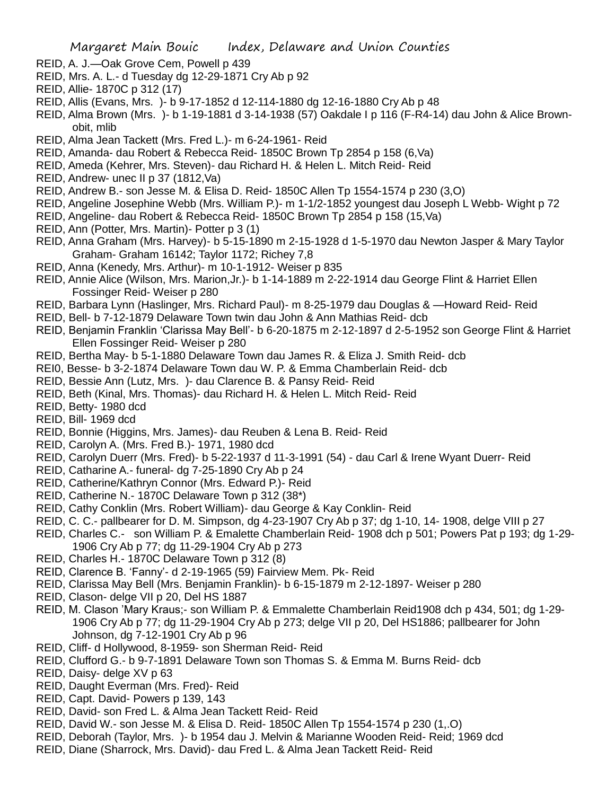- REID, A. J.—Oak Grove Cem, Powell p 439
- REID, Mrs. A. L.- d Tuesday dg 12-29-1871 Cry Ab p 92
- REID, Allie- 1870C p 312 (17)
- REID, Allis (Evans, Mrs. )- b 9-17-1852 d 12-114-1880 dg 12-16-1880 Cry Ab p 48
- REID, Alma Brown (Mrs. )- b 1-19-1881 d 3-14-1938 (57) Oakdale I p 116 (F-R4-14) dau John & Alice Brownobit, mlib
- REID, Alma Jean Tackett (Mrs. Fred L.)- m 6-24-1961- Reid
- REID, Amanda- dau Robert & Rebecca Reid- 1850C Brown Tp 2854 p 158 (6,Va)
- REID, Ameda (Kehrer, Mrs. Steven)- dau Richard H. & Helen L. Mitch Reid- Reid
- REID, Andrew- unec II p 37 (1812,Va)
- REID, Andrew B.- son Jesse M. & Elisa D. Reid- 1850C Allen Tp 1554-1574 p 230 (3,O)
- REID, Angeline Josephine Webb (Mrs. William P.)- m 1-1/2-1852 youngest dau Joseph L Webb- Wight p 72
- REID, Angeline- dau Robert & Rebecca Reid- 1850C Brown Tp 2854 p 158 (15,Va)
- REID, Ann (Potter, Mrs. Martin)- Potter p 3 (1)
- REID, Anna Graham (Mrs. Harvey)- b 5-15-1890 m 2-15-1928 d 1-5-1970 dau Newton Jasper & Mary Taylor Graham- Graham 16142; Taylor 1172; Richey 7,8
- REID, Anna (Kenedy, Mrs. Arthur)- m 10-1-1912- Weiser p 835
- REID, Annie Alice (Wilson, Mrs. Marion,Jr.)- b 1-14-1889 m 2-22-1914 dau George Flint & Harriet Ellen Fossinger Reid- Weiser p 280
- REID, Barbara Lynn (Haslinger, Mrs. Richard Paul)- m 8-25-1979 dau Douglas & —Howard Reid- Reid
- REID, Bell- b 7-12-1879 Delaware Town twin dau John & Ann Mathias Reid- dcb
- REID, Benjamin Franklin 'Clarissa May Bell'- b 6-20-1875 m 2-12-1897 d 2-5-1952 son George Flint & Harriet Ellen Fossinger Reid- Weiser p 280
- REID, Bertha May- b 5-1-1880 Delaware Town dau James R. & Eliza J. Smith Reid- dcb
- REI0, Besse- b 3-2-1874 Delaware Town dau W. P. & Emma Chamberlain Reid- dcb
- REID, Bessie Ann (Lutz, Mrs. )- dau Clarence B. & Pansy Reid- Reid
- REID, Beth (Kinal, Mrs. Thomas)- dau Richard H. & Helen L. Mitch Reid- Reid
- REID, Betty- 1980 dcd
- REID, Bill- 1969 dcd
- REID, Bonnie (Higgins, Mrs. James)- dau Reuben & Lena B. Reid- Reid
- REID, Carolyn A. (Mrs. Fred B.)- 1971, 1980 dcd
- REID, Carolyn Duerr (Mrs. Fred)- b 5-22-1937 d 11-3-1991 (54) dau Carl & Irene Wyant Duerr- Reid
- REID, Catharine A.- funeral- dg 7-25-1890 Cry Ab p 24
- REID, Catherine/Kathryn Connor (Mrs. Edward P.)- Reid
- REID, Catherine N.- 1870C Delaware Town p 312 (38\*)
- REID, Cathy Conklin (Mrs. Robert William)- dau George & Kay Conklin- Reid
- REID, C. C.- pallbearer for D. M. Simpson, dg 4-23-1907 Cry Ab p 37; dg 1-10, 14- 1908, delge VIII p 27
- REID, Charles C.- son William P. & Emalette Chamberlain Reid- 1908 dch p 501; Powers Pat p 193; dg 1-29- 1906 Cry Ab p 77; dg 11-29-1904 Cry Ab p 273
- REID, Charles H.- 1870C Delaware Town p 312 (8)
- REID, Clarence B. 'Fanny'- d 2-19-1965 (59) Fairview Mem. Pk- Reid
- REID, Clarissa May Bell (Mrs. Benjamin Franklin)- b 6-15-1879 m 2-12-1897- Weiser p 280
- REID, Clason- delge VII p 20, Del HS 1887
- REID, M. Clason 'Mary Kraus;- son William P. & Emmalette Chamberlain Reid1908 dch p 434, 501; dg 1-29- 1906 Cry Ab p 77; dg 11-29-1904 Cry Ab p 273; delge VII p 20, Del HS1886; pallbearer for John Johnson, dg 7-12-1901 Cry Ab p 96
- REID, Cliff- d Hollywood, 8-1959- son Sherman Reid- Reid
- REID, Clufford G.- b 9-7-1891 Delaware Town son Thomas S. & Emma M. Burns Reid- dcb
- REID, Daisy- delge XV p 63
- REID, Daught Everman (Mrs. Fred)- Reid
- REID, Capt. David- Powers p 139, 143
- REID, David- son Fred L. & Alma Jean Tackett Reid- Reid
- REID, David W.- son Jesse M. & Elisa D. Reid- 1850C Allen Tp 1554-1574 p 230 (1,.O)
- REID, Deborah (Taylor, Mrs. )- b 1954 dau J. Melvin & Marianne Wooden Reid- Reid; 1969 dcd
- REID, Diane (Sharrock, Mrs. David)- dau Fred L. & Alma Jean Tackett Reid- Reid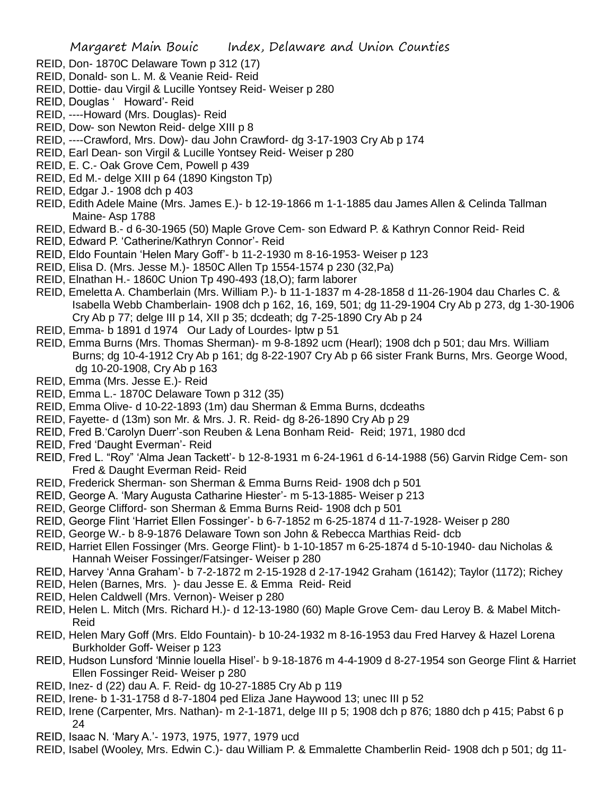- REID, Don- 1870C Delaware Town p 312 (17)
- REID, Donald- son L. M. & Veanie Reid- Reid
- REID, Dottie- dau Virgil & Lucille Yontsey Reid- Weiser p 280
- REID, Douglas ' Howard'- Reid
- REID, ----Howard (Mrs. Douglas)- Reid
- REID, Dow- son Newton Reid- delge XIII p 8
- REID, ----Crawford, Mrs. Dow)- dau John Crawford- dg 3-17-1903 Cry Ab p 174
- REID, Earl Dean- son Virgil & Lucille Yontsey Reid- Weiser p 280
- REID, E. C.- Oak Grove Cem, Powell p 439
- REID, Ed M.- delge XIII p 64 (1890 Kingston Tp)
- REID, Edgar J.- 1908 dch p 403
- REID, Edith Adele Maine (Mrs. James E.)- b 12-19-1866 m 1-1-1885 dau James Allen & Celinda Tallman Maine- Asp 1788
- REID, Edward B.- d 6-30-1965 (50) Maple Grove Cem- son Edward P. & Kathryn Connor Reid- Reid
- REID, Edward P. 'Catherine/Kathryn Connor'- Reid
- REID, Eldo Fountain 'Helen Mary Goff'- b 11-2-1930 m 8-16-1953- Weiser p 123
- REID, Elisa D. (Mrs. Jesse M.)- 1850C Allen Tp 1554-1574 p 230 (32,Pa)
- REID, Elnathan H.- 1860C Union Tp 490-493 (18,O); farm laborer
- REID, Emeletta A. Chamberlain (Mrs. William P.)- b 11-1-1837 m 4-28-1858 d 11-26-1904 dau Charles C. & Isabella Webb Chamberlain- 1908 dch p 162, 16, 169, 501; dg 11-29-1904 Cry Ab p 273, dg 1-30-1906 Cry Ab p 77; delge III p 14, XII p 35; dcdeath; dg 7-25-1890 Cry Ab p 24
- REID, Emma- b 1891 d 1974 Our Lady of Lourdes- lptw p 51
- REID, Emma Burns (Mrs. Thomas Sherman)- m 9-8-1892 ucm (Hearl); 1908 dch p 501; dau Mrs. William Burns; dg 10-4-1912 Cry Ab p 161; dg 8-22-1907 Cry Ab p 66 sister Frank Burns, Mrs. George Wood, dg 10-20-1908, Cry Ab p 163
- REID, Emma (Mrs. Jesse E.)- Reid
- REID, Emma L.- 1870C Delaware Town p 312 (35)
- REID, Emma Olive- d 10-22-1893 (1m) dau Sherman & Emma Burns, dcdeaths
- REID, Fayette- d (13m) son Mr. & Mrs. J. R. Reid- dg 8-26-1890 Cry Ab p 29
- REID, Fred B.'Carolyn Duerr'-son Reuben & Lena Bonham Reid- Reid; 1971, 1980 dcd
- REID, Fred 'Daught Everman'- Reid
- REID, Fred L. "Roy" 'Alma Jean Tackett'- b 12-8-1931 m 6-24-1961 d 6-14-1988 (56) Garvin Ridge Cem- son Fred & Daught Everman Reid- Reid
- REID, Frederick Sherman- son Sherman & Emma Burns Reid- 1908 dch p 501
- REID, George A. 'Mary Augusta Catharine Hiester'- m 5-13-1885- Weiser p 213
- REID, George Clifford- son Sherman & Emma Burns Reid- 1908 dch p 501
- REID, George Flint 'Harriet Ellen Fossinger'- b 6-7-1852 m 6-25-1874 d 11-7-1928- Weiser p 280
- REID, George W.- b 8-9-1876 Delaware Town son John & Rebecca Marthias Reid- dcb
- REID, Harriet Ellen Fossinger (Mrs. George Flint)- b 1-10-1857 m 6-25-1874 d 5-10-1940- dau Nicholas & Hannah Weiser Fossinger/Fatsinger- Weiser p 280
- REID, Harvey 'Anna Graham'- b 7-2-1872 m 2-15-1928 d 2-17-1942 Graham (16142); Taylor (1172); Richey
- REID, Helen (Barnes, Mrs. )- dau Jesse E. & Emma Reid- Reid
- REID, Helen Caldwell (Mrs. Vernon)- Weiser p 280
- REID, Helen L. Mitch (Mrs. Richard H.)- d 12-13-1980 (60) Maple Grove Cem- dau Leroy B. & Mabel Mitch-Reid
- REID, Helen Mary Goff (Mrs. Eldo Fountain)- b 10-24-1932 m 8-16-1953 dau Fred Harvey & Hazel Lorena Burkholder Goff- Weiser p 123
- REID, Hudson Lunsford 'Minnie louella Hisel'- b 9-18-1876 m 4-4-1909 d 8-27-1954 son George Flint & Harriet Ellen Fossinger Reid- Weiser p 280
- REID, Inez- d (22) dau A. F. Reid- dg 10-27-1885 Cry Ab p 119
- REID, Irene- b 1-31-1758 d 8-7-1804 ped Eliza Jane Haywood 13; unec III p 52
- REID, Irene (Carpenter, Mrs. Nathan)- m 2-1-1871, delge III p 5; 1908 dch p 876; 1880 dch p 415; Pabst 6 p 24
- REID, Isaac N. 'Mary A.'- 1973, 1975, 1977, 1979 ucd
- REID, Isabel (Wooley, Mrs. Edwin C.)- dau William P. & Emmalette Chamberlin Reid- 1908 dch p 501; dg 11-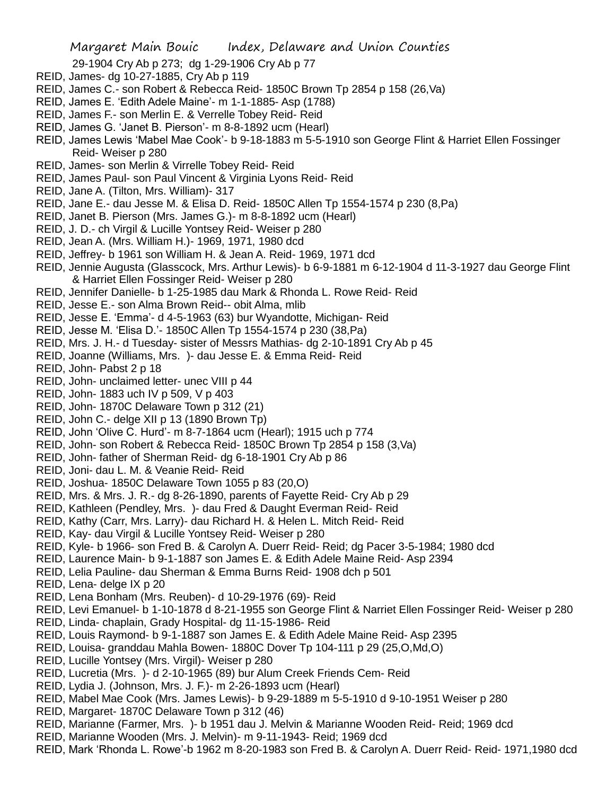29-1904 Cry Ab p 273; dg 1-29-1906 Cry Ab p 77

- REID, James- dg 10-27-1885, Cry Ab p 119
- REID, James C.- son Robert & Rebecca Reid- 1850C Brown Tp 2854 p 158 (26,Va)
- REID, James E. 'Edith Adele Maine'- m 1-1-1885- Asp (1788)
- REID, James F.- son Merlin E. & Verrelle Tobey Reid- Reid
- REID, James G. 'Janet B. Pierson'- m 8-8-1892 ucm (Hearl)
- REID, James Lewis 'Mabel Mae Cook'- b 9-18-1883 m 5-5-1910 son George Flint & Harriet Ellen Fossinger Reid- Weiser p 280
- REID, James- son Merlin & Virrelle Tobey Reid- Reid
- REID, James Paul- son Paul Vincent & Virginia Lyons Reid- Reid
- REID, Jane A. (Tilton, Mrs. William)- 317
- REID, Jane E.- dau Jesse M. & Elisa D. Reid- 1850C Allen Tp 1554-1574 p 230 (8,Pa)
- REID, Janet B. Pierson (Mrs. James G.)- m 8-8-1892 ucm (Hearl)
- REID, J. D.- ch Virgil & Lucille Yontsey Reid- Weiser p 280
- REID, Jean A. (Mrs. William H.)- 1969, 1971, 1980 dcd
- REID, Jeffrey- b 1961 son William H. & Jean A. Reid- 1969, 1971 dcd
- REID, Jennie Augusta (Glasscock, Mrs. Arthur Lewis)- b 6-9-1881 m 6-12-1904 d 11-3-1927 dau George Flint & Harriet Ellen Fossinger Reid- Weiser p 280
- REID, Jennifer Danielle- b 1-25-1985 dau Mark & Rhonda L. Rowe Reid- Reid
- REID, Jesse E.- son Alma Brown Reid-- obit Alma, mlib
- REID, Jesse E. 'Emma'- d 4-5-1963 (63) bur Wyandotte, Michigan- Reid
- REID, Jesse M. 'Elisa D.'- 1850C Allen Tp 1554-1574 p 230 (38,Pa)
- REID, Mrs. J. H.- d Tuesday- sister of Messrs Mathias- dg 2-10-1891 Cry Ab p 45
- REID, Joanne (Williams, Mrs. )- dau Jesse E. & Emma Reid- Reid
- REID, John- Pabst 2 p 18
- REID, John- unclaimed letter- unec VIII p 44
- REID, John- 1883 uch IV p 509, V p 403
- REID, John- 1870C Delaware Town p 312 (21)
- REID, John C.- delge XII p 13 (1890 Brown Tp)
- REID, John 'Olive C. Hurd'- m 8-7-1864 ucm (Hearl); 1915 uch p 774
- REID, John- son Robert & Rebecca Reid- 1850C Brown Tp 2854 p 158 (3,Va)
- REID, John- father of Sherman Reid- dg 6-18-1901 Cry Ab p 86
- REID, Joni- dau L. M. & Veanie Reid- Reid
- REID, Joshua- 1850C Delaware Town 1055 p 83 (20,O)
- REID, Mrs. & Mrs. J. R.- dg 8-26-1890, parents of Fayette Reid- Cry Ab p 29
- REID, Kathleen (Pendley, Mrs. )- dau Fred & Daught Everman Reid- Reid
- REID, Kathy (Carr, Mrs. Larry)- dau Richard H. & Helen L. Mitch Reid- Reid
- REID, Kay- dau Virgil & Lucille Yontsey Reid- Weiser p 280
- REID, Kyle- b 1966- son Fred B. & Carolyn A. Duerr Reid- Reid; dg Pacer 3-5-1984; 1980 dcd
- REID, Laurence Main- b 9-1-1887 son James E. & Edith Adele Maine Reid- Asp 2394
- REID, Lelia Pauline- dau Sherman & Emma Burns Reid- 1908 dch p 501
- REID, Lena- delge IX p 20
- REID, Lena Bonham (Mrs. Reuben)- d 10-29-1976 (69)- Reid
- REID, Levi Emanuel- b 1-10-1878 d 8-21-1955 son George Flint & Narriet Ellen Fossinger Reid- Weiser p 280
- REID, Linda- chaplain, Grady Hospital- dg 11-15-1986- Reid
- REID, Louis Raymond- b 9-1-1887 son James E. & Edith Adele Maine Reid- Asp 2395
- REID, Louisa- granddau Mahla Bowen- 1880C Dover Tp 104-111 p 29 (25,O,Md,O)
- REID, Lucille Yontsey (Mrs. Virgil)- Weiser p 280
- REID, Lucretia (Mrs. )- d 2-10-1965 (89) bur Alum Creek Friends Cem- Reid
- REID, Lydia J. (Johnson, Mrs. J. F.)- m 2-26-1893 ucm (Hearl)
- REID, Mabel Mae Cook (Mrs. James Lewis)- b 9-29-1889 m 5-5-1910 d 9-10-1951 Weiser p 280
- REID, Margaret- 1870C Delaware Town p 312 (46)
- REID, Marianne (Farmer, Mrs. )- b 1951 dau J. Melvin & Marianne Wooden Reid- Reid; 1969 dcd
- REID, Marianne Wooden (Mrs. J. Melvin)- m 9-11-1943- Reid; 1969 dcd
- REID, Mark 'Rhonda L. Rowe'-b 1962 m 8-20-1983 son Fred B. & Carolyn A. Duerr Reid- Reid- 1971,1980 dcd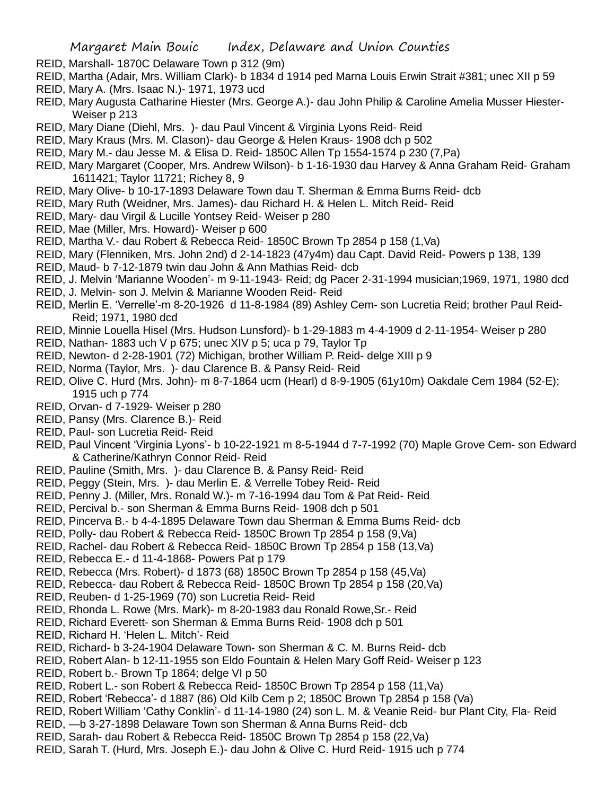- REID, Marshall- 1870C Delaware Town p 312 (9m)
- REID, Martha (Adair, Mrs. William Clark)- b 1834 d 1914 ped Marna Louis Erwin Strait #381; unec XII p 59
- REID, Mary A. (Mrs. Isaac N.)- 1971, 1973 ucd
- REID, Mary Augusta Catharine Hiester (Mrs. George A.)- dau John Philip & Caroline Amelia Musser Hiester-Weiser p 213
- REID, Mary Diane (Diehl, Mrs. )- dau Paul Vincent & Virginia Lyons Reid- Reid
- REID, Mary Kraus (Mrs. M. Clason)- dau George & Helen Kraus- 1908 dch p 502
- REID, Mary M.- dau Jesse M. & Elisa D. Reid- 1850C Allen Tp 1554-1574 p 230 (7,Pa)
- REID, Mary Margaret (Cooper, Mrs. Andrew Wilson)- b 1-16-1930 dau Harvey & Anna Graham Reid- Graham 1611421; Taylor 11721; Richey 8, 9
- REID, Mary Olive- b 10-17-1893 Delaware Town dau T. Sherman & Emma Burns Reid- dcb
- REID, Mary Ruth (Weidner, Mrs. James)- dau Richard H. & Helen L. Mitch Reid- Reid
- REID, Mary- dau Virgil & Lucille Yontsey Reid- Weiser p 280
- REID, Mae (Miller, Mrs. Howard)- Weiser p 600
- REID, Martha V.- dau Robert & Rebecca Reid- 1850C Brown Tp 2854 p 158 (1,Va)
- REID, Mary (Flenniken, Mrs. John 2nd) d 2-14-1823 (47y4m) dau Capt. David Reid- Powers p 138, 139
- REID, Maud- b 7-12-1879 twin dau John & Ann Mathias Reid- dcb
- REID, J. Melvin 'Marianne Wooden'- m 9-11-1943- Reid; dg Pacer 2-31-1994 musician;1969, 1971, 1980 dcd
- REID, J. Melvin- son J. Melvin & Marianne Wooden Reid- Reid
- REID, Merlin E. 'Verrelle'-m 8-20-1926 d 11-8-1984 (89) Ashley Cem- son Lucretia Reid; brother Paul Reid-Reid; 1971, 1980 dcd
- REID, Minnie Louella Hisel (Mrs. Hudson Lunsford)- b 1-29-1883 m 4-4-1909 d 2-11-1954- Weiser p 280
- REID, Nathan- 1883 uch V p 675; unec XIV p 5; uca p 79, Taylor Tp
- REID, Newton- d 2-28-1901 (72) Michigan, brother William P. Reid- delge XIII p 9
- REID, Norma (Taylor, Mrs. )- dau Clarence B. & Pansy Reid- Reid
- REID, Olive C. Hurd (Mrs. John)- m 8-7-1864 ucm (Hearl) d 8-9-1905 (61y10m) Oakdale Cem 1984 (52-E); 1915 uch p 774
- REID, Orvan- d 7-1929- Weiser p 280
- REID, Pansy (Mrs. Clarence B.)- Reid
- REID, Paul- son Lucretia Reid- Reid
- REID, Paul Vincent 'Virginia Lyons'- b 10-22-1921 m 8-5-1944 d 7-7-1992 (70) Maple Grove Cem- son Edward & Catherine/Kathryn Connor Reid- Reid
- REID, Pauline (Smith, Mrs. )- dau Clarence B. & Pansy Reid- Reid
- REID, Peggy (Stein, Mrs. )- dau Merlin E. & Verrelle Tobey Reid- Reid
- REID, Penny J. (Miller, Mrs. Ronald W.)- m 7-16-1994 dau Tom & Pat Reid- Reid
- REID, Percival b.- son Sherman & Emma Burns Reid- 1908 dch p 501
- REID, Pincerva B.- b 4-4-1895 Delaware Town dau Sherman & Emma Bums Reid- dcb
- REID, Polly- dau Robert & Rebecca Reid- 1850C Brown Tp 2854 p 158 (9,Va)
- REID, Rachel- dau Robert & Rebecca Reid- 1850C Brown Tp 2854 p 158 (13,Va)
- REID, Rebecca E.- d 11-4-1868- Powers Pat p 179
- REID, Rebecca (Mrs. Robert)- d 1873 (68) 1850C Brown Tp 2854 p 158 (45,Va)
- REID, Rebecca- dau Robert & Rebecca Reid- 1850C Brown Tp 2854 p 158 (20,Va)
- REID, Reuben- d 1-25-1969 (70) son Lucretia Reid- Reid
- REID, Rhonda L. Rowe (Mrs. Mark)- m 8-20-1983 dau Ronald Rowe,Sr.- Reid
- REID, Richard Everett- son Sherman & Emma Burns Reid- 1908 dch p 501
- REID, Richard H. 'Helen L. Mitch'- Reid
- REID, Richard- b 3-24-1904 Delaware Town- son Sherman & C. M. Burns Reid- dcb
- REID, Robert Alan- b 12-11-1955 son Eldo Fountain & Helen Mary Goff Reid- Weiser p 123
- REID, Robert b.- Brown Tp 1864; delge VI p 50
- REID, Robert L.- son Robert & Rebecca Reid- 1850C Brown Tp 2854 p 158 (11,Va)
- REID, Robert 'Rebecca'- d 1887 (86) Old Kilb Cem p 2; 1850C Brown Tp 2854 p 158 (Va)
- REID, Robert William 'Cathy Conklin'- d 11-14-1980 (24) son L. M. & Veanie Reid- bur Plant City, Fla- Reid
- REID, —b 3-27-1898 Delaware Town son Sherman & Anna Burns Reid- dcb
- REID, Sarah- dau Robert & Rebecca Reid- 1850C Brown Tp 2854 p 158 (22,Va)
- REID, Sarah T. (Hurd, Mrs. Joseph E.)- dau John & Olive C. Hurd Reid- 1915 uch p 774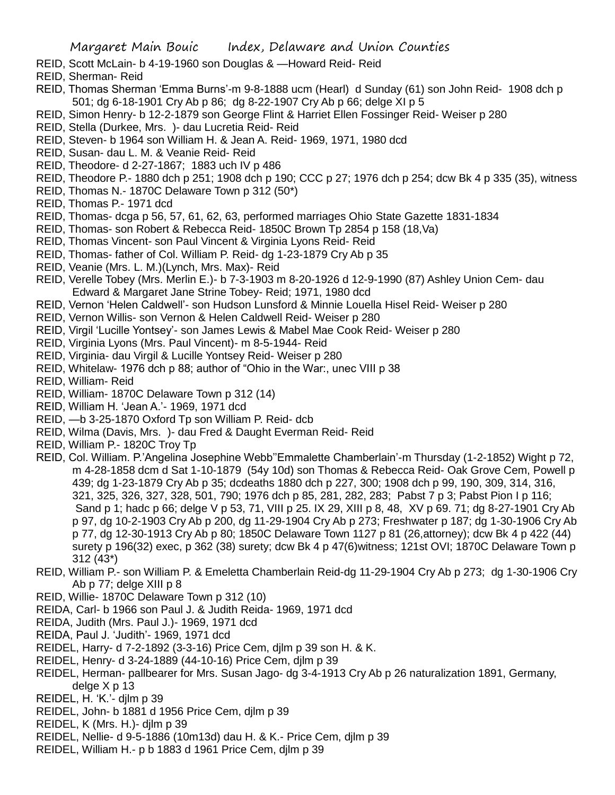- REID, Scott McLain- b 4-19-1960 son Douglas & —Howard Reid- Reid
- REID, Sherman- Reid
- REID, Thomas Sherman 'Emma Burns'-m 9-8-1888 ucm (Hearl) d Sunday (61) son John Reid- 1908 dch p 501; dg 6-18-1901 Cry Ab p 86; dg 8-22-1907 Cry Ab p 66; delge XI p 5
- REID, Simon Henry- b 12-2-1879 son George Flint & Harriet Ellen Fossinger Reid- Weiser p 280
- REID, Stella (Durkee, Mrs. )- dau Lucretia Reid- Reid
- REID, Steven- b 1964 son William H. & Jean A. Reid- 1969, 1971, 1980 dcd
- REID, Susan- dau L. M. & Veanie Reid- Reid
- REID, Theodore- d 2-27-1867; 1883 uch IV p 486
- REID, Theodore P.- 1880 dch p 251; 1908 dch p 190; CCC p 27; 1976 dch p 254; dcw Bk 4 p 335 (35), witness
- REID, Thomas N.- 1870C Delaware Town p 312 (50\*)
- REID, Thomas P.- 1971 dcd
- REID, Thomas- dcga p 56, 57, 61, 62, 63, performed marriages Ohio State Gazette 1831-1834
- REID, Thomas- son Robert & Rebecca Reid- 1850C Brown Tp 2854 p 158 (18,Va)
- REID, Thomas Vincent- son Paul Vincent & Virginia Lyons Reid- Reid
- REID, Thomas- father of Col. William P. Reid- dg 1-23-1879 Cry Ab p 35
- REID, Veanie (Mrs. L. M.)(Lynch, Mrs. Max)- Reid
- REID, Verelle Tobey (Mrs. Merlin E.)- b 7-3-1903 m 8-20-1926 d 12-9-1990 (87) Ashley Union Cem- dau Edward & Margaret Jane Strine Tobey- Reid; 1971, 1980 dcd
- REID, Vernon 'Helen Caldwell'- son Hudson Lunsford & Minnie Louella Hisel Reid- Weiser p 280
- REID, Vernon Willis- son Vernon & Helen Caldwell Reid- Weiser p 280
- REID, Virgil 'Lucille Yontsey'- son James Lewis & Mabel Mae Cook Reid- Weiser p 280
- REID, Virginia Lyons (Mrs. Paul Vincent)- m 8-5-1944- Reid
- REID, Virginia- dau Virgil & Lucille Yontsey Reid- Weiser p 280
- REID, Whitelaw- 1976 dch p 88; author of "Ohio in the War:, unec VIII p 38
- REID, William- Reid
- REID, William- 1870C Delaware Town p 312 (14)
- REID, William H. 'Jean A.'- 1969, 1971 dcd
- REID, —b 3-25-1870 Oxford Tp son William P. Reid- dcb
- REID, Wilma (Davis, Mrs. )- dau Fred & Daught Everman Reid- Reid
- REID, William P.- 1820C Troy Tp
- REID, Col. William. P.'Angelina Josephine Webb''Emmalette Chamberlain'-m Thursday (1-2-1852) Wight p 72, m 4-28-1858 dcm d Sat 1-10-1879 (54y 10d) son Thomas & Rebecca Reid- Oak Grove Cem, Powell p 439; dg 1-23-1879 Cry Ab p 35; dcdeaths 1880 dch p 227, 300; 1908 dch p 99, 190, 309, 314, 316, 321, 325, 326, 327, 328, 501, 790; 1976 dch p 85, 281, 282, 283; Pabst 7 p 3; Pabst Pion I p 116; Sand p 1; hadc p 66; delge V p 53, 71, VIII p 25. IX 29, XIII p 8, 48, XV p 69, 71; dg 8-27-1901 Cry Ab p 97, dg 10-2-1903 Cry Ab p 200, dg 11-29-1904 Cry Ab p 273; Freshwater p 187; dg 1-30-1906 Cry Ab p 77, dg 12-30-1913 Cry Ab p 80; 1850C Delaware Town 1127 p 81 (26,attorney); dcw Bk 4 p 422 (44) surety p 196(32) exec, p 362 (38) surety; dcw Bk 4 p 47(6)witness; 121st OVI; 1870C Delaware Town p 312 (43\*)
- REID, William P.- son William P. & Emeletta Chamberlain Reid-dg 11-29-1904 Cry Ab p 273; dg 1-30-1906 Cry Ab p 77; delge XIII p 8
- REID, Willie- 1870C Delaware Town p 312 (10)
- REIDA, Carl- b 1966 son Paul J. & Judith Reida- 1969, 1971 dcd
- REIDA, Judith (Mrs. Paul J.)- 1969, 1971 dcd
- REIDA, Paul J. 'Judith'- 1969, 1971 dcd
- REIDEL, Harry- d 7-2-1892 (3-3-16) Price Cem, djlm p 39 son H. & K.
- REIDEL, Henry- d 3-24-1889 (44-10-16) Price Cem, djlm p 39
- REIDEL, Herman- pallbearer for Mrs. Susan Jago- dg 3-4-1913 Cry Ab p 26 naturalization 1891, Germany, delge X p 13
- REIDEL, H. 'K.'- djlm p 39
- REIDEL, John- b 1881 d 1956 Price Cem, djlm p 39
- REIDEL, K (Mrs. H.)- djlm p 39
- REIDEL, Nellie- d 9-5-1886 (10m13d) dau H. & K.- Price Cem, djlm p 39
- REIDEL, William H.- p b 1883 d 1961 Price Cem, djlm p 39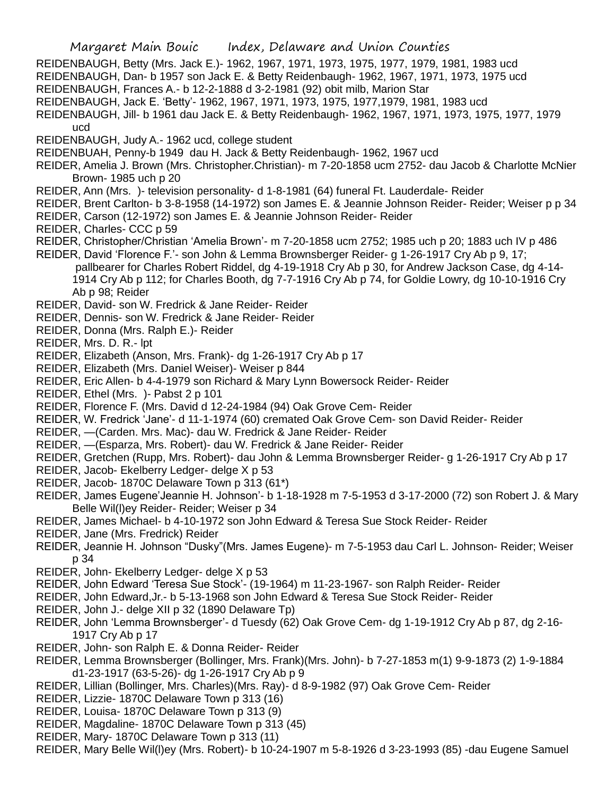REIDENBAUGH, Betty (Mrs. Jack E.)- 1962, 1967, 1971, 1973, 1975, 1977, 1979, 1981, 1983 ucd

- REIDENBAUGH, Dan- b 1957 son Jack E. & Betty Reidenbaugh- 1962, 1967, 1971, 1973, 1975 ucd
- REIDENBAUGH, Frances A.- b 12-2-1888 d 3-2-1981 (92) obit milb, Marion Star
- REIDENBAUGH, Jack E. 'Betty'- 1962, 1967, 1971, 1973, 1975, 1977,1979, 1981, 1983 ucd
- REIDENBAUGH, Jill- b 1961 dau Jack E. & Betty Reidenbaugh- 1962, 1967, 1971, 1973, 1975, 1977, 1979 ucd
- REIDENBAUGH, Judy A.- 1962 ucd, college student

REIDENBUAH, Penny-b 1949 dau H. Jack & Betty Reidenbaugh- 1962, 1967 ucd

- REIDER, Amelia J. Brown (Mrs. Christopher.Christian)- m 7-20-1858 ucm 2752- dau Jacob & Charlotte McNier Brown- 1985 uch p 20
- REIDER, Ann (Mrs. )- television personality- d 1-8-1981 (64) funeral Ft. Lauderdale- Reider
- REIDER, Brent Carlton- b 3-8-1958 (14-1972) son James E. & Jeannie Johnson Reider- Reider; Weiser p p 34
- REIDER, Carson (12-1972) son James E. & Jeannie Johnson Reider- Reider
- REIDER, Charles- CCC p 59
- REIDER, Christopher/Christian 'Amelia Brown'- m 7-20-1858 ucm 2752; 1985 uch p 20; 1883 uch IV p 486
- REIDER, David 'Florence F.'- son John & Lemma Brownsberger Reider- g 1-26-1917 Cry Ab p 9, 17; pallbearer for Charles Robert Riddel, dg 4-19-1918 Cry Ab p 30, for Andrew Jackson Case, dg 4-14- 1914 Cry Ab p 112; for Charles Booth, dg 7-7-1916 Cry Ab p 74, for Goldie Lowry, dg 10-10-1916 Cry Ab p 98; Reider

REIDER, David- son W. Fredrick & Jane Reider- Reider

- REIDER, Dennis- son W. Fredrick & Jane Reider- Reider
- REIDER, Donna (Mrs. Ralph E.)- Reider
- REIDER, Mrs. D. R.- lpt
- REIDER, Elizabeth (Anson, Mrs. Frank)- dg 1-26-1917 Cry Ab p 17
- REIDER, Elizabeth (Mrs. Daniel Weiser)- Weiser p 844
- REIDER, Eric Allen- b 4-4-1979 son Richard & Mary Lynn Bowersock Reider- Reider
- REIDER, Ethel (Mrs. )- Pabst 2 p 101
- REIDER, Florence F. (Mrs. David d 12-24-1984 (94) Oak Grove Cem- Reider
- REIDER, W. Fredrick 'Jane'- d 11-1-1974 (60) cremated Oak Grove Cem- son David Reider- Reider
- REIDER, —(Carden. Mrs. Mac)- dau W. Fredrick & Jane Reider- Reider
- REIDER, —(Esparza, Mrs. Robert)- dau W. Fredrick & Jane Reider- Reider
- REIDER, Gretchen (Rupp, Mrs. Robert)- dau John & Lemma Brownsberger Reider- g 1-26-1917 Cry Ab p 17
- REIDER, Jacob- Ekelberry Ledger- delge X p 53
- REIDER, Jacob- 1870C Delaware Town p 313 (61\*)
- REIDER, James Eugene'Jeannie H. Johnson'- b 1-18-1928 m 7-5-1953 d 3-17-2000 (72) son Robert J. & Mary Belle Wil(l)ey Reider- Reider; Weiser p 34
- REIDER, James Michael- b 4-10-1972 son John Edward & Teresa Sue Stock Reider- Reider
- REIDER, Jane (Mrs. Fredrick) Reider
- REIDER, Jeannie H. Johnson "Dusky"(Mrs. James Eugene)- m 7-5-1953 dau Carl L. Johnson- Reider; Weiser p 34
- REIDER, John- Ekelberry Ledger- delge X p 53
- REIDER, John Edward 'Teresa Sue Stock'- (19-1964) m 11-23-1967- son Ralph Reider- Reider
- REIDER, John Edward,Jr.- b 5-13-1968 son John Edward & Teresa Sue Stock Reider- Reider
- REIDER, John J.- delge XII p 32 (1890 Delaware Tp)
- REIDER, John 'Lemma Brownsberger'- d Tuesdy (62) Oak Grove Cem- dg 1-19-1912 Cry Ab p 87, dg 2-16- 1917 Cry Ab p 17
- REIDER, John- son Ralph E. & Donna Reider- Reider
- REIDER, Lemma Brownsberger (Bollinger, Mrs. Frank)(Mrs. John)- b 7-27-1853 m(1) 9-9-1873 (2) 1-9-1884 d1-23-1917 (63-5-26)- dg 1-26-1917 Cry Ab p 9
- REIDER, Lillian (Bollinger, Mrs. Charles)(Mrs. Ray)- d 8-9-1982 (97) Oak Grove Cem- Reider
- REIDER, Lizzie- 1870C Delaware Town p 313 (16)
- REIDER, Louisa- 1870C Delaware Town p 313 (9)
- REIDER, Magdaline- 1870C Delaware Town p 313 (45)
- REIDER, Mary- 1870C Delaware Town p 313 (11)
- REIDER, Mary Belle Wil(l)ey (Mrs. Robert)- b 10-24-1907 m 5-8-1926 d 3-23-1993 (85) -dau Eugene Samuel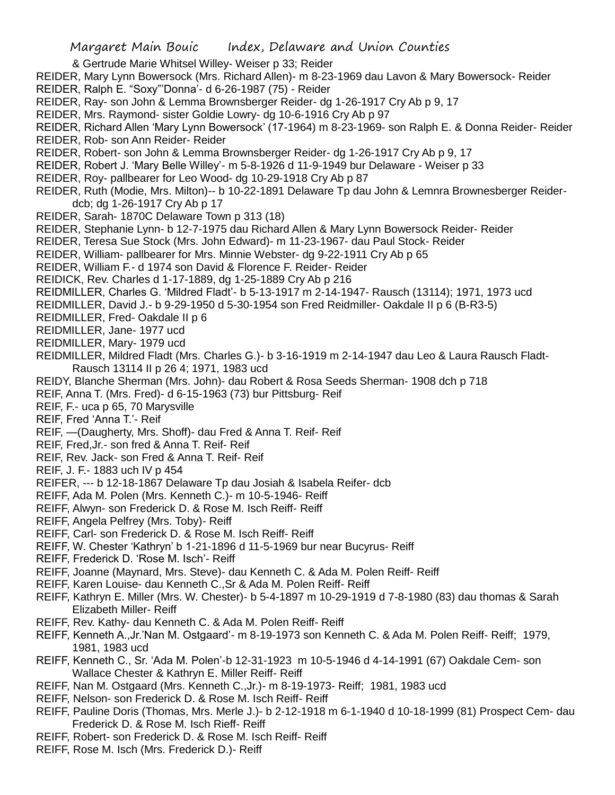- & Gertrude Marie Whitsel Willey- Weiser p 33; Reider
- REIDER, Mary Lynn Bowersock (Mrs. Richard Allen)- m 8-23-1969 dau Lavon & Mary Bowersock- Reider
- REIDER, Ralph E. "Soxy"'Donna'- d 6-26-1987 (75) Reider
- REIDER, Ray- son John & Lemma Brownsberger Reider- dg 1-26-1917 Cry Ab p 9, 17
- REIDER, Mrs. Raymond- sister Goldie Lowry- dg 10-6-1916 Cry Ab p 97
- REIDER, Richard Allen 'Mary Lynn Bowersock' (17-1964) m 8-23-1969- son Ralph E. & Donna Reider- Reider REIDER, Rob- son Ann Reider- Reider
- REIDER, Robert- son John & Lemma Brownsberger Reider- dg 1-26-1917 Cry Ab p 9, 17
- REIDER, Robert J. 'Mary Belle Willey'- m 5-8-1926 d 11-9-1949 bur Delaware Weiser p 33
- REIDER, Roy- pallbearer for Leo Wood- dg 10-29-1918 Cry Ab p 87
- REIDER, Ruth (Modie, Mrs. Milton)-- b 10-22-1891 Delaware Tp dau John & Lemnra Brownesberger Reiderdcb; dg 1-26-1917 Cry Ab p 17
- REIDER, Sarah- 1870C Delaware Town p 313 (18)
- REIDER, Stephanie Lynn- b 12-7-1975 dau Richard Allen & Mary Lynn Bowersock Reider- Reider
- REIDER, Teresa Sue Stock (Mrs. John Edward)- m 11-23-1967- dau Paul Stock- Reider
- REIDER, William- pallbearer for Mrs. Minnie Webster- dg 9-22-1911 Cry Ab p 65
- REIDER, William F.- d 1974 son David & Florence F. Reider- Reider
- REIDICK, Rev. Charles d 1-17-1889, dg 1-25-1889 Cry Ab p 216
- REIDMILLER, Charles G. 'Mildred Fladt'- b 5-13-1917 m 2-14-1947- Rausch (13114); 1971, 1973 ucd
- REIDMILLER, David J.- b 9-29-1950 d 5-30-1954 son Fred Reidmiller- Oakdale II p 6 (B-R3-5)
- REIDMILLER, Fred- Oakdale II p 6
- REIDMILLER, Jane- 1977 ucd
- REIDMILLER, Mary- 1979 ucd
- REIDMILLER, Mildred Fladt (Mrs. Charles G.)- b 3-16-1919 m 2-14-1947 dau Leo & Laura Rausch Fladt-Rausch 13114 II p 26 4; 1971, 1983 ucd
- REIDY, Blanche Sherman (Mrs. John)- dau Robert & Rosa Seeds Sherman- 1908 dch p 718
- REIF, Anna T. (Mrs. Fred)- d 6-15-1963 (73) bur Pittsburg- Reif
- REIF, F.- uca p 65, 70 Marysville
- REIF, Fred 'Anna T.'- Reif
- REIF, —(Daugherty, Mrs. Shoff)- dau Fred & Anna T. Reif- Reif
- REIF, Fred,Jr.- son fred & Anna T. Reif- Reif
- REIF, Rev. Jack- son Fred & Anna T. Reif- Reif
- REIF, J. F.- 1883 uch IV p 454
- REIFER, --- b 12-18-1867 Delaware Tp dau Josiah & Isabela Reifer- dcb
- REIFF, Ada M. Polen (Mrs. Kenneth C.)- m 10-5-1946- Reiff
- REIFF, Alwyn- son Frederick D. & Rose M. Isch Reiff- Reiff
- REIFF, Angela Pelfrey (Mrs. Toby)- Reiff
- REIFF, Carl- son Frederick D. & Rose M. Isch Reiff- Reiff
- REIFF, W. Chester 'Kathryn' b 1-21-1896 d 11-5-1969 bur near Bucyrus- Reiff
- REIFF, Frederick D. 'Rose M. Isch'- Reiff
- REIFF, Joanne (Maynard, Mrs. Steve)- dau Kenneth C. & Ada M. Polen Reiff- Reiff
- REIFF, Karen Louise- dau Kenneth C.,Sr & Ada M. Polen Reiff- Reiff
- REIFF, Kathryn E. Miller (Mrs. W. Chester)- b 5-4-1897 m 10-29-1919 d 7-8-1980 (83) dau thomas & Sarah Elizabeth Miller- Reiff
- REIFF, Rev. Kathy- dau Kenneth C. & Ada M. Polen Reiff- Reiff
- REIFF, Kenneth A.,Jr.'Nan M. Ostgaard'- m 8-19-1973 son Kenneth C. & Ada M. Polen Reiff- Reiff; 1979, 1981, 1983 ucd
- REIFF, Kenneth C., Sr. 'Ada M. Polen'-b 12-31-1923 m 10-5-1946 d 4-14-1991 (67) Oakdale Cem- son Wallace Chester & Kathryn E. Miller Reiff- Reiff
- REIFF, Nan M. Ostgaard (Mrs. Kenneth C.,Jr.)- m 8-19-1973- Reiff; 1981, 1983 ucd
- REIFF, Nelson- son Frederick D. & Rose M. Isch Reiff- Reiff
- REIFF, Pauline Doris (Thomas, Mrs. Merle J.)- b 2-12-1918 m 6-1-1940 d 10-18-1999 (81) Prospect Cem- dau Frederick D. & Rose M. Isch Rieff- Reiff
- REIFF, Robert- son Frederick D. & Rose M. Isch Reiff- Reiff
- REIFF, Rose M. Isch (Mrs. Frederick D.)- Reiff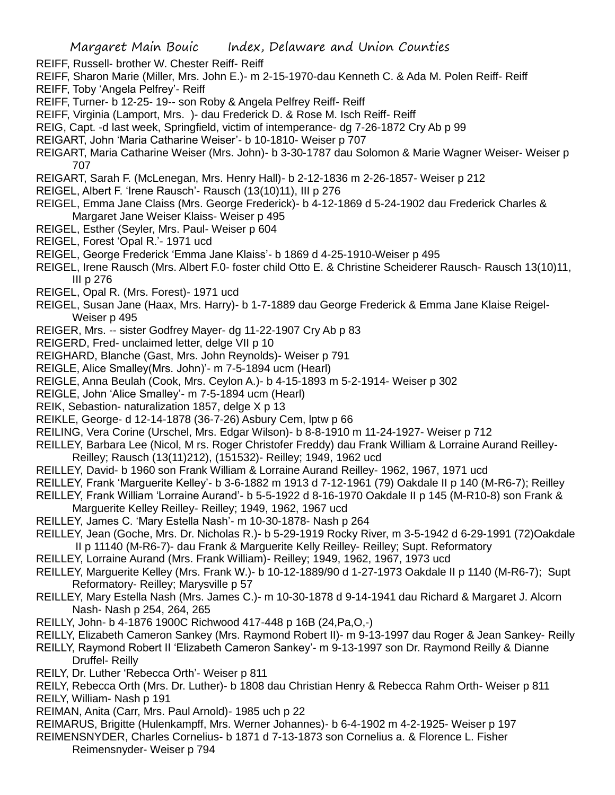- REIFF, Russell- brother W. Chester Reiff- Reiff
- REIFF, Sharon Marie (Miller, Mrs. John E.)- m 2-15-1970-dau Kenneth C. & Ada M. Polen Reiff- Reiff REIFF, Toby 'Angela Pelfrey'- Reiff
- REIFF, Turner- b 12-25- 19-- son Roby & Angela Pelfrey Reiff- Reiff
- REIFF, Virginia (Lamport, Mrs. )- dau Frederick D. & Rose M. Isch Reiff- Reiff
- REIG, Capt. -d last week, Springfield, victim of intemperance- dg 7-26-1872 Cry Ab p 99
- REIGART, John 'Maria Catharine Weiser'- b 10-1810- Weiser p 707
- REIGART, Maria Catharine Weiser (Mrs. John)- b 3-30-1787 dau Solomon & Marie Wagner Weiser- Weiser p 707
- REIGART, Sarah F. (McLenegan, Mrs. Henry Hall)- b 2-12-1836 m 2-26-1857- Weiser p 212
- REIGEL, Albert F. 'Irene Rausch'- Rausch (13(10)11), III p 276
- REIGEL, Emma Jane Claiss (Mrs. George Frederick)- b 4-12-1869 d 5-24-1902 dau Frederick Charles & Margaret Jane Weiser Klaiss- Weiser p 495
- REIGEL, Esther (Seyler, Mrs. Paul- Weiser p 604
- REIGEL, Forest 'Opal R.'- 1971 ucd
- REIGEL, George Frederick 'Emma Jane Klaiss'- b 1869 d 4-25-1910-Weiser p 495
- REIGEL, Irene Rausch (Mrs. Albert F.0- foster child Otto E. & Christine Scheiderer Rausch- Rausch 13(10)11, III p 276
- REIGEL, Opal R. (Mrs. Forest)- 1971 ucd
- REIGEL, Susan Jane (Haax, Mrs. Harry)- b 1-7-1889 dau George Frederick & Emma Jane Klaise Reigel-Weiser p 495
- REIGER, Mrs. -- sister Godfrey Mayer- dg 11-22-1907 Cry Ab p 83
- REIGERD, Fred- unclaimed letter, delge VII p 10
- REIGHARD, Blanche (Gast, Mrs. John Reynolds)- Weiser p 791
- REIGLE, Alice Smalley(Mrs. John)'- m 7-5-1894 ucm (Hearl)
- REIGLE, Anna Beulah (Cook, Mrs. Ceylon A.)- b 4-15-1893 m 5-2-1914- Weiser p 302
- REIGLE, John 'Alice Smalley'- m 7-5-1894 ucm (Hearl)
- REIK, Sebastion- naturalization 1857, delge X p 13
- REIKLE, George- d 12-14-1878 (36-7-26) Asbury Cem, lptw p 66
- REILING, Vera Corine (Urschel, Mrs. Edgar Wilson)- b 8-8-1910 m 11-24-1927- Weiser p 712
- REILLEY, Barbara Lee (Nicol, M rs. Roger Christofer Freddy) dau Frank William & Lorraine Aurand Reilley-
- Reilley; Rausch (13(11)212), (151532)- Reilley; 1949, 1962 ucd
- REILLEY, David- b 1960 son Frank William & Lorraine Aurand Reilley- 1962, 1967, 1971 ucd
- REILLEY, Frank 'Marguerite Kelley'- b 3-6-1882 m 1913 d 7-12-1961 (79) Oakdale II p 140 (M-R6-7); Reilley
- REILLEY, Frank William 'Lorraine Aurand'- b 5-5-1922 d 8-16-1970 Oakdale II p 145 (M-R10-8) son Frank & Marguerite Kelley Reilley- Reilley; 1949, 1962, 1967 ucd
- REILLEY, James C. 'Mary Estella Nash'- m 10-30-1878- Nash p 264
- REILLEY, Jean (Goche, Mrs. Dr. Nicholas R.)- b 5-29-1919 Rocky River, m 3-5-1942 d 6-29-1991 (72)Oakdale II p 11140 (M-R6-7)- dau Frank & Marguerite Kelly Reilley- Reilley; Supt. Reformatory
- REILLEY, Lorraine Aurand (Mrs. Frank William)- Reilley; 1949, 1962, 1967, 1973 ucd
- REILLEY, Marguerite Kelley (Mrs. Frank W.)- b 10-12-1889/90 d 1-27-1973 Oakdale II p 1140 (M-R6-7); Supt Reformatory- Reilley; Marysville p 57
- REILLEY, Mary Estella Nash (Mrs. James C.)- m 10-30-1878 d 9-14-1941 dau Richard & Margaret J. Alcorn Nash- Nash p 254, 264, 265
- REILLY, John- b 4-1876 1900C Richwood 417-448 p 16B (24,Pa,O,-)
- REILLY, Elizabeth Cameron Sankey (Mrs. Raymond Robert II)- m 9-13-1997 dau Roger & Jean Sankey- Reilly
- REILLY, Raymond Robert II 'Elizabeth Cameron Sankey'- m 9-13-1997 son Dr. Raymond Reilly & Dianne Druffel- Reilly
- REILY, Dr. Luther 'Rebecca Orth'- Weiser p 811
- REILY, Rebecca Orth (Mrs. Dr. Luther)- b 1808 dau Christian Henry & Rebecca Rahm Orth- Weiser p 811 REILY, William- Nash p 191
- REIMAN, Anita (Carr, Mrs. Paul Arnold)- 1985 uch p 22
- REIMARUS, Brigitte (Hulenkampff, Mrs. Werner Johannes)- b 6-4-1902 m 4-2-1925- Weiser p 197
- REIMENSNYDER, Charles Cornelius- b 1871 d 7-13-1873 son Cornelius a. & Florence L. Fisher Reimensnyder- Weiser p 794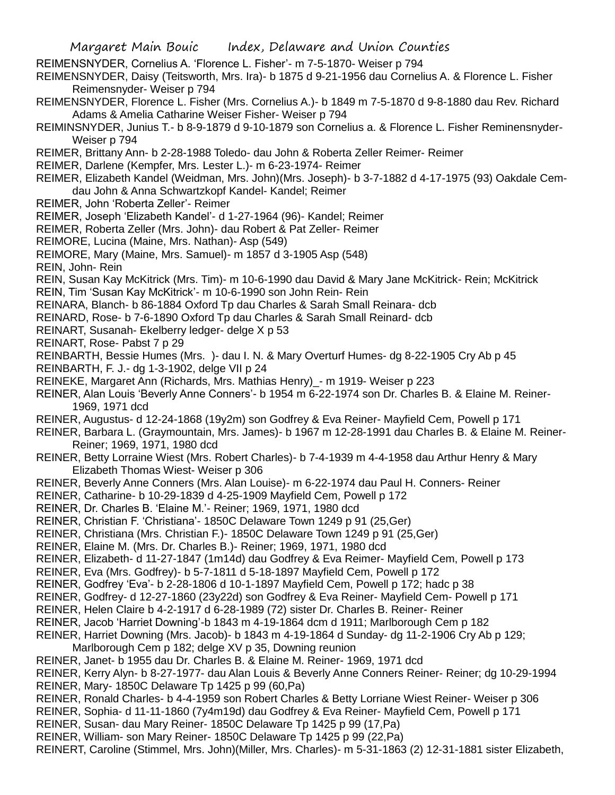REIMENSNYDER, Cornelius A. 'Florence L. Fisher'- m 7-5-1870- Weiser p 794

REIMENSNYDER, Daisy (Teitsworth, Mrs. Ira)- b 1875 d 9-21-1956 dau Cornelius A. & Florence L. Fisher Reimensnyder- Weiser p 794

- REIMENSNYDER, Florence L. Fisher (Mrs. Cornelius A.)- b 1849 m 7-5-1870 d 9-8-1880 dau Rev. Richard Adams & Amelia Catharine Weiser Fisher- Weiser p 794
- REIMINSNYDER, Junius T.- b 8-9-1879 d 9-10-1879 son Cornelius a. & Florence L. Fisher Reminensnyder-Weiser p 794
- REIMER, Brittany Ann- b 2-28-1988 Toledo- dau John & Roberta Zeller Reimer- Reimer
- REIMER, Darlene (Kempfer, Mrs. Lester L.)- m 6-23-1974- Reimer
- REIMER, Elizabeth Kandel (Weidman, Mrs. John)(Mrs. Joseph)- b 3-7-1882 d 4-17-1975 (93) Oakdale Cemdau John & Anna Schwartzkopf Kandel- Kandel; Reimer
- REIMER, John 'Roberta Zeller'- Reimer
- REIMER, Joseph 'Elizabeth Kandel'- d 1-27-1964 (96)- Kandel; Reimer
- REIMER, Roberta Zeller (Mrs. John)- dau Robert & Pat Zeller- Reimer
- REIMORE, Lucina (Maine, Mrs. Nathan)- Asp (549)
- REIMORE, Mary (Maine, Mrs. Samuel)- m 1857 d 3-1905 Asp (548)
- REIN, John- Rein
- REIN, Susan Kay McKitrick (Mrs. Tim)- m 10-6-1990 dau David & Mary Jane McKitrick- Rein; McKitrick
- REIN, Tim 'Susan Kay McKitrick'- m 10-6-1990 son John Rein- Rein
- REINARA, Blanch- b 86-1884 Oxford Tp dau Charles & Sarah Small Reinara- dcb
- REINARD, Rose- b 7-6-1890 Oxford Tp dau Charles & Sarah Small Reinard- dcb
- REINART, Susanah- Ekelberry ledger- delge X p 53
- REINART, Rose- Pabst 7 p 29
- REINBARTH, Bessie Humes (Mrs. )- dau I. N. & Mary Overturf Humes- dg 8-22-1905 Cry Ab p 45
- REINBARTH, F. J.- dg 1-3-1902, delge VII p 24
- REINEKE, Margaret Ann (Richards, Mrs. Mathias Henry)\_- m 1919- Weiser p 223
- REINER, Alan Louis 'Beverly Anne Conners'- b 1954 m 6-22-1974 son Dr. Charles B. & Elaine M. Reiner-1969, 1971 dcd
- REINER, Augustus- d 12-24-1868 (19y2m) son Godfrey & Eva Reiner- Mayfield Cem, Powell p 171
- REINER, Barbara L. (Graymountain, Mrs. James)- b 1967 m 12-28-1991 dau Charles B. & Elaine M. Reiner-Reiner; 1969, 1971, 1980 dcd
- REINER, Betty Lorraine Wiest (Mrs. Robert Charles)- b 7-4-1939 m 4-4-1958 dau Arthur Henry & Mary Elizabeth Thomas Wiest- Weiser p 306
- REINER, Beverly Anne Conners (Mrs. Alan Louise)- m 6-22-1974 dau Paul H. Conners- Reiner
- REINER, Catharine- b 10-29-1839 d 4-25-1909 Mayfield Cem, Powell p 172
- REINER, Dr. Charles B. 'Elaine M.'- Reiner; 1969, 1971, 1980 dcd
- REINER, Christian F. 'Christiana'- 1850C Delaware Town 1249 p 91 (25,Ger)
- REINER, Christiana (Mrs. Christian F.)- 1850C Delaware Town 1249 p 91 (25,Ger)
- REINER, Elaine M. (Mrs. Dr. Charles B.)- Reiner; 1969, 1971, 1980 dcd
- REINER, Elizabeth- d 11-27-1847 (1m14d) dau Godfrey & Eva Reimer- Mayfield Cem, Powell p 173
- REINER, Eva (Mrs. Godfrey)- b 5-7-1811 d 5-18-1897 Mayfield Cem, Powell p 172
- REINER, Godfrey 'Eva'- b 2-28-1806 d 10-1-1897 Mayfield Cem, Powell p 172; hadc p 38
- REINER, Godfrey- d 12-27-1860 (23y22d) son Godfrey & Eva Reiner- Mayfield Cem- Powell p 171
- REINER, Helen Claire b 4-2-1917 d 6-28-1989 (72) sister Dr. Charles B. Reiner- Reiner
- REINER, Jacob 'Harriet Downing'-b 1843 m 4-19-1864 dcm d 1911; Marlborough Cem p 182
- REINER, Harriet Downing (Mrs. Jacob)- b 1843 m 4-19-1864 d Sunday- dg 11-2-1906 Cry Ab p 129; Marlborough Cem p 182; delge XV p 35, Downing reunion
- REINER, Janet- b 1955 dau Dr. Charles B. & Elaine M. Reiner- 1969, 1971 dcd
- REINER, Kerry Alyn- b 8-27-1977- dau Alan Louis & Beverly Anne Conners Reiner- Reiner; dg 10-29-1994 REINER, Mary- 1850C Delaware Tp 1425 p 99 (60,Pa)
- REINER, Ronald Charles- b 4-4-1959 son Robert Charles & Betty Lorriane Wiest Reiner- Weiser p 306
- REINER, Sophia- d 11-11-1860 (7y4m19d) dau Godfrey & Eva Reiner- Mayfield Cem, Powell p 171
- REINER, Susan- dau Mary Reiner- 1850C Delaware Tp 1425 p 99 (17,Pa)
- REINER, William- son Mary Reiner- 1850C Delaware Tp 1425 p 99 (22,Pa)
- REINERT, Caroline (Stimmel, Mrs. John)(Miller, Mrs. Charles)- m 5-31-1863 (2) 12-31-1881 sister Elizabeth,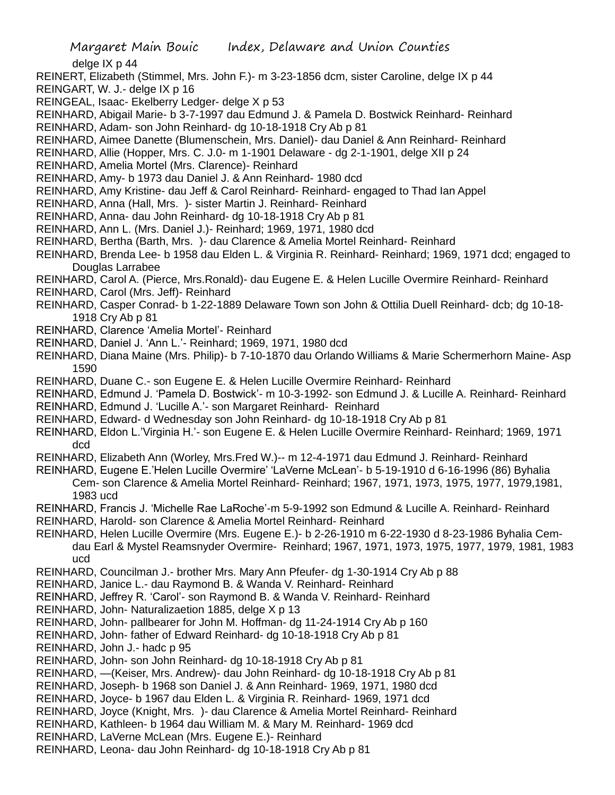delge IX p 44

- REINERT, Elizabeth (Stimmel, Mrs. John F.)- m 3-23-1856 dcm, sister Caroline, delge IX p 44
- REINGART, W. J.- delge IX p 16
- REINGEAL, Isaac- Ekelberry Ledger- delge X p 53
- REINHARD, Abigail Marie- b 3-7-1997 dau Edmund J. & Pamela D. Bostwick Reinhard- Reinhard
- REINHARD, Adam- son John Reinhard- dg 10-18-1918 Cry Ab p 81
- REINHARD, Aimee Danette (Blumenschein, Mrs. Daniel)- dau Daniel & Ann Reinhard- Reinhard
- REINHARD, Allie (Hopper, Mrs. C. J.0- m 1-1901 Delaware dg 2-1-1901, delge XII p 24
- REINHARD, Amelia Mortel (Mrs. Clarence)- Reinhard
- REINHARD, Amy- b 1973 dau Daniel J. & Ann Reinhard- 1980 dcd
- REINHARD, Amy Kristine- dau Jeff & Carol Reinhard- Reinhard- engaged to Thad Ian Appel
- REINHARD, Anna (Hall, Mrs. )- sister Martin J. Reinhard- Reinhard
- REINHARD, Anna- dau John Reinhard- dg 10-18-1918 Cry Ab p 81
- REINHARD, Ann L. (Mrs. Daniel J.)- Reinhard; 1969, 1971, 1980 dcd
- REINHARD, Bertha (Barth, Mrs. )- dau Clarence & Amelia Mortel Reinhard- Reinhard
- REINHARD, Brenda Lee- b 1958 dau Elden L. & Virginia R. Reinhard- Reinhard; 1969, 1971 dcd; engaged to Douglas Larrabee
- REINHARD, Carol A. (Pierce, Mrs.Ronald)- dau Eugene E. & Helen Lucille Overmire Reinhard- Reinhard
- REINHARD, Carol (Mrs. Jeff)- Reinhard
- REINHARD, Casper Conrad- b 1-22-1889 Delaware Town son John & Ottilia Duell Reinhard- dcb; dg 10-18- 1918 Cry Ab p 81
- REINHARD, Clarence 'Amelia Mortel'- Reinhard
- REINHARD, Daniel J. 'Ann L.'- Reinhard; 1969, 1971, 1980 dcd
- REINHARD, Diana Maine (Mrs. Philip)- b 7-10-1870 dau Orlando Williams & Marie Schermerhorn Maine- Asp 1590
- REINHARD, Duane C.- son Eugene E. & Helen Lucille Overmire Reinhard- Reinhard
- REINHARD, Edmund J. 'Pamela D. Bostwick'- m 10-3-1992- son Edmund J. & Lucille A. Reinhard- Reinhard
- REINHARD, Edmund J. 'Lucille A.'- son Margaret Reinhard- Reinhard
- REINHARD, Edward- d Wednesday son John Reinhard- dg 10-18-1918 Cry Ab p 81
- REINHARD, Eldon L.'Virginia H.'- son Eugene E. & Helen Lucille Overmire Reinhard- Reinhard; 1969, 1971 dcd
- REINHARD, Elizabeth Ann (Worley, Mrs.Fred W.)-- m 12-4-1971 dau Edmund J. Reinhard- Reinhard
- REINHARD, Eugene E.'Helen Lucille Overmire' 'LaVerne McLean'- b 5-19-1910 d 6-16-1996 (86) Byhalia Cem- son Clarence & Amelia Mortel Reinhard- Reinhard; 1967, 1971, 1973, 1975, 1977, 1979,1981, 1983 ucd
- REINHARD, Francis J. 'Michelle Rae LaRoche'-m 5-9-1992 son Edmund & Lucille A. Reinhard- Reinhard
- REINHARD, Harold- son Clarence & Amelia Mortel Reinhard- Reinhard
- REINHARD, Helen Lucille Overmire (Mrs. Eugene E.)- b 2-26-1910 m 6-22-1930 d 8-23-1986 Byhalia Cemdau Earl & Mystel Reamsnyder Overmire- Reinhard; 1967, 1971, 1973, 1975, 1977, 1979, 1981, 1983 ucd
- REINHARD, Councilman J.- brother Mrs. Mary Ann Pfeufer- dg 1-30-1914 Cry Ab p 88
- REINHARD, Janice L.- dau Raymond B. & Wanda V. Reinhard- Reinhard
- REINHARD, Jeffrey R. 'Carol'- son Raymond B. & Wanda V. Reinhard- Reinhard
- REINHARD, John- Naturalizaetion 1885, delge X p 13
- REINHARD, John- pallbearer for John M. Hoffman- dg 11-24-1914 Cry Ab p 160
- REINHARD, John- father of Edward Reinhard- dg 10-18-1918 Cry Ab p 81
- REINHARD, John J.- hadc p 95
- REINHARD, John- son John Reinhard- dg 10-18-1918 Cry Ab p 81
- REINHARD, —(Keiser, Mrs. Andrew)- dau John Reinhard- dg 10-18-1918 Cry Ab p 81
- REINHARD, Joseph- b 1968 son Daniel J. & Ann Reinhard- 1969, 1971, 1980 dcd
- REINHARD, Joyce- b 1967 dau Elden L. & Virginia R. Reinhard- 1969, 1971 dcd
- REINHARD, Joyce (Knight, Mrs. )- dau Clarence & Amelia Mortel Reinhard- Reinhard
- REINHARD, Kathleen- b 1964 dau William M. & Mary M. Reinhard- 1969 dcd
- REINHARD, LaVerne McLean (Mrs. Eugene E.)- Reinhard
- REINHARD, Leona- dau John Reinhard- dg 10-18-1918 Cry Ab p 81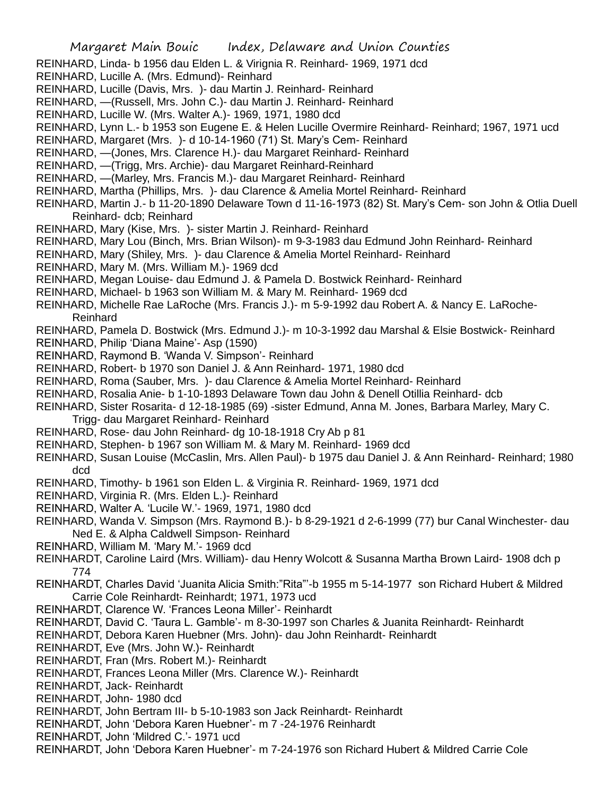REINHARD, Linda- b 1956 dau Elden L. & Virignia R. Reinhard- 1969, 1971 dcd

- REINHARD, Lucille A. (Mrs. Edmund)- Reinhard
- REINHARD, Lucille (Davis, Mrs. )- dau Martin J. Reinhard- Reinhard
- REINHARD, —(Russell, Mrs. John C.)- dau Martin J. Reinhard- Reinhard
- REINHARD, Lucille W. (Mrs. Walter A.)- 1969, 1971, 1980 dcd
- REINHARD, Lynn L.- b 1953 son Eugene E. & Helen Lucille Overmire Reinhard- Reinhard; 1967, 1971 ucd
- REINHARD, Margaret (Mrs. )- d 10-14-1960 (71) St. Mary's Cem- Reinhard
- REINHARD, —(Jones, Mrs. Clarence H.)- dau Margaret Reinhard- Reinhard
- REINHARD, —(Trigg, Mrs. Archie)- dau Margaret Reinhard-Reinhard
- REINHARD, —(Marley, Mrs. Francis M.)- dau Margaret Reinhard- Reinhard
- REINHARD, Martha (Phillips, Mrs. )- dau Clarence & Amelia Mortel Reinhard- Reinhard
- REINHARD, Martin J.- b 11-20-1890 Delaware Town d 11-16-1973 (82) St. Mary's Cem- son John & Otlia Duell Reinhard- dcb; Reinhard
- REINHARD, Mary (Kise, Mrs. )- sister Martin J. Reinhard- Reinhard
- REINHARD, Mary Lou (Binch, Mrs. Brian Wilson)- m 9-3-1983 dau Edmund John Reinhard- Reinhard
- REINHARD, Mary (Shiley, Mrs. )- dau Clarence & Amelia Mortel Reinhard- Reinhard
- REINHARD, Mary M. (Mrs. William M.)- 1969 dcd
- REINHARD, Megan Louise- dau Edmund J. & Pamela D. Bostwick Reinhard- Reinhard
- REINHARD, Michael- b 1963 son William M. & Mary M. Reinhard- 1969 dcd
- REINHARD, Michelle Rae LaRoche (Mrs. Francis J.)- m 5-9-1992 dau Robert A. & Nancy E. LaRoche-Reinhard
- REINHARD, Pamela D. Bostwick (Mrs. Edmund J.)- m 10-3-1992 dau Marshal & Elsie Bostwick- Reinhard
- REINHARD, Philip 'Diana Maine'- Asp (1590)
- REINHARD, Raymond B. 'Wanda V. Simpson'- Reinhard
- REINHARD, Robert- b 1970 son Daniel J. & Ann Reinhard- 1971, 1980 dcd
- REINHARD, Roma (Sauber, Mrs. )- dau Clarence & Amelia Mortel Reinhard- Reinhard
- REINHARD, Rosalia Anie- b 1-10-1893 Delaware Town dau John & Denell Otillia Reinhard- dcb
- REINHARD, Sister Rosarita- d 12-18-1985 (69) -sister Edmund, Anna M. Jones, Barbara Marley, Mary C. Trigg- dau Margaret Reinhard- Reinhard
- REINHARD, Rose- dau John Reinhard- dg 10-18-1918 Cry Ab p 81
- REINHARD, Stephen- b 1967 son William M. & Mary M. Reinhard- 1969 dcd
- REINHARD, Susan Louise (McCaslin, Mrs. Allen Paul)- b 1975 dau Daniel J. & Ann Reinhard- Reinhard; 1980 dcd
- REINHARD, Timothy- b 1961 son Elden L. & Virginia R. Reinhard- 1969, 1971 dcd
- REINHARD, Virginia R. (Mrs. Elden L.)- Reinhard
- REINHARD, Walter A. 'Lucile W.'- 1969, 1971, 1980 dcd
- REINHARD, Wanda V. Simpson (Mrs. Raymond B.)- b 8-29-1921 d 2-6-1999 (77) bur Canal Winchester- dau Ned E. & Alpha Caldwell Simpson- Reinhard
- REINHARD, William M. 'Mary M.'- 1969 dcd
- REINHARDT, Caroline Laird (Mrs. William)- dau Henry Wolcott & Susanna Martha Brown Laird- 1908 dch p 774
- REINHARDT, Charles David 'Juanita Alicia Smith:"Rita"'-b 1955 m 5-14-1977 son Richard Hubert & Mildred Carrie Cole Reinhardt- Reinhardt; 1971, 1973 ucd
- REINHARDT, Clarence W. 'Frances Leona Miller'- Reinhardt
- REINHARDT, David C. 'Taura L. Gamble'- m 8-30-1997 son Charles & Juanita Reinhardt- Reinhardt
- REINHARDT, Debora Karen Huebner (Mrs. John)- dau John Reinhardt- Reinhardt
- REINHARDT, Eve (Mrs. John W.)- Reinhardt
- REINHARDT, Fran (Mrs. Robert M.)- Reinhardt
- REINHARDT, Frances Leona Miller (Mrs. Clarence W.)- Reinhardt
- REINHARDT, Jack- Reinhardt
- REINHARDT, John- 1980 dcd
- REINHARDT, John Bertram III- b 5-10-1983 son Jack Reinhardt- Reinhardt
- REINHARDT, John 'Debora Karen Huebner'- m 7 -24-1976 Reinhardt
- REINHARDT, John 'Mildred C.'- 1971 ucd
- REINHARDT, John 'Debora Karen Huebner'- m 7-24-1976 son Richard Hubert & Mildred Carrie Cole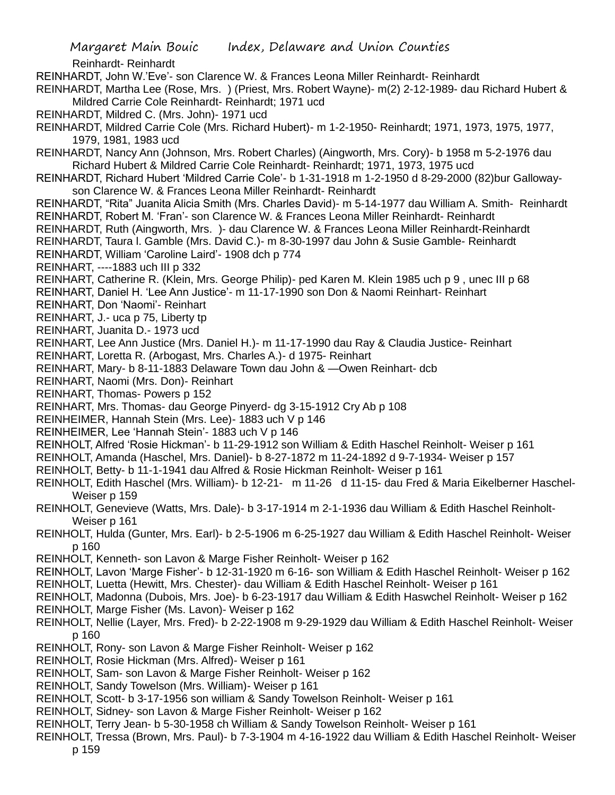Reinhardt- Reinhardt REINHARDT, John W.'Eve'- son Clarence W. & Frances Leona Miller Reinhardt- Reinhardt

REINHARDT, Martha Lee (Rose, Mrs. ) (Priest, Mrs. Robert Wayne)- m(2) 2-12-1989- dau Richard Hubert & Mildred Carrie Cole Reinhardt- Reinhardt; 1971 ucd

REINHARDT, Mildred C. (Mrs. John)- 1971 ucd

REINHARDT, Mildred Carrie Cole (Mrs. Richard Hubert)- m 1-2-1950- Reinhardt; 1971, 1973, 1975, 1977, 1979, 1981, 1983 ucd

REINHARDT, Nancy Ann (Johnson, Mrs. Robert Charles) (Aingworth, Mrs. Cory)- b 1958 m 5-2-1976 dau Richard Hubert & Mildred Carrie Cole Reinhardt- Reinhardt; 1971, 1973, 1975 ucd

REINHARDT, Richard Hubert 'Mildred Carrie Cole'- b 1-31-1918 m 1-2-1950 d 8-29-2000 (82)bur Gallowayson Clarence W. & Frances Leona Miller Reinhardt- Reinhardt

REINHARDT, "Rita" Juanita Alicia Smith (Mrs. Charles David)- m 5-14-1977 dau William A. Smith- Reinhardt REINHARDT, Robert M. 'Fran'- son Clarence W. & Frances Leona Miller Reinhardt- Reinhardt

REINHARDT, Ruth (Aingworth, Mrs. )- dau Clarence W. & Frances Leona Miller Reinhardt-Reinhardt

REINHARDT, Taura l. Gamble (Mrs. David C.)- m 8-30-1997 dau John & Susie Gamble- Reinhardt

REINHARDT, William 'Caroline Laird'- 1908 dch p 774

REINHART, ----1883 uch III p 332

REINHART, Catherine R. (Klein, Mrs. George Philip)- ped Karen M. Klein 1985 uch p 9 , unec III p 68

REINHART, Daniel H. 'Lee Ann Justice'- m 11-17-1990 son Don & Naomi Reinhart- Reinhart

REINHART, Don 'Naomi'- Reinhart

REINHART, J.- uca p 75, Liberty tp

REINHART, Juanita D.- 1973 ucd

REINHART, Lee Ann Justice (Mrs. Daniel H.)- m 11-17-1990 dau Ray & Claudia Justice- Reinhart

REINHART, Loretta R. (Arbogast, Mrs. Charles A.)- d 1975- Reinhart

REINHART, Mary- b 8-11-1883 Delaware Town dau John & —Owen Reinhart- dcb

REINHART, Naomi (Mrs. Don)- Reinhart

REINHART, Thomas- Powers p 152

REINHART, Mrs. Thomas- dau George Pinyerd- dg 3-15-1912 Cry Ab p 108

REINHEIMER, Hannah Stein (Mrs. Lee)- 1883 uch V p 146

REINHEIMER, Lee 'Hannah Stein'- 1883 uch V p 146

REINHOLT, Alfred 'Rosie Hickman'- b 11-29-1912 son William & Edith Haschel Reinholt- Weiser p 161

REINHOLT, Amanda (Haschel, Mrs. Daniel)- b 8-27-1872 m 11-24-1892 d 9-7-1934- Weiser p 157

REINHOLT, Betty- b 11-1-1941 dau Alfred & Rosie Hickman Reinholt- Weiser p 161

REINHOLT, Edith Haschel (Mrs. William)- b 12-21- m 11-26 d 11-15- dau Fred & Maria Eikelberner Haschel-Weiser p 159

REINHOLT, Genevieve (Watts, Mrs. Dale)- b 3-17-1914 m 2-1-1936 dau William & Edith Haschel Reinholt-Weiser p 161

REINHOLT, Hulda (Gunter, Mrs. Earl)- b 2-5-1906 m 6-25-1927 dau William & Edith Haschel Reinholt- Weiser p 160

REINHOLT, Kenneth- son Lavon & Marge Fisher Reinholt- Weiser p 162

REINHOLT, Lavon 'Marge Fisher'- b 12-31-1920 m 6-16- son William & Edith Haschel Reinholt- Weiser p 162 REINHOLT, Luetta (Hewitt, Mrs. Chester)- dau William & Edith Haschel Reinholt- Weiser p 161

REINHOLT, Madonna (Dubois, Mrs. Joe)- b 6-23-1917 dau William & Edith Haswchel Reinholt- Weiser p 162

REINHOLT, Marge Fisher (Ms. Lavon)- Weiser p 162

REINHOLT, Nellie (Layer, Mrs. Fred)- b 2-22-1908 m 9-29-1929 dau William & Edith Haschel Reinholt- Weiser p 160

REINHOLT, Rony- son Lavon & Marge Fisher Reinholt- Weiser p 162

REINHOLT, Rosie Hickman (Mrs. Alfred)- Weiser p 161

REINHOLT, Sam- son Lavon & Marge Fisher Reinholt- Weiser p 162

REINHOLT, Sandy Towelson (Mrs. William)- Weiser p 161

REINHOLT, Scott- b 3-17-1956 son william & Sandy Towelson Reinholt- Weiser p 161

REINHOLT, Sidney- son Lavon & Marge Fisher Reinholt- Weiser p 162

REINHOLT, Terry Jean- b 5-30-1958 ch William & Sandy Towelson Reinholt- Weiser p 161

REINHOLT, Tressa (Brown, Mrs. Paul)- b 7-3-1904 m 4-16-1922 dau William & Edith Haschel Reinholt- Weiser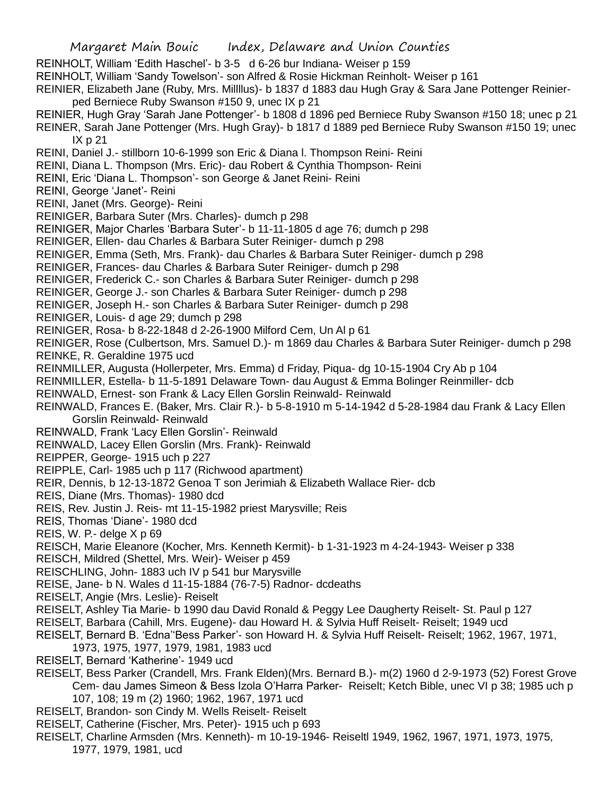- Margaret Main Bouic Index, Delaware and Union Counties
- REINHOLT, William 'Edith Haschel'- b 3-5 d 6-26 bur Indiana- Weiser p 159
- REINHOLT, William 'Sandy Towelson'- son Alfred & Rosie Hickman Reinholt- Weiser p 161

REINIER, Elizabeth Jane (Ruby, Mrs. Millllus)- b 1837 d 1883 dau Hugh Gray & Sara Jane Pottenger Reinierped Berniece Ruby Swanson #150 9, unec IX p 21

- REINIER, Hugh Gray 'Sarah Jane Pottenger'- b 1808 d 1896 ped Berniece Ruby Swanson #150 18; unec p 21 REINER, Sarah Jane Pottenger (Mrs. Hugh Gray)- b 1817 d 1889 ped Berniece Ruby Swanson #150 19; unec IX p 21
- REINI, Daniel J.- stillborn 10-6-1999 son Eric & Diana l. Thompson Reini- Reini
- REINI, Diana L. Thompson (Mrs. Eric)- dau Robert & Cynthia Thompson- Reini
- REINI, Eric 'Diana L. Thompson'- son George & Janet Reini- Reini
- REINI, George 'Janet'- Reini
- REINI, Janet (Mrs. George)- Reini
- REINIGER, Barbara Suter (Mrs. Charles)- dumch p 298
- REINIGER, Major Charles 'Barbara Suter'- b 11-11-1805 d age 76; dumch p 298
- REINIGER, Ellen- dau Charles & Barbara Suter Reiniger- dumch p 298
- REINIGER, Emma (Seth, Mrs. Frank)- dau Charles & Barbara Suter Reiniger- dumch p 298
- REINIGER, Frances- dau Charles & Barbara Suter Reiniger- dumch p 298
- REINIGER, Frederick C.- son Charles & Barbara Suter Reiniger- dumch p 298
- REINIGER, George J.- son Charles & Barbara Suter Reiniger- dumch p 298
- REINIGER, Joseph H.- son Charles & Barbara Suter Reiniger- dumch p 298
- REINIGER, Louis- d age 29; dumch p 298
- REINIGER, Rosa- b 8-22-1848 d 2-26-1900 Milford Cem, Un Al p 61
- REINIGER, Rose (Culbertson, Mrs. Samuel D.)- m 1869 dau Charles & Barbara Suter Reiniger- dumch p 298 REINKE, R. Geraldine 1975 ucd
- REINMILLER, Augusta (Hollerpeter, Mrs. Emma) d Friday, Piqua- dg 10-15-1904 Cry Ab p 104
- REINMILLER, Estella- b 11-5-1891 Delaware Town- dau August & Emma Bolinger Reinmiller- dcb
- REINWALD, Ernest- son Frank & Lacy Ellen Gorslin Reinwald- Reinwald
- REINWALD, Frances E. (Baker, Mrs. Clair R.)- b 5-8-1910 m 5-14-1942 d 5-28-1984 dau Frank & Lacy Ellen Gorslin Reinwald- Reinwald
- REINWALD, Frank 'Lacy Ellen Gorslin'- Reinwald
- REINWALD, Lacey Ellen Gorslin (Mrs. Frank)- Reinwald
- REIPPER, George- 1915 uch p 227
- REIPPLE, Carl- 1985 uch p 117 (Richwood apartment)
- REIR, Dennis, b 12-13-1872 Genoa T son Jerimiah & Elizabeth Wallace Rier- dcb
- REIS, Diane (Mrs. Thomas)- 1980 dcd
- REIS, Rev. Justin J. Reis- mt 11-15-1982 priest Marysville; Reis
- REIS, Thomas 'Diane'- 1980 dcd
- REIS, W. P.- delge X p 69
- REISCH, Marie Eleanore (Kocher, Mrs. Kenneth Kermit)- b 1-31-1923 m 4-24-1943- Weiser p 338
- REISCH, Mildred (Shettel, Mrs. Weir)- Weiser p 459
- REISCHLING, John- 1883 uch IV p 541 bur Marysville
- REISE, Jane- b N. Wales d 11-15-1884 (76-7-5) Radnor- dcdeaths
- REISELT, Angie (Mrs. Leslie)- Reiselt
- REISELT, Ashley Tia Marie- b 1990 dau David Ronald & Peggy Lee Daugherty Reiselt- St. Paul p 127
- REISELT, Barbara (Cahill, Mrs. Eugene)- dau Howard H. & Sylvia Huff Reiselt- Reiselt; 1949 ucd
- REISELT, Bernard B. 'Edna''Bess Parker'- son Howard H. & Sylvia Huff Reiselt- Reiselt; 1962, 1967, 1971,
	- 1973, 1975, 1977, 1979, 1981, 1983 ucd
- REISELT, Bernard 'Katherine'- 1949 ucd
- REISELT, Bess Parker (Crandell, Mrs. Frank Elden)(Mrs. Bernard B.)- m(2) 1960 d 2-9-1973 (52) Forest Grove Cem- dau James Simeon & Bess Izola O'Harra Parker- Reiselt; Ketch Bible, unec VI p 38; 1985 uch p 107, 108; 19 m (2) 1960; 1962, 1967, 1971 ucd
- REISELT, Brandon- son Cindy M. Wells Reiselt- Reiselt
- REISELT, Catherine (Fischer, Mrs. Peter)- 1915 uch p 693
- REISELT, Charline Armsden (Mrs. Kenneth)- m 10-19-1946- Reiseltl 1949, 1962, 1967, 1971, 1973, 1975, 1977, 1979, 1981, ucd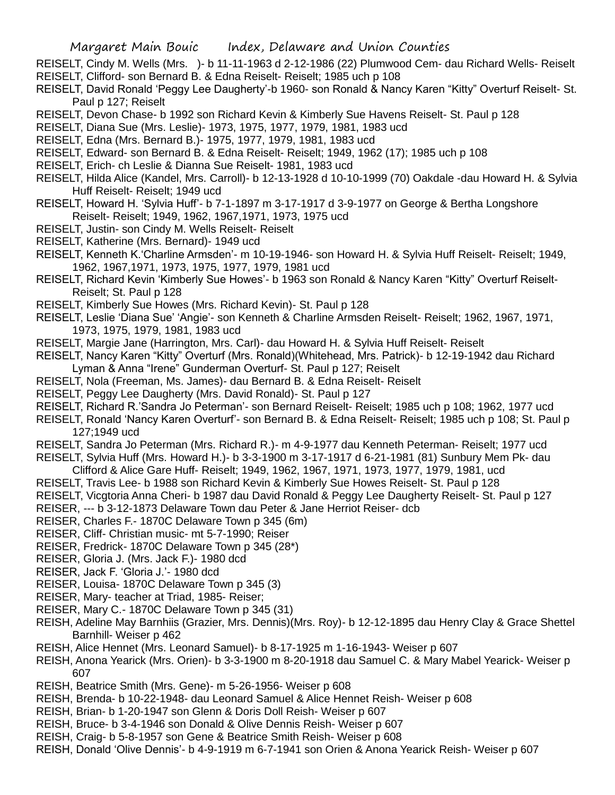- REISELT, Cindy M. Wells (Mrs. )- b 11-11-1963 d 2-12-1986 (22) Plumwood Cem- dau Richard Wells- Reiselt REISELT, Clifford- son Bernard B. & Edna Reiselt- Reiselt; 1985 uch p 108
- REISELT, David Ronald 'Peggy Lee Daugherty'-b 1960- son Ronald & Nancy Karen "Kitty" Overturf Reiselt- St. Paul p 127; Reiselt
- REISELT, Devon Chase- b 1992 son Richard Kevin & Kimberly Sue Havens Reiselt- St. Paul p 128
- REISELT, Diana Sue (Mrs. Leslie)- 1973, 1975, 1977, 1979, 1981, 1983 ucd
- REISELT, Edna (Mrs. Bernard B.)- 1975, 1977, 1979, 1981, 1983 ucd
- REISELT, Edward- son Bernard B. & Edna Reiselt- Reiselt; 1949, 1962 (17); 1985 uch p 108
- REISELT, Erich- ch Leslie & Dianna Sue Reiselt- 1981, 1983 ucd
- REISELT, Hilda Alice (Kandel, Mrs. Carroll)- b 12-13-1928 d 10-10-1999 (70) Oakdale -dau Howard H. & Sylvia Huff Reiselt- Reiselt; 1949 ucd
- REISELT, Howard H. 'Sylvia Huff'- b 7-1-1897 m 3-17-1917 d 3-9-1977 on George & Bertha Longshore Reiselt- Reiselt; 1949, 1962, 1967,1971, 1973, 1975 ucd
- REISELT, Justin- son Cindy M. Wells Reiselt- Reiselt
- REISELT, Katherine (Mrs. Bernard)- 1949 ucd
- REISELT, Kenneth K.'Charline Armsden'- m 10-19-1946- son Howard H. & Sylvia Huff Reiselt- Reiselt; 1949, 1962, 1967,1971, 1973, 1975, 1977, 1979, 1981 ucd
- REISELT, Richard Kevin 'Kimberly Sue Howes'- b 1963 son Ronald & Nancy Karen "Kitty" Overturf Reiselt-Reiselt; St. Paul p 128
- REISELT, Kimberly Sue Howes (Mrs. Richard Kevin)- St. Paul p 128
- REISELT, Leslie 'Diana Sue' 'Angie'- son Kenneth & Charline Armsden Reiselt- Reiselt; 1962, 1967, 1971, 1973, 1975, 1979, 1981, 1983 ucd
- REISELT, Margie Jane (Harrington, Mrs. Carl)- dau Howard H. & Sylvia Huff Reiselt- Reiselt
- REISELT, Nancy Karen "Kitty" Overturf (Mrs. Ronald)(Whitehead, Mrs. Patrick)- b 12-19-1942 dau Richard Lyman & Anna "Irene" Gunderman Overturf- St. Paul p 127; Reiselt
- REISELT, Nola (Freeman, Ms. James)- dau Bernard B. & Edna Reiselt- Reiselt
- REISELT, Peggy Lee Daugherty (Mrs. David Ronald)- St. Paul p 127
- REISELT, Richard R.'Sandra Jo Peterman'- son Bernard Reiselt- Reiselt; 1985 uch p 108; 1962, 1977 ucd
- REISELT, Ronald 'Nancy Karen Overturf'- son Bernard B. & Edna Reiselt- Reiselt; 1985 uch p 108; St. Paul p 127;1949 ucd
- REISELT, Sandra Jo Peterman (Mrs. Richard R.)- m 4-9-1977 dau Kenneth Peterman- Reiselt; 1977 ucd
- REISELT, Sylvia Huff (Mrs. Howard H.)- b 3-3-1900 m 3-17-1917 d 6-21-1981 (81) Sunbury Mem Pk- dau
- Clifford & Alice Gare Huff- Reiselt; 1949, 1962, 1967, 1971, 1973, 1977, 1979, 1981, ucd
- REISELT, Travis Lee- b 1988 son Richard Kevin & Kimberly Sue Howes Reiselt- St. Paul p 128
- REISELT, Vicgtoria Anna Cheri- b 1987 dau David Ronald & Peggy Lee Daugherty Reiselt- St. Paul p 127
- REISER, --- b 3-12-1873 Delaware Town dau Peter & Jane Herriot Reiser- dcb
- REISER, Charles F.- 1870C Delaware Town p 345 (6m)
- REISER, Cliff- Christian music- mt 5-7-1990; Reiser
- REISER, Fredrick- 1870C Delaware Town p 345 (28\*)
- REISER, Gloria J. (Mrs. Jack F.)- 1980 dcd
- REISER, Jack F. 'Gloria J.'- 1980 dcd
- REISER, Louisa- 1870C Delaware Town p 345 (3)
- REISER, Mary- teacher at Triad, 1985- Reiser;
- REISER, Mary C.- 1870C Delaware Town p 345 (31)
- REISH, Adeline May Barnhiis (Grazier, Mrs. Dennis)(Mrs. Roy)- b 12-12-1895 dau Henry Clay & Grace Shettel Barnhill- Weiser p 462
- REISH, Alice Hennet (Mrs. Leonard Samuel)- b 8-17-1925 m 1-16-1943- Weiser p 607
- REISH, Anona Yearick (Mrs. Orien)- b 3-3-1900 m 8-20-1918 dau Samuel C. & Mary Mabel Yearick- Weiser p 607
- REISH, Beatrice Smith (Mrs. Gene)- m 5-26-1956- Weiser p 608
- REISH, Brenda- b 10-22-1948- dau Leonard Samuel & Alice Hennet Reish- Weiser p 608
- REISH, Brian- b 1-20-1947 son Glenn & Doris Doll Reish- Weiser p 607
- REISH, Bruce- b 3-4-1946 son Donald & Olive Dennis Reish- Weiser p 607
- REISH, Craig- b 5-8-1957 son Gene & Beatrice Smith Reish- Weiser p 608
- REISH, Donald 'Olive Dennis'- b 4-9-1919 m 6-7-1941 son Orien & Anona Yearick Reish- Weiser p 607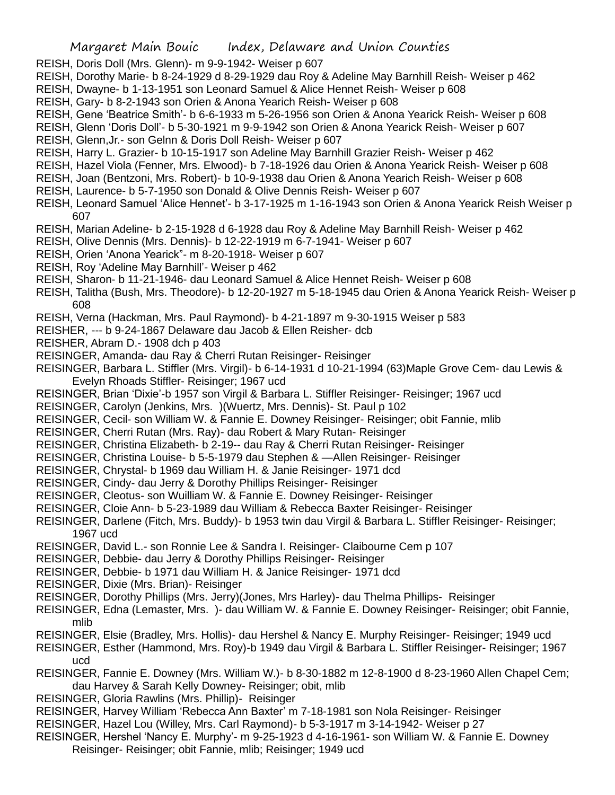- REISH, Doris Doll (Mrs. Glenn)- m 9-9-1942- Weiser p 607
- REISH, Dorothy Marie- b 8-24-1929 d 8-29-1929 dau Roy & Adeline May Barnhill Reish- Weiser p 462
- REISH, Dwayne- b 1-13-1951 son Leonard Samuel & Alice Hennet Reish- Weiser p 608
- REISH, Gary- b 8-2-1943 son Orien & Anona Yearich Reish- Weiser p 608
- REISH, Gene 'Beatrice Smith'- b 6-6-1933 m 5-26-1956 son Orien & Anona Yearick Reish- Weiser p 608
- REISH, Glenn 'Doris Doll'- b 5-30-1921 m 9-9-1942 son Orien & Anona Yearick Reish- Weiser p 607
- REISH, Glenn,Jr.- son Gelnn & Doris Doll Reish- Weiser p 607
- REISH, Harry L. Grazier- b 10-15-1917 son Adeline May Barnhill Grazier Reish- Weiser p 462
- REISH, Hazel Viola (Fenner, Mrs. Elwood)- b 7-18-1926 dau Orien & Anona Yearick Reish- Weiser p 608
- REISH, Joan (Bentzoni, Mrs. Robert)- b 10-9-1938 dau Orien & Anona Yearich Reish- Weiser p 608
- REISH, Laurence- b 5-7-1950 son Donald & Olive Dennis Reish- Weiser p 607
- REISH, Leonard Samuel 'Alice Hennet'- b 3-17-1925 m 1-16-1943 son Orien & Anona Yearick Reish Weiser p 607
- REISH, Marian Adeline- b 2-15-1928 d 6-1928 dau Roy & Adeline May Barnhill Reish- Weiser p 462
- REISH, Olive Dennis (Mrs. Dennis)- b 12-22-1919 m 6-7-1941- Weiser p 607
- REISH, Orien 'Anona Yearick"- m 8-20-1918- Weiser p 607
- REISH, Roy 'Adeline May Barnhill'- Weiser p 462
- REISH, Sharon- b 11-21-1946- dau Leonard Samuel & Alice Hennet Reish- Weiser p 608
- REISH, Talitha (Bush, Mrs. Theodore)- b 12-20-1927 m 5-18-1945 dau Orien & Anona Yearick Reish- Weiser p 608
- REISH, Verna (Hackman, Mrs. Paul Raymond)- b 4-21-1897 m 9-30-1915 Weiser p 583
- REISHER, --- b 9-24-1867 Delaware dau Jacob & Ellen Reisher- dcb
- REISHER, Abram D.- 1908 dch p 403
- REISINGER, Amanda- dau Ray & Cherri Rutan Reisinger- Reisinger
- REISINGER, Barbara L. Stiffler (Mrs. Virgil)- b 6-14-1931 d 10-21-1994 (63)Maple Grove Cem- dau Lewis & Evelyn Rhoads Stiffler- Reisinger; 1967 ucd
- REISINGER, Brian 'Dixie'-b 1957 son Virgil & Barbara L. Stiffler Reisinger- Reisinger; 1967 ucd
- REISINGER, Carolyn (Jenkins, Mrs. )(Wuertz, Mrs. Dennis)- St. Paul p 102
- REISINGER, Cecil- son William W. & Fannie E. Downey Reisinger- Reisinger; obit Fannie, mlib
- REISINGER, Cherri Rutan (Mrs. Ray)- dau Robert & Mary Rutan- Reisinger
- REISINGER, Christina Elizabeth- b 2-19-- dau Ray & Cherri Rutan Reisinger- Reisinger
- REISINGER, Christina Louise- b 5-5-1979 dau Stephen & —Allen Reisinger- Reisinger
- REISINGER, Chrystal- b 1969 dau William H. & Janie Reisinger- 1971 dcd
- REISINGER, Cindy- dau Jerry & Dorothy Phillips Reisinger- Reisinger
- REISINGER, Cleotus- son Wuilliam W. & Fannie E. Downey Reisinger- Reisinger
- REISINGER, Cloie Ann- b 5-23-1989 dau William & Rebecca Baxter Reisinger- Reisinger
- REISINGER, Darlene (Fitch, Mrs. Buddy)- b 1953 twin dau Virgil & Barbara L. Stiffler Reisinger- Reisinger; 1967 ucd
- REISINGER, David L.- son Ronnie Lee & Sandra I. Reisinger- Claibourne Cem p 107
- REISINGER, Debbie- dau Jerry & Dorothy Phillips Reisinger- Reisinger
- REISINGER, Debbie- b 1971 dau William H. & Janice Reisinger- 1971 dcd
- REISINGER, Dixie (Mrs. Brian)- Reisinger
- REISINGER, Dorothy Phillips (Mrs. Jerry)(Jones, Mrs Harley)- dau Thelma Phillips- Reisinger
- REISINGER, Edna (Lemaster, Mrs. )- dau William W. & Fannie E. Downey Reisinger- Reisinger; obit Fannie, mlib
- REISINGER, Elsie (Bradley, Mrs. Hollis)- dau Hershel & Nancy E. Murphy Reisinger- Reisinger; 1949 ucd
- REISINGER, Esther (Hammond, Mrs. Roy)-b 1949 dau Virgil & Barbara L. Stiffler Reisinger- Reisinger; 1967 ucd
- REISINGER, Fannie E. Downey (Mrs. William W.)- b 8-30-1882 m 12-8-1900 d 8-23-1960 Allen Chapel Cem; dau Harvey & Sarah Kelly Downey- Reisinger; obit, mlib
- REISINGER, Gloria Rawlins (Mrs. Phillip)- Reisinger
- REISINGER, Harvey William 'Rebecca Ann Baxter' m 7-18-1981 son Nola Reisinger- Reisinger
- REISINGER, Hazel Lou (Willey, Mrs. Carl Raymond)- b 5-3-1917 m 3-14-1942- Weiser p 27
- REISINGER, Hershel 'Nancy E. Murphy'- m 9-25-1923 d 4-16-1961- son William W. & Fannie E. Downey Reisinger- Reisinger; obit Fannie, mlib; Reisinger; 1949 ucd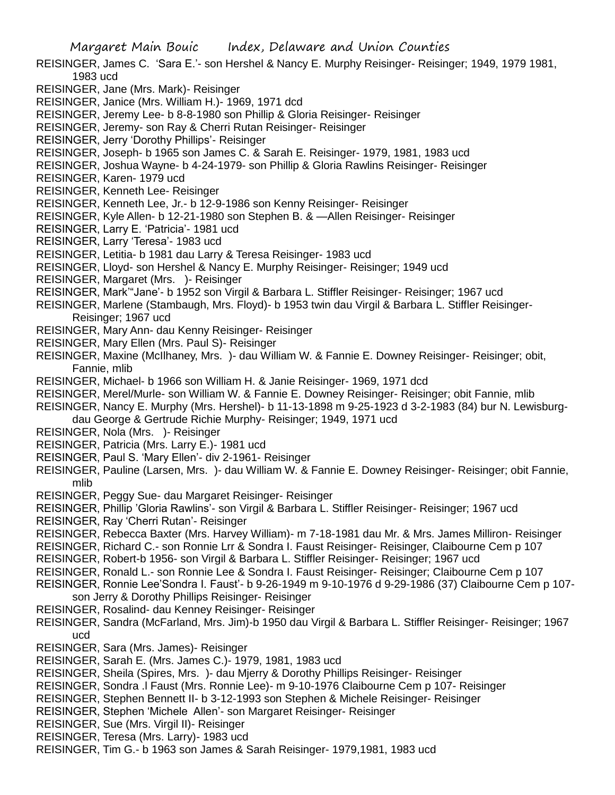- REISINGER, James C. 'Sara E.'- son Hershel & Nancy E. Murphy Reisinger- Reisinger; 1949, 1979 1981, 1983 ucd
- REISINGER, Jane (Mrs. Mark)- Reisinger
- REISINGER, Janice (Mrs. William H.)- 1969, 1971 dcd
- REISINGER, Jeremy Lee- b 8-8-1980 son Phillip & Gloria Reisinger- Reisinger
- REISINGER, Jeremy- son Ray & Cherri Rutan Reisinger- Reisinger
- REISINGER, Jerry 'Dorothy Phillips'- Reisinger
- REISINGER, Joseph- b 1965 son James C. & Sarah E. Reisinger- 1979, 1981, 1983 ucd
- REISINGER, Joshua Wayne- b 4-24-1979- son Phillip & Gloria Rawlins Reisinger- Reisinger
- REISINGER, Karen- 1979 ucd
- REISINGER, Kenneth Lee- Reisinger
- REISINGER, Kenneth Lee, Jr.- b 12-9-1986 son Kenny Reisinger- Reisinger
- REISINGER, Kyle Allen- b 12-21-1980 son Stephen B. & —Allen Reisinger- Reisinger
- REISINGER, Larry E. 'Patricia'- 1981 ucd
- REISINGER, Larry 'Teresa'- 1983 ucd
- REISINGER, Letitia- b 1981 dau Larry & Teresa Reisinger- 1983 ucd
- REISINGER, Lloyd- son Hershel & Nancy E. Murphy Reisinger- Reisinger; 1949 ucd
- REISINGER, Margaret (Mrs. )- Reisinger
- REISINGER, Mark'"Jane'- b 1952 son Virgil & Barbara L. Stiffler Reisinger- Reisinger; 1967 ucd
- REISINGER, Marlene (Stambaugh, Mrs. Floyd)- b 1953 twin dau Virgil & Barbara L. Stiffler Reisinger-Reisinger; 1967 ucd
- REISINGER, Mary Ann- dau Kenny Reisinger- Reisinger
- REISINGER, Mary Ellen (Mrs. Paul S)- Reisinger
- REISINGER, Maxine (McIlhaney, Mrs. )- dau William W. & Fannie E. Downey Reisinger- Reisinger; obit, Fannie, mlib
- REISINGER, Michael- b 1966 son William H. & Janie Reisinger- 1969, 1971 dcd
- REISINGER, Merel/Murle- son William W. & Fannie E. Downey Reisinger- Reisinger; obit Fannie, mlib
- REISINGER, Nancy E. Murphy (Mrs. Hershel)- b 11-13-1898 m 9-25-1923 d 3-2-1983 (84) bur N. Lewisburgdau George & Gertrude Richie Murphy- Reisinger; 1949, 1971 ucd
- REISINGER, Nola (Mrs. )- Reisinger
- REISINGER, Patricia (Mrs. Larry E.)- 1981 ucd
- REISINGER, Paul S. 'Mary Ellen'- div 2-1961- Reisinger
- REISINGER, Pauline (Larsen, Mrs. )- dau William W. & Fannie E. Downey Reisinger- Reisinger; obit Fannie, mlib
- REISINGER, Peggy Sue- dau Margaret Reisinger- Reisinger
- REISINGER, Phillip 'Gloria Rawlins'- son Virgil & Barbara L. Stiffler Reisinger- Reisinger; 1967 ucd
- REISINGER, Ray 'Cherri Rutan'- Reisinger
- REISINGER, Rebecca Baxter (Mrs. Harvey William)- m 7-18-1981 dau Mr. & Mrs. James Milliron- Reisinger
- REISINGER, Richard C.- son Ronnie Lrr & Sondra I. Faust Reisinger- Reisinger, Claibourne Cem p 107
- REISINGER, Robert-b 1956- son Virgil & Barbara L. Stiffler Reisinger- Reisinger; 1967 ucd
- REISINGER, Ronald L.- son Ronnie Lee & Sondra I. Faust Reisinger- Reisinger; Claibourne Cem p 107
- REISINGER, Ronnie Lee'Sondra I. Faust'- b 9-26-1949 m 9-10-1976 d 9-29-1986 (37) Claibourne Cem p 107 son Jerry & Dorothy Phillips Reisinger- Reisinger
- REISINGER, Rosalind- dau Kenney Reisinger- Reisinger
- REISINGER, Sandra (McFarland, Mrs. Jim)-b 1950 dau Virgil & Barbara L. Stiffler Reisinger- Reisinger; 1967 ucd
- REISINGER, Sara (Mrs. James)- Reisinger
- REISINGER, Sarah E. (Mrs. James C.)- 1979, 1981, 1983 ucd
- REISINGER, Sheila (Spires, Mrs. )- dau Mjerry & Dorothy Phillips Reisinger- Reisinger
- REISINGER, Sondra .l Faust (Mrs. Ronnie Lee)- m 9-10-1976 Claibourne Cem p 107- Reisinger
- REISINGER, Stephen Bennett II- b 3-12-1993 son Stephen & Michele Reisinger- Reisinger
- REISINGER, Stephen 'Michele Allen'- son Margaret Reisinger- Reisinger
- REISINGER, Sue (Mrs. Virgil II)- Reisinger
- REISINGER, Teresa (Mrs. Larry)- 1983 ucd
- REISINGER, Tim G.- b 1963 son James & Sarah Reisinger- 1979,1981, 1983 ucd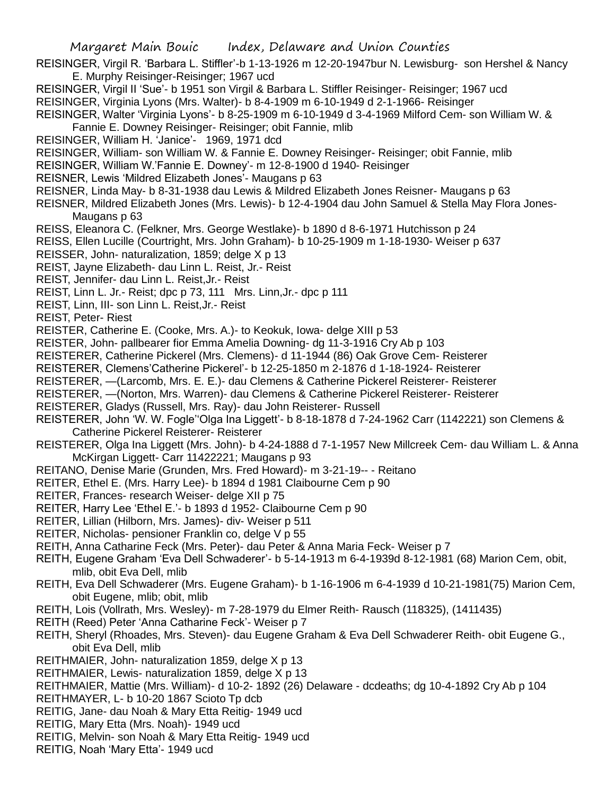REISINGER, Virgil R. 'Barbara L. Stiffler'-b 1-13-1926 m 12-20-1947bur N. Lewisburg- son Hershel & Nancy E. Murphy Reisinger-Reisinger; 1967 ucd

REISINGER, Virgil II 'Sue'- b 1951 son Virgil & Barbara L. Stiffler Reisinger- Reisinger; 1967 ucd REISINGER, Virginia Lyons (Mrs. Walter)- b 8-4-1909 m 6-10-1949 d 2-1-1966- Reisinger

- REISINGER, Walter 'Virginia Lyons'- b 8-25-1909 m 6-10-1949 d 3-4-1969 Milford Cem- son William W. & Fannie E. Downey Reisinger- Reisinger; obit Fannie, mlib
- REISINGER, William H. 'Janice'- 1969, 1971 dcd
- REISINGER, William- son William W. & Fannie E. Downey Reisinger- Reisinger; obit Fannie, mlib
- REISINGER, William W.'Fannie E. Downey'- m 12-8-1900 d 1940- Reisinger
- REISNER, Lewis 'Mildred Elizabeth Jones'- Maugans p 63
- REISNER, Linda May- b 8-31-1938 dau Lewis & Mildred Elizabeth Jones Reisner- Maugans p 63
- REISNER, Mildred Elizabeth Jones (Mrs. Lewis)- b 12-4-1904 dau John Samuel & Stella May Flora Jones-Maugans p 63
- REISS, Eleanora C. (Felkner, Mrs. George Westlake)- b 1890 d 8-6-1971 Hutchisson p 24
- REISS, Ellen Lucille (Courtright, Mrs. John Graham)- b 10-25-1909 m 1-18-1930- Weiser p 637
- REISSER, John- naturalization, 1859; delge X p 13
- REIST, Jayne Elizabeth- dau Linn L. Reist, Jr.- Reist
- REIST, Jennifer- dau Linn L. Reist,Jr.- Reist
- REIST, Linn L. Jr.- Reist; dpc p 73, 111 Mrs. Linn,Jr.- dpc p 111
- REIST, Linn, III- son Linn L. Reist,Jr.- Reist
- REIST, Peter- Riest
- REISTER, Catherine E. (Cooke, Mrs. A.)- to Keokuk, Iowa- delge XIII p 53
- REISTER, John- pallbearer fior Emma Amelia Downing- dg 11-3-1916 Cry Ab p 103
- REISTERER, Catherine Pickerel (Mrs. Clemens)- d 11-1944 (86) Oak Grove Cem- Reisterer
- REISTERER, Clemens'Catherine Pickerel'- b 12-25-1850 m 2-1876 d 1-18-1924- Reisterer
- REISTERER, —(Larcomb, Mrs. E. E.)- dau Clemens & Catherine Pickerel Reisterer- Reisterer
- REISTERER, —(Norton, Mrs. Warren)- dau Clemens & Catherine Pickerel Reisterer- Reisterer
- REISTERER, Gladys (Russell, Mrs. Ray)- dau John Reisterer- Russell
- REISTERER, John 'W. W. Fogle''Olga Ina Liggett'- b 8-18-1878 d 7-24-1962 Carr (1142221) son Clemens & Catherine Pickerel Reisterer- Reisterer
- REISTERER, Olga Ina Liggett (Mrs. John)- b 4-24-1888 d 7-1-1957 New Millcreek Cem- dau William L. & Anna McKirgan Liggett- Carr 11422221; Maugans p 93
- REITANO, Denise Marie (Grunden, Mrs. Fred Howard)- m 3-21-19-- Reitano
- REITER, Ethel E. (Mrs. Harry Lee)- b 1894 d 1981 Claibourne Cem p 90
- REITER, Frances- research Weiser- delge XII p 75
- REITER, Harry Lee 'Ethel E.'- b 1893 d 1952- Claibourne Cem p 90
- REITER, Lillian (Hilborn, Mrs. James)- div- Weiser p 511
- REITER, Nicholas- pensioner Franklin co, delge V p 55
- REITH, Anna Catharine Feck (Mrs. Peter)- dau Peter & Anna Maria Feck- Weiser p 7
- REITH, Eugene Graham 'Eva Dell Schwaderer'- b 5-14-1913 m 6-4-1939d 8-12-1981 (68) Marion Cem, obit, mlib, obit Eva Dell, mlib
- REITH, Eva Dell Schwaderer (Mrs. Eugene Graham)- b 1-16-1906 m 6-4-1939 d 10-21-1981(75) Marion Cem, obit Eugene, mlib; obit, mlib
- REITH, Lois (Vollrath, Mrs. Wesley)- m 7-28-1979 du Elmer Reith- Rausch (118325), (1411435)
- REITH (Reed) Peter 'Anna Catharine Feck'- Weiser p 7
- REITH, Sheryl (Rhoades, Mrs. Steven)- dau Eugene Graham & Eva Dell Schwaderer Reith- obit Eugene G., obit Eva Dell, mlib
- REITHMAIER, John- naturalization 1859, delge X p 13
- REITHMAIER, Lewis- naturalization 1859, delge X p 13
- REITHMAIER, Mattie (Mrs. William)- d 10-2- 1892 (26) Delaware dcdeaths; dg 10-4-1892 Cry Ab p 104
- REITHMAYER, L- b 10-20 1867 Scioto Tp dcb
- REITIG, Jane- dau Noah & Mary Etta Reitig- 1949 ucd
- REITIG, Mary Etta (Mrs. Noah)- 1949 ucd
- REITIG, Melvin- son Noah & Mary Etta Reitig- 1949 ucd
- REITIG, Noah 'Mary Etta'- 1949 ucd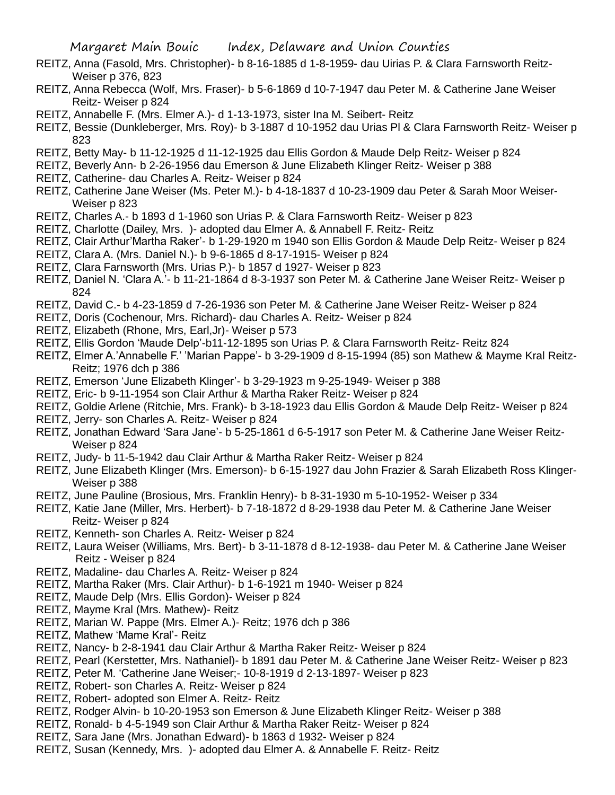- REITZ, Anna (Fasold, Mrs. Christopher)- b 8-16-1885 d 1-8-1959- dau Uirias P. & Clara Farnsworth Reitz-Weiser p 376, 823
- REITZ, Anna Rebecca (Wolf, Mrs. Fraser)- b 5-6-1869 d 10-7-1947 dau Peter M. & Catherine Jane Weiser Reitz- Weiser p 824
- REITZ, Annabelle F. (Mrs. Elmer A.)- d 1-13-1973, sister Ina M. Seibert- Reitz
- REITZ, Bessie (Dunkleberger, Mrs. Roy)- b 3-1887 d 10-1952 dau Urias Pl & Clara Farnsworth Reitz- Weiser p 823
- REITZ, Betty May- b 11-12-1925 d 11-12-1925 dau Ellis Gordon & Maude Delp Reitz- Weiser p 824
- REITZ, Beverly Ann- b 2-26-1956 dau Emerson & June Elizabeth Klinger Reitz- Weiser p 388
- REITZ, Catherine- dau Charles A. Reitz- Weiser p 824
- REITZ, Catherine Jane Weiser (Ms. Peter M.)- b 4-18-1837 d 10-23-1909 dau Peter & Sarah Moor Weiser-Weiser p 823
- REITZ, Charles A.- b 1893 d 1-1960 son Urias P. & Clara Farnsworth Reitz- Weiser p 823
- REITZ, Charlotte (Dailey, Mrs. )- adopted dau Elmer A. & Annabell F. Reitz- Reitz
- REITZ, Clair Arthur'Martha Raker'- b 1-29-1920 m 1940 son Ellis Gordon & Maude Delp Reitz- Weiser p 824
- REITZ, Clara A. (Mrs. Daniel N.)- b 9-6-1865 d 8-17-1915- Weiser p 824
- REITZ, Clara Farnsworth (Mrs. Urias P.)- b 1857 d 1927- Weiser p 823
- REITZ, Daniel N. 'Clara A.'- b 11-21-1864 d 8-3-1937 son Peter M. & Catherine Jane Weiser Reitz- Weiser p 824
- REITZ, David C.- b 4-23-1859 d 7-26-1936 son Peter M. & Catherine Jane Weiser Reitz- Weiser p 824
- REITZ, Doris (Cochenour, Mrs. Richard)- dau Charles A. Reitz- Weiser p 824
- REITZ, Elizabeth (Rhone, Mrs, Earl,Jr)- Weiser p 573
- REITZ, Ellis Gordon 'Maude Delp'-b11-12-1895 son Urias P. & Clara Farnsworth Reitz- Reitz 824
- REITZ, Elmer A.'Annabelle F.' 'Marian Pappe'- b 3-29-1909 d 8-15-1994 (85) son Mathew & Mayme Kral Reitz-Reitz; 1976 dch p 386
- REITZ, Emerson 'June Elizabeth Klinger'- b 3-29-1923 m 9-25-1949- Weiser p 388
- REITZ, Eric- b 9-11-1954 son Clair Arthur & Martha Raker Reitz- Weiser p 824
- REITZ, Goldie Arlene (Ritchie, Mrs. Frank)- b 3-18-1923 dau Ellis Gordon & Maude Delp Reitz- Weiser p 824
- REITZ, Jerry- son Charles A. Reitz- Weiser p 824
- REITZ, Jonathan Edward 'Sara Jane'- b 5-25-1861 d 6-5-1917 son Peter M. & Catherine Jane Weiser Reitz-Weiser p 824
- REITZ, Judy- b 11-5-1942 dau Clair Arthur & Martha Raker Reitz- Weiser p 824
- REITZ, June Elizabeth Klinger (Mrs. Emerson)- b 6-15-1927 dau John Frazier & Sarah Elizabeth Ross Klinger-Weiser p 388
- REITZ, June Pauline (Brosious, Mrs. Franklin Henry)- b 8-31-1930 m 5-10-1952- Weiser p 334
- REITZ, Katie Jane (Miller, Mrs. Herbert)- b 7-18-1872 d 8-29-1938 dau Peter M. & Catherine Jane Weiser Reitz- Weiser p 824
- REITZ, Kenneth- son Charles A. Reitz- Weiser p 824
- REITZ, Laura Weiser (Williams, Mrs. Bert)- b 3-11-1878 d 8-12-1938- dau Peter M. & Catherine Jane Weiser Reitz - Weiser p 824
- REITZ, Madaline- dau Charles A. Reitz- Weiser p 824
- REITZ, Martha Raker (Mrs. Clair Arthur)- b 1-6-1921 m 1940- Weiser p 824
- REITZ, Maude Delp (Mrs. Ellis Gordon)- Weiser p 824
- REITZ, Mayme Kral (Mrs. Mathew)- Reitz
- REITZ, Marian W. Pappe (Mrs. Elmer A.)- Reitz; 1976 dch p 386
- REITZ, Mathew 'Mame Kral'- Reitz
- REITZ, Nancy- b 2-8-1941 dau Clair Arthur & Martha Raker Reitz- Weiser p 824
- REITZ, Pearl (Kerstetter, Mrs. Nathaniel)- b 1891 dau Peter M. & Catherine Jane Weiser Reitz- Weiser p 823
- REITZ, Peter M. 'Catherine Jane Weiser;- 10-8-1919 d 2-13-1897- Weiser p 823
- REITZ, Robert- son Charles A. Reitz- Weiser p 824
- REITZ, Robert- adopted son Elmer A. Reitz- Reitz
- REITZ, Rodger Alvin- b 10-20-1953 son Emerson & June Elizabeth Klinger Reitz- Weiser p 388
- REITZ, Ronald- b 4-5-1949 son Clair Arthur & Martha Raker Reitz- Weiser p 824
- REITZ, Sara Jane (Mrs. Jonathan Edward)- b 1863 d 1932- Weiser p 824
- REITZ, Susan (Kennedy, Mrs. )- adopted dau Elmer A. & Annabelle F. Reitz- Reitz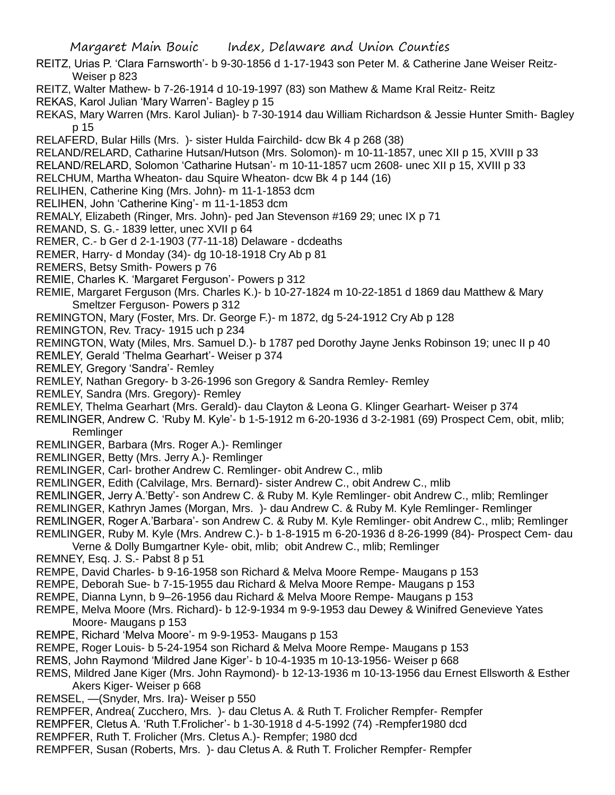- REITZ, Urias P. 'Clara Farnsworth'- b 9-30-1856 d 1-17-1943 son Peter M. & Catherine Jane Weiser Reitz-Weiser p 823
- REITZ, Walter Mathew- b 7-26-1914 d 10-19-1997 (83) son Mathew & Mame Kral Reitz- Reitz
- REKAS, Karol Julian 'Mary Warren'- Bagley p 15
- REKAS, Mary Warren (Mrs. Karol Julian)- b 7-30-1914 dau William Richardson & Jessie Hunter Smith- Bagley p 15
- RELAFERD, Bular Hills (Mrs. )- sister Hulda Fairchild- dcw Bk 4 p 268 (38)
- RELAND/RELARD, Catharine Hutsan/Hutson (Mrs. Solomon)- m 10-11-1857, unec XII p 15, XVIII p 33
- RELAND/RELARD, Solomon 'Catharine Hutsan'- m 10-11-1857 ucm 2608- unec XII p 15, XVIII p 33
- RELCHUM, Martha Wheaton- dau Squire Wheaton- dcw Bk 4 p 144 (16)
- RELIHEN, Catherine King (Mrs. John)- m 11-1-1853 dcm
- RELIHEN, John 'Catherine King'- m 11-1-1853 dcm
- REMALY, Elizabeth (Ringer, Mrs. John)- ped Jan Stevenson #169 29; unec IX p 71
- REMAND, S. G.- 1839 letter, unec XVII p 64
- REMER, C.- b Ger d 2-1-1903 (77-11-18) Delaware dcdeaths
- REMER, Harry- d Monday (34)- dg 10-18-1918 Cry Ab p 81
- REMERS, Betsy Smith- Powers p 76
- REMIE, Charles K. 'Margaret Ferguson'- Powers p 312
- REMIE, Margaret Ferguson (Mrs. Charles K.)- b 10-27-1824 m 10-22-1851 d 1869 dau Matthew & Mary Smeltzer Ferguson- Powers p 312
- REMINGTON, Mary (Foster, Mrs. Dr. George F.)- m 1872, dg 5-24-1912 Cry Ab p 128
- REMINGTON, Rev. Tracy- 1915 uch p 234
- REMINGTON, Waty (Miles, Mrs. Samuel D.)- b 1787 ped Dorothy Jayne Jenks Robinson 19; unec II p 40
- REMLEY, Gerald 'Thelma Gearhart'- Weiser p 374
- REMLEY, Gregory 'Sandra'- Remley
- REMLEY, Nathan Gregory- b 3-26-1996 son Gregory & Sandra Remley- Remley
- REMLEY, Sandra (Mrs. Gregory)- Remley
- REMLEY, Thelma Gearhart (Mrs. Gerald)- dau Clayton & Leona G. Klinger Gearhart- Weiser p 374
- REMLINGER, Andrew C. 'Ruby M. Kyle'- b 1-5-1912 m 6-20-1936 d 3-2-1981 (69) Prospect Cem, obit, mlib; Remlinger
- REMLINGER, Barbara (Mrs. Roger A.)- Remlinger
- REMLINGER, Betty (Mrs. Jerry A.)- Remlinger
- REMLINGER, Carl- brother Andrew C. Remlinger- obit Andrew C., mlib
- REMLINGER, Edith (Calvilage, Mrs. Bernard)- sister Andrew C., obit Andrew C., mlib
- REMLINGER, Jerry A.'Betty'- son Andrew C. & Ruby M. Kyle Remlinger- obit Andrew C., mlib; Remlinger
- REMLINGER, Kathryn James (Morgan, Mrs. )- dau Andrew C. & Ruby M. Kyle Remlinger- Remlinger
- REMLINGER, Roger A.'Barbara'- son Andrew C. & Ruby M. Kyle Remlinger- obit Andrew C., mlib; Remlinger
- REMLINGER, Ruby M. Kyle (Mrs. Andrew C.)- b 1-8-1915 m 6-20-1936 d 8-26-1999 (84)- Prospect Cem- dau
- Verne & Dolly Bumgartner Kyle- obit, mlib; obit Andrew C., mlib; Remlinger
- REMNEY, Esq. J. S.- Pabst 8 p 51
- REMPE, David Charles- b 9-16-1958 son Richard & Melva Moore Rempe- Maugans p 153
- REMPE, Deborah Sue- b 7-15-1955 dau Richard & Melva Moore Rempe- Maugans p 153
- REMPE, Dianna Lynn, b 9–26-1956 dau Richard & Melva Moore Rempe- Maugans p 153
- REMPE, Melva Moore (Mrs. Richard)- b 12-9-1934 m 9-9-1953 dau Dewey & Winifred Genevieve Yates Moore- Maugans p 153
- REMPE, Richard 'Melva Moore'- m 9-9-1953- Maugans p 153
- REMPE, Roger Louis- b 5-24-1954 son Richard & Melva Moore Rempe- Maugans p 153
- REMS, John Raymond 'Mildred Jane Kiger'- b 10-4-1935 m 10-13-1956- Weiser p 668
- REMS, Mildred Jane Kiger (Mrs. John Raymond)- b 12-13-1936 m 10-13-1956 dau Ernest Ellsworth & Esther Akers Kiger- Weiser p 668
- REMSEL, —(Snyder, Mrs. Ira)- Weiser p 550
- REMPFER, Andrea( Zucchero, Mrs. )- dau Cletus A. & Ruth T. Frolicher Rempfer- Rempfer
- REMPFER, Cletus A. 'Ruth T.Frolicher'- b 1-30-1918 d 4-5-1992 (74) -Rempfer1980 dcd
- REMPFER, Ruth T. Frolicher (Mrs. Cletus A.)- Rempfer; 1980 dcd
- REMPFER, Susan (Roberts, Mrs. )- dau Cletus A. & Ruth T. Frolicher Rempfer- Rempfer